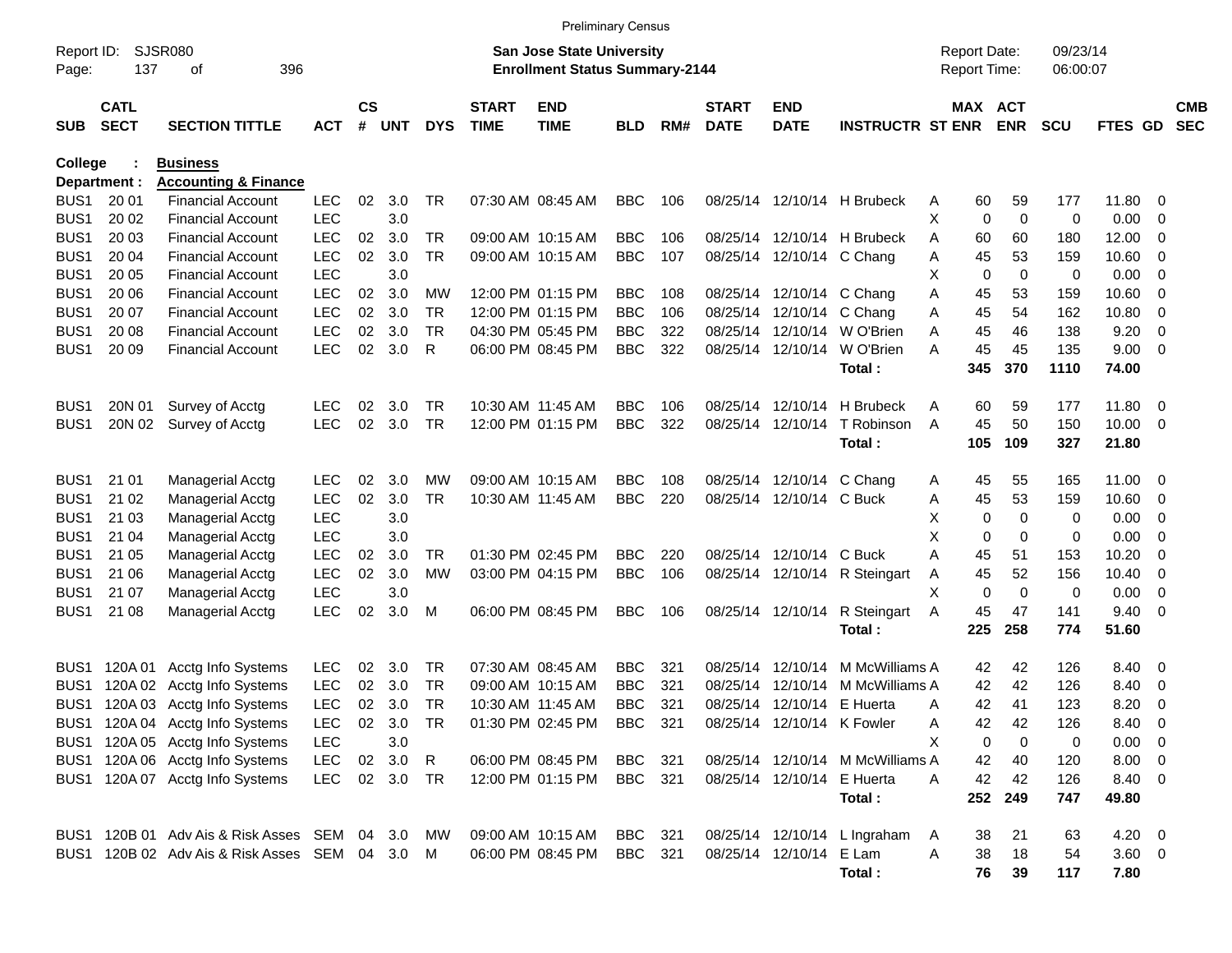|                     |                            |                                                |            |                    |            |              |                             |                                                                           | <b>Preliminary Census</b> |     |                             |                            |                                  |   |                                     |                       |                      |              |                          |                          |
|---------------------|----------------------------|------------------------------------------------|------------|--------------------|------------|--------------|-----------------------------|---------------------------------------------------------------------------|---------------------------|-----|-----------------------------|----------------------------|----------------------------------|---|-------------------------------------|-----------------------|----------------------|--------------|--------------------------|--------------------------|
| Report ID:<br>Page: | 137                        | <b>SJSR080</b><br>396<br>οf                    |            |                    |            |              |                             | <b>San Jose State University</b><br><b>Enrollment Status Summary-2144</b> |                           |     |                             |                            |                                  |   | <b>Report Date:</b><br>Report Time: |                       | 09/23/14<br>06:00:07 |              |                          |                          |
| <b>SUB</b>          | <b>CATL</b><br><b>SECT</b> | <b>SECTION TITTLE</b>                          | <b>ACT</b> | $\mathsf{cs}$<br># | <b>UNT</b> | <b>DYS</b>   | <b>START</b><br><b>TIME</b> | <b>END</b><br><b>TIME</b>                                                 | BLD                       | RM# | <b>START</b><br><b>DATE</b> | <b>END</b><br><b>DATE</b>  | <b>INSTRUCTR ST ENR</b>          |   |                                     | MAX ACT<br><b>ENR</b> | <b>SCU</b>           | FTES GD      |                          | <b>CMB</b><br><b>SEC</b> |
| College             |                            | <b>Business</b>                                |            |                    |            |              |                             |                                                                           |                           |     |                             |                            |                                  |   |                                     |                       |                      |              |                          |                          |
|                     | Department :               | <b>Accounting &amp; Finance</b>                |            |                    |            |              |                             |                                                                           |                           |     |                             |                            |                                  |   |                                     |                       |                      |              |                          |                          |
| BUS <sub>1</sub>    | 20 01                      | <b>Financial Account</b>                       | <b>LEC</b> | 02                 | 3.0        | TR           |                             | 07:30 AM 08:45 AM                                                         | <b>BBC</b>                | 106 |                             |                            | 08/25/14 12/10/14 H Brubeck      | Α | 60                                  | 59                    | 177                  | 11.80        | - 0                      |                          |
| BUS <sub>1</sub>    | 20 02                      | <b>Financial Account</b>                       | <b>LEC</b> |                    | 3.0        |              |                             |                                                                           |                           |     |                             |                            |                                  | X | $\mathbf 0$                         | $\mathbf 0$           | 0                    | 0.00         | - 0                      |                          |
| BUS <sub>1</sub>    | 20 03                      | <b>Financial Account</b>                       | <b>LEC</b> | 02                 | 3.0        | TR           |                             | 09:00 AM 10:15 AM                                                         | <b>BBC</b>                | 106 |                             |                            | 08/25/14 12/10/14 H Brubeck      | A | 60                                  | 60                    | 180                  | 12.00        | 0                        |                          |
| BUS <sub>1</sub>    | 20 04                      | <b>Financial Account</b>                       | <b>LEC</b> | 02                 | 3.0        | <b>TR</b>    |                             | 09:00 AM 10:15 AM                                                         | <b>BBC</b>                | 107 |                             | 08/25/14 12/10/14 C Chang  |                                  | Α | 45                                  | 53                    | 159                  | 10.60        | 0                        |                          |
| BUS <sub>1</sub>    | 20 05                      | <b>Financial Account</b>                       | <b>LEC</b> |                    | 3.0        |              |                             |                                                                           |                           |     |                             |                            |                                  | X | 0                                   | $\mathbf 0$           | 0                    | 0.00         | $\overline{0}$           |                          |
| BUS <sub>1</sub>    | 20 06                      | <b>Financial Account</b>                       | <b>LEC</b> | 02                 | 3.0        | МW           |                             | 12:00 PM 01:15 PM                                                         | <b>BBC</b>                | 108 |                             | 08/25/14 12/10/14 C Chang  |                                  | Α | 45                                  | 53                    | 159                  | 10.60        | 0                        |                          |
| BUS <sub>1</sub>    | 20 07                      | <b>Financial Account</b>                       | <b>LEC</b> | 02                 | 3.0        | <b>TR</b>    |                             | 12:00 PM 01:15 PM                                                         | <b>BBC</b>                | 106 |                             | 08/25/14 12/10/14 C Chang  |                                  | Α | 45                                  | 54                    | 162                  | 10.80        | 0                        |                          |
| BUS <sub>1</sub>    | 20 08                      | <b>Financial Account</b>                       | <b>LEC</b> | 02                 | 3.0        | <b>TR</b>    |                             | 04:30 PM 05:45 PM                                                         | <b>BBC</b>                | 322 |                             |                            | 08/25/14 12/10/14 W O'Brien      | Α | 45                                  | 46                    | 138                  | 9.20         | 0                        |                          |
| BUS <sub>1</sub>    | 20 09                      | <b>Financial Account</b>                       | <b>LEC</b> | 02                 | 3.0        | R            |                             | 06:00 PM 08:45 PM                                                         | <b>BBC</b>                | 322 |                             | 08/25/14 12/10/14          | W O'Brien                        | А | 45                                  | 45                    | 135                  | 9.00         | - 0                      |                          |
|                     |                            |                                                |            |                    |            |              |                             |                                                                           |                           |     |                             |                            | Total:                           |   | 345                                 | 370                   | 1110                 | 74.00        |                          |                          |
| BUS <sub>1</sub>    | 20N 01                     | Survey of Acctg                                | <b>LEC</b> | 02                 | 3.0        | TR.          | 10:30 AM 11:45 AM           |                                                                           | <b>BBC</b>                | 106 |                             | 08/25/14 12/10/14          | H Brubeck                        | Α | 60                                  | 59                    | 177                  | 11.80        | $\overline{\phantom{0}}$ |                          |
| BUS <sub>1</sub>    | 20N 02                     | Survey of Acctg                                | <b>LEC</b> | 02                 | 3.0        | <b>TR</b>    |                             | 12:00 PM 01:15 PM                                                         | <b>BBC</b>                | 322 |                             | 08/25/14 12/10/14          | T Robinson                       | A | 45                                  | 50                    | 150                  | $10.00 \t 0$ |                          |                          |
|                     |                            |                                                |            |                    |            |              |                             |                                                                           |                           |     |                             |                            | Total:                           |   | 105                                 | 109                   | 327                  | 21.80        |                          |                          |
| BUS <sub>1</sub>    | 21 01                      | <b>Managerial Acctg</b>                        | <b>LEC</b> | 02                 | 3.0        | МW           |                             | 09:00 AM 10:15 AM                                                         | <b>BBC</b>                | 108 |                             | 08/25/14 12/10/14 C Chang  |                                  | A | 45                                  | 55                    | 165                  | 11.00        | - 0                      |                          |
| BUS <sub>1</sub>    | 21 02                      | <b>Managerial Acctg</b>                        | <b>LEC</b> | 02                 | 3.0        | <b>TR</b>    | 10:30 AM 11:45 AM           |                                                                           | <b>BBC</b>                | 220 |                             | 08/25/14 12/10/14 C Buck   |                                  | Α | 45                                  | 53                    | 159                  | 10.60        | $\overline{\mathbf{0}}$  |                          |
| BUS <sub>1</sub>    | 21 03                      | <b>Managerial Acctg</b>                        | <b>LEC</b> |                    | 3.0        |              |                             |                                                                           |                           |     |                             |                            |                                  | х | 0                                   | $\mathbf 0$           | 0                    | 0.00         | 0                        |                          |
| BUS <sub>1</sub>    | 21 04                      | <b>Managerial Acctg</b>                        | <b>LEC</b> |                    | 3.0        |              |                             |                                                                           |                           |     |                             |                            |                                  | X | 0                                   | $\mathbf 0$           | 0                    | 0.00         | $\overline{0}$           |                          |
| BUS <sub>1</sub>    | 21 05                      | <b>Managerial Acctg</b>                        | <b>LEC</b> | 02                 | 3.0        | TR.          |                             | 01:30 PM 02:45 PM                                                         | <b>BBC</b>                | 220 |                             | 08/25/14 12/10/14 C Buck   |                                  | Α | 45                                  | 51                    | 153                  | 10.20        | 0                        |                          |
| BUS <sub>1</sub>    | 21 06                      | <b>Managerial Acctg</b>                        | <b>LEC</b> | 02                 | 3.0        | <b>MW</b>    |                             | 03:00 PM 04:15 PM                                                         | <b>BBC</b>                | 106 |                             |                            | 08/25/14 12/10/14 R Steingart    | Α | 45                                  | 52                    | 156                  | 10.40        | 0                        |                          |
| BUS <sub>1</sub>    | 21 07                      | <b>Managerial Acctg</b>                        | <b>LEC</b> |                    | 3.0        |              |                             |                                                                           |                           |     |                             |                            |                                  | X | $\mathbf 0$                         | $\mathbf 0$           | 0                    | 0.00         | 0                        |                          |
| BUS <sub>1</sub>    | 21 08                      | <b>Managerial Acctg</b>                        | <b>LEC</b> | 02                 | 3.0        | M            |                             | 06:00 PM 08:45 PM                                                         | <b>BBC</b>                | 106 |                             | 08/25/14 12/10/14          | R Steingart                      | A | 45                                  | 47                    | 141                  | 9.40         | - 0                      |                          |
|                     |                            |                                                |            |                    |            |              |                             |                                                                           |                           |     |                             |                            | Total:                           |   | 225                                 | 258                   | 774                  | 51.60        |                          |                          |
| BUS <sub>1</sub>    | 120A 01                    | Acctg Info Systems                             | <b>LEC</b> | 02                 | 3.0        | TR           |                             | 07:30 AM 08:45 AM                                                         | <b>BBC</b>                | 321 | 08/25/14                    | 12/10/14                   | M McWilliams A                   |   | 42                                  | 42                    | 126                  | 8.40         | $\overline{\phantom{0}}$ |                          |
| BUS <sub>1</sub>    | 120A 02                    | Acctg Info Systems                             | <b>LEC</b> | 02                 | 3.0        | <b>TR</b>    |                             | 09:00 AM 10:15 AM                                                         | <b>BBC</b>                | 321 | 08/25/14                    | 12/10/14                   | M McWilliams A                   |   | 42                                  | 42                    | 126                  | 8.40         | $\overline{\mathbf{0}}$  |                          |
| BUS1                |                            | 120A 03 Acctg Info Systems                     | <b>LEC</b> | 02                 | 3.0        | TR           | 10:30 AM 11:45 AM           |                                                                           | <b>BBC</b>                | 321 |                             | 08/25/14 12/10/14 E Huerta |                                  | Α | 42                                  | 41                    | 123                  | 8.20         | - 0                      |                          |
|                     |                            | BUS1 120A 04 Acctg Info Systems                | <b>LEC</b> |                    | 02 3.0     | TR           |                             | 01:30 PM 02:45 PM                                                         | BBC 321                   |     |                             | 08/25/14 12/10/14 K Fowler |                                  | A | 42                                  | 42                    | 126                  | 8.40         | $\overline{\phantom{0}}$ |                          |
|                     |                            | BUS1 120A 05 Acctg Info Systems                | LEC        |                    | 3.0        |              |                             |                                                                           |                           |     |                             |                            |                                  | X | 0                                   | 0                     | 0                    | $0.00 \t 0$  |                          |                          |
|                     |                            | BUS1 120A 06 Acctg Info Systems                | <b>LEC</b> |                    | 02 3.0     | $\mathsf{R}$ |                             | 06:00 PM 08:45 PM                                                         | BBC 321                   |     |                             |                            | 08/25/14 12/10/14 M McWilliams A |   | 42                                  | 40                    | 120                  | $8.00 \t 0$  |                          |                          |
|                     |                            | BUS1 120A 07 Acctg Info Systems                | <b>LEC</b> |                    | 02 3.0     | TR           |                             | 12:00 PM 01:15 PM                                                         | BBC 321                   |     |                             | 08/25/14 12/10/14 E Huerta |                                  | Α | 42                                  | 42                    | 126                  | 8.40 0       |                          |                          |
|                     |                            |                                                |            |                    |            |              |                             |                                                                           |                           |     |                             |                            | Total:                           |   |                                     | 252 249               | 747                  | 49.80        |                          |                          |
|                     |                            | BUS1 120B 01 Adv Ais & Risk Asses SEM 04 3.0   |            |                    |            | MW           |                             | 09:00 AM 10:15 AM                                                         | BBC 321                   |     |                             |                            | 08/25/14 12/10/14 L Ingraham     | A | 38                                  | 21                    | 63                   | $4.20 \ 0$   |                          |                          |
|                     |                            | BUS1 120B 02 Adv Ais & Risk Asses SEM 04 3.0 M |            |                    |            |              |                             | 06:00 PM 08:45 PM                                                         | BBC 321                   |     |                             | 08/25/14 12/10/14 E Lam    |                                  | Α | 38                                  | 18                    | 54                   | $3.60 \ 0$   |                          |                          |
|                     |                            |                                                |            |                    |            |              |                             |                                                                           |                           |     |                             |                            | Total:                           |   | 76                                  | 39                    | 117                  | 7.80         |                          |                          |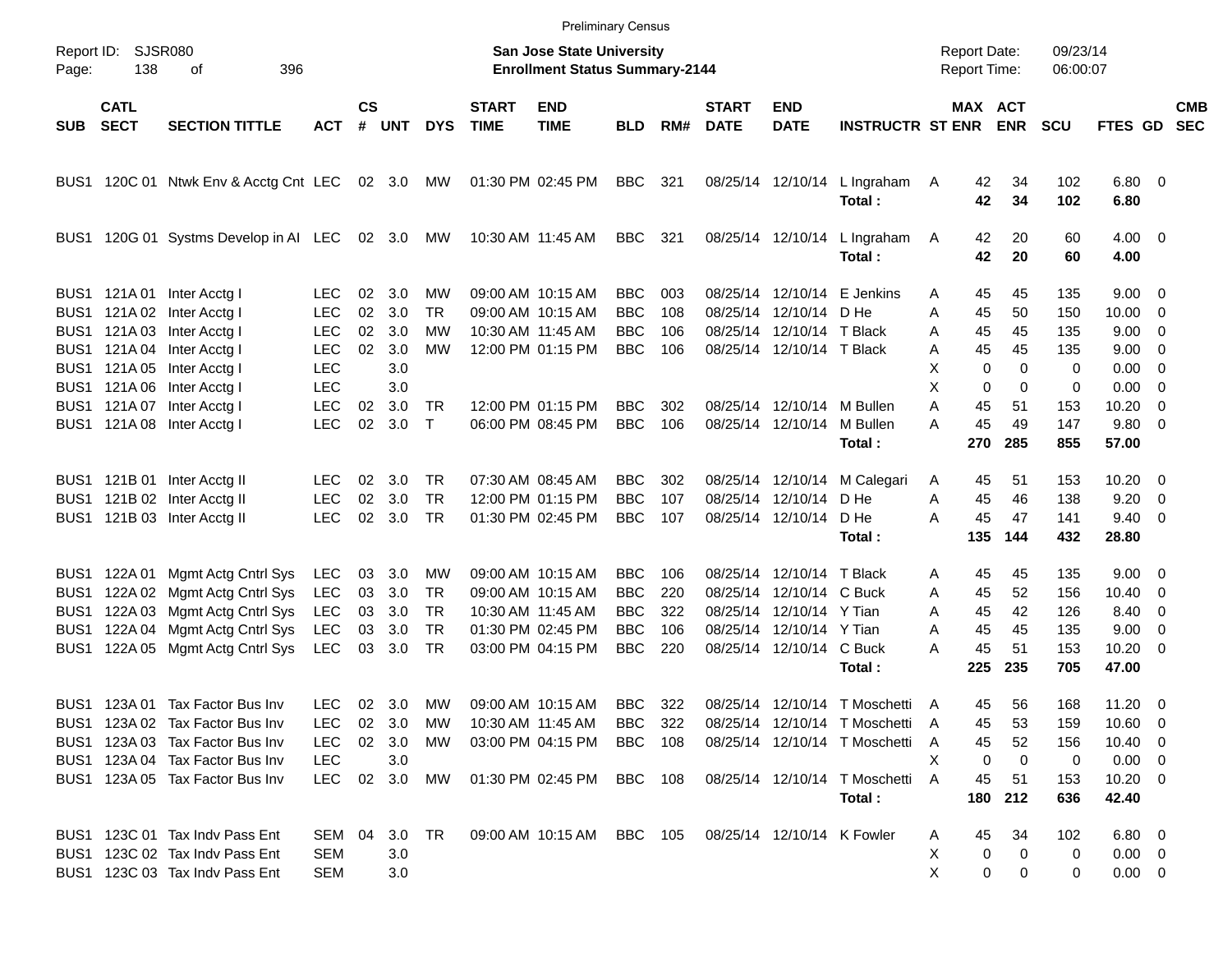|                                          |                                               |                                                                                                                                                                             |                                                              |                            |                                             |                                          |                             |                                                                                                       | <b>Preliminary Census</b>                                          |                                 |                             |                                                                                                                            |                                                                                                                                  |                                                                     |                                                                   |                                        |                                                                                  |                          |                          |
|------------------------------------------|-----------------------------------------------|-----------------------------------------------------------------------------------------------------------------------------------------------------------------------------|--------------------------------------------------------------|----------------------------|---------------------------------------------|------------------------------------------|-----------------------------|-------------------------------------------------------------------------------------------------------|--------------------------------------------------------------------|---------------------------------|-----------------------------|----------------------------------------------------------------------------------------------------------------------------|----------------------------------------------------------------------------------------------------------------------------------|---------------------------------------------------------------------|-------------------------------------------------------------------|----------------------------------------|----------------------------------------------------------------------------------|--------------------------|--------------------------|
| Page:                                    | Report ID: SJSR080<br>138                     | 396<br>оf                                                                                                                                                                   |                                                              |                            |                                             |                                          |                             | San Jose State University<br><b>Enrollment Status Summary-2144</b>                                    |                                                                    |                                 |                             |                                                                                                                            |                                                                                                                                  | <b>Report Date:</b><br><b>Report Time:</b>                          |                                                                   | 09/23/14<br>06:00:07                   |                                                                                  |                          |                          |
| SUB                                      | <b>CATL</b><br><b>SECT</b>                    | <b>SECTION TITTLE</b>                                                                                                                                                       | <b>ACT</b>                                                   | $\mathsf{cs}$<br>#         | UNT                                         | <b>DYS</b>                               | <b>START</b><br><b>TIME</b> | <b>END</b><br><b>TIME</b>                                                                             | <b>BLD</b>                                                         | RM#                             | <b>START</b><br><b>DATE</b> | <b>END</b><br><b>DATE</b>                                                                                                  | <b>INSTRUCTR ST ENR</b>                                                                                                          |                                                                     | MAX ACT<br><b>ENR</b>                                             | <b>SCU</b>                             | FTES GD                                                                          |                          | <b>CMB</b><br><b>SEC</b> |
|                                          |                                               | BUS1 120C 01 Ntwk Env & Acctg Cnt LEC 02 3.0 MW                                                                                                                             |                                                              |                            |                                             |                                          |                             | 01:30 PM 02:45 PM                                                                                     | BBC                                                                | 321                             |                             | 08/25/14 12/10/14                                                                                                          | L Ingraham<br>Total:                                                                                                             | 42<br>A<br>42                                                       | 34<br>34                                                          | 102<br>102                             | $6.80$ 0<br>6.80                                                                 |                          |                          |
| BUS1                                     |                                               | 120G 01 Systms Develop in AI LEC 02 3.0                                                                                                                                     |                                                              |                            |                                             | MW                                       |                             | 10:30 AM 11:45 AM                                                                                     | BBC                                                                | 321                             |                             | 08/25/14 12/10/14                                                                                                          | L Ingraham<br>Total:                                                                                                             | 42<br>A<br>42                                                       | 20<br>20                                                          | 60<br>60                               | $4.00 \ 0$<br>4.00                                                               |                          |                          |
| BUS1<br>BUS1<br>BUS1                     | BUS1 121A01                                   | Inter Acctg I<br>121A 02 Inter Acctg I<br>121A 03 Inter Acctg I<br>121A 04 Inter Acctg I                                                                                    | LEC.<br><b>LEC</b><br><b>LEC</b><br><b>LEC</b>               | 02<br>02<br>02<br>02       | 3.0<br>3.0<br>3.0<br>3.0                    | МW<br><b>TR</b><br>МW<br>MW              |                             | 09:00 AM 10:15 AM<br>09:00 AM 10:15 AM<br>10:30 AM 11:45 AM<br>12:00 PM 01:15 PM                      | <b>BBC</b><br><b>BBC</b><br><b>BBC</b><br><b>BBC</b>               | 003<br>108<br>106<br>106        |                             | 08/25/14 12/10/14<br>08/25/14 12/10/14<br>08/25/14 12/10/14 T Black<br>08/25/14 12/10/14 T Black                           | E Jenkins<br>D He                                                                                                                | 45<br>A<br>45<br>A<br>45<br>A<br>45<br>A                            | 45<br>50<br>45<br>45                                              | 135<br>150<br>135<br>135               | $9.00 \t 0$<br>$10.00 \t 0$<br>$9.00 \t 0$<br>$9.00 \quad 0$                     |                          |                          |
| BUS1<br>BUS1<br>BUS1                     |                                               | 121A 05 Inter Acctg I<br>121A 06 Inter Acctg I<br>121A 07 Inter Acctg I<br>BUS1 121A 08 Inter Acctg I                                                                       | <b>LEC</b><br><b>LEC</b><br><b>LEC</b><br><b>LEC</b>         | 02<br>02                   | 3.0<br>3.0<br>3.0<br>3.0                    | <b>TR</b><br>$\top$                      |                             | 12:00 PM 01:15 PM<br>06:00 PM 08:45 PM                                                                | <b>BBC</b><br><b>BBC</b>                                           | 302<br>106                      |                             | 08/25/14 12/10/14<br>08/25/14 12/10/14                                                                                     | M Bullen<br>M Bullen<br>Total:                                                                                                   | X<br>X<br>Α<br>45<br>45<br>A<br>270                                 | $\mathbf 0$<br>0<br>$\mathbf 0$<br>$\mathbf 0$<br>51<br>49<br>285 | 0<br>0<br>153<br>147<br>855            | $0.00 \t 0$<br>$0.00 \t 0$<br>10.20<br>9.80 0<br>57.00                           | $\overline{\phantom{0}}$ |                          |
| BUS1                                     |                                               | BUS1 121B 01 Inter Acctg II<br>121B 02 Inter Acctg II<br>BUS1 121B 03 Inter Acctg II                                                                                        | LEC.<br><b>LEC</b><br><b>LEC</b>                             | 02<br>02<br>02             | 3.0<br>3.0<br>3.0                           | <b>TR</b><br><b>TR</b><br>TR             |                             | 07:30 AM 08:45 AM<br>12:00 PM 01:15 PM<br>01:30 PM 02:45 PM                                           | <b>BBC</b><br><b>BBC</b><br><b>BBC</b>                             | 302<br>107<br>107               |                             | 08/25/14 12/10/14<br>08/25/14 12/10/14<br>08/25/14 12/10/14                                                                | M Calegari<br>D He<br>D He<br>Total:                                                                                             | 45<br>A<br>45<br>A<br>45<br>А<br>135                                | 51<br>46<br>47<br>144                                             | 153<br>138<br>141<br>432               | $10.20 \t 0$<br>9.20<br>$9.40 \quad 0$<br>28.80                                  | $\overline{\phantom{0}}$ |                          |
| BUS <sub>1</sub><br>BUS1<br>BUS1<br>BUS1 | BUS1 122A 01<br>122A 03<br>122A 04<br>122A 05 | Mgmt Actg Cntrl Sys<br>122A 02 Mgmt Actg Cntrl Sys<br>Mgmt Actg Cntrl Sys<br>Mgmt Actg Cntrl Sys<br>Mgmt Actg Cntrl Sys                                                     | LEC<br><b>LEC</b><br>LEC<br>LEC<br>LEC                       | 03<br>03<br>03<br>03<br>03 | 3.0<br>3.0<br>3.0<br>3.0<br>3.0             | MW<br>TR<br><b>TR</b><br><b>TR</b><br>TR |                             | 09:00 AM 10:15 AM<br>09:00 AM 10:15 AM<br>10:30 AM 11:45 AM<br>01:30 PM 02:45 PM<br>03:00 PM 04:15 PM | <b>BBC</b><br><b>BBC</b><br><b>BBC</b><br><b>BBC</b><br><b>BBC</b> | 106<br>220<br>322<br>106<br>220 |                             | 08/25/14 12/10/14<br>08/25/14 12/10/14<br>08/25/14 12/10/14 Y Tian<br>08/25/14 12/10/14 Y Tian<br>08/25/14 12/10/14 C Buck | T Black<br>C Buck<br>Total:                                                                                                      | 45<br>A<br>45<br>A<br>45<br>A<br>Α<br>45<br>45<br>А<br>225          | 45<br>52<br>42<br>45<br>51<br>235                                 | 135<br>156<br>126<br>135<br>153<br>705 | $9.00 \t 0$<br>$10.40 \quad 0$<br>8.40 0<br>$9.00 \t 0$<br>$10.20 \t 0$<br>47.00 |                          |                          |
|                                          |                                               | BUS1 123A 01 Tax Factor Bus Inv<br>BUS1 123A 02 Tax Factor Bus Inv<br>BUS1 123A 03 Tax Factor Bus Inv<br>BUS1 123A 04 Tax Factor Bus Inv<br>BUS1 123A 05 Tax Factor Bus Inv | <b>LEC</b><br><b>LEC</b><br>LEC.<br><b>LEC</b><br><b>LEC</b> |                            | 02 3.0<br>02 3.0<br>02 3.0<br>3.0<br>02 3.0 | MW<br>MW<br>MW<br>MW                     |                             | 09:00 AM 10:15 AM<br>10:30 AM 11:45 AM<br>03:00 PM 04:15 PM<br>01:30 PM 02:45 PM                      | BBC<br>BBC<br><b>BBC</b> 108<br><b>BBC</b> 108                     | 322<br>322                      |                             |                                                                                                                            | 08/25/14 12/10/14 T Moschetti<br>08/25/14 12/10/14 T Moschetti<br>08/25/14 12/10/14 T Moschetti<br>08/25/14 12/10/14 T Moschetti | 45<br>A<br>$\overline{\mathsf{A}}$<br>45<br>45<br>A<br>Х<br>A<br>45 | 56<br>53<br>52<br>0<br>0<br>51                                    | 168<br>159<br>156<br>0<br>153          | $11.20 \t 0$<br>$10.60 \t 0$<br>$10.40 \ 0$<br>$0.00 \t 0$<br>$10.20 \t 0$       |                          |                          |
|                                          |                                               | BUS1 123C 01 Tax Indy Pass Ent<br>BUS1 123C 02 Tax Indv Pass Ent<br>BUS1 123C 03 Tax Indv Pass Ent                                                                          | SEM 04<br><b>SEM</b><br><b>SEM</b>                           |                            | 3.0 TR<br>3.0<br>3.0                        |                                          |                             | 09:00 AM 10:15 AM BBC 105                                                                             |                                                                    |                                 |                             | 08/25/14 12/10/14 K Fowler                                                                                                 | Total:                                                                                                                           | 180<br>45<br>A<br>Х<br>X                                            | 212<br>34<br>0<br>0<br>0<br>0                                     | 636<br>102<br>0<br>0                   | 42.40<br>$6.80$ 0<br>$0.00 \quad 0$<br>$0.00 \t 0$                               |                          |                          |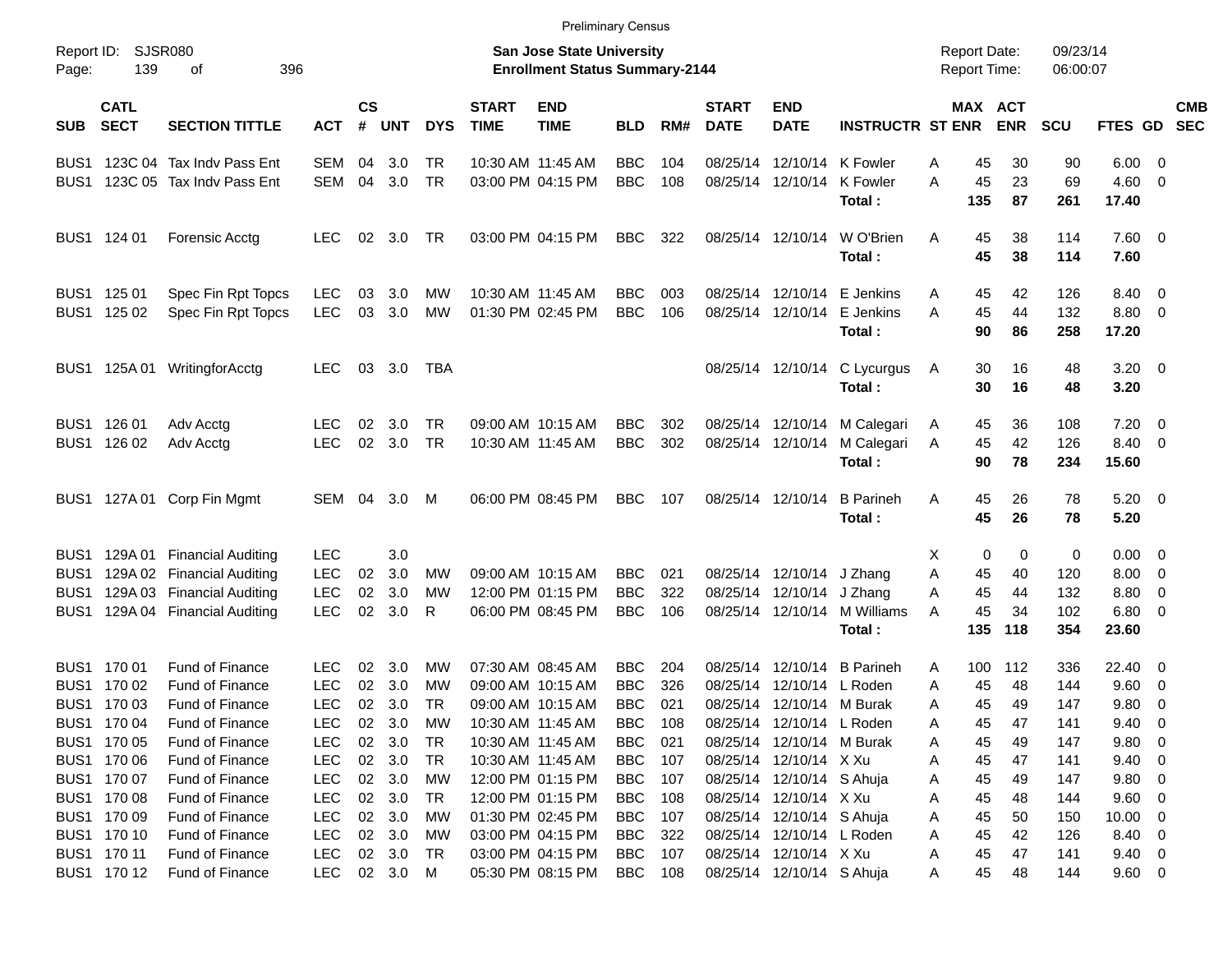BUS1 123C 04 Tax Indv Pass Ent SEM 04 3.0 TR 10:30 AM 11:45 AM BBC 104 08/25/14 12/10/14 K Fowler A 45 30 90 6.00 0 BUS1 123C 05 Tax Indv Pass Ent SEM 04 3.0 TR 03:00 PM 04:15 PM BBC 108 08/25/14 12/10/14 K Fowler A 45 23 69 4.60 0 **Total : 135 87 261 17.40** BUS1 124 01 Forensic Acctg LEC 02 3.0 TR 03:00 PM 04:15 PM BBC 322 08/25/14 12/10/14 W O'Brien A 45 38 114 7.60 0 **Total : 45 38 114 7.60** BUS1 125 01 Spec Fin Rpt Topcs LEC 03 3.0 MW 10:30 AM 11:45 AM BBC 003 08/25/14 12/10/14 E Jenkins A 45 42 126 8.40 0 BUS1 125 02 Spec Fin Rpt Topcs LEC 03 3.0 MW 01:30 PM 02:45 PM BBC 106 08/25/14 12/10/14 E Jenkins A 45 44 132 8.80 0 **Total : 90 86 258 17.20** BUS1 125A 01 WritingforAcctg LEC 03 3.0 TBA 08/25/14 12/10/14 C Lycurgus A 30 16 48 3.20 0 **Total : 30 16 48 3.20** BUS1 126 01 Adv Acctg LEC 02 3.0 TR 09:00 AM 10:15 AM BBC 302 08/25/14 12/10/14 M Calegari A 45 36 108 7.20 0 BUS1 126 02 Adv Acctg LEC 02 3.0 TR 10:30 AM 11:45 AM BBC 302 08/25/14 12/10/14 M Calegari A 45 42 126 8.40 0 **Total : 90 78 234 15.60** BUS1 127A 01 Corp Fin Mgmt SEM 04 3.0 M 06:00 PM 08:45 PM BBC 107 08/25/14 12/10/14 B Parineh A 45 26 78 5.20 0 **Total : 45 26 78 5.20** BUS1 129A 01 Financial Auditing LEC 3.0 X 0 0 0 0.00 0 BUS1 129A 02 Financial Auditing LEC 02 3.0 MW 09:00 AM 10:15 AM BBC 021 08/25/14 12/10/14 J Zhang A 45 40 120 8.00 0 BUS1 129A 03 Financial Auditing LEC 02 3.0 MW 12:00 PM 01:15 PM BBC 322 08/25/14 12/10/14 J Zhang A 45 44 132 8.80 0 BUS1 129A 04 Financial Auditing LEC 02 3.0 R 06:00 PM 08:45 PM BBC 106 08/25/14 12/10/14 M Williams A 45 34 102 6.80 0 **Total : 135 118 354 23.60** BUS1 170 01 Fund of Finance LEC 02 3.0 MW 07:30 AM 08:45 AM BBC 204 08/25/14 12/10/14 B Parineh A 100 112 336 22.40 0 BUS1 170 02 Fund of Finance LEC 02 3.0 MW 09:00 AM 10:15 AM BBC 326 08/25/14 12/10/14 L Roden A 45 48 144 9.60 0 BUS1 170 03 Fund of Finance LEC 02 3.0 TR 09:00 AM 10:15 AM BBC 021 08/25/14 12/10/14 M Burak A 45 49 147 9.80 0 BUS1 170 04 Fund of Finance LEC 02 3.0 MW 10:30 AM 11:45 AM BBC 108 08/25/14 12/10/14 L Roden A 45 47 141 9.40 0 BUS1 170 05 Fund of Finance LEC 02 3.0 TR 10:30 AM 11:45 AM BBC 021 08/25/14 12/10/14 M Burak A 45 49 147 9.80 0 BUS1 170 06 Fund of Finance LEC 02 3.0 TR 10:30 AM 11:45 AM BBC 107 08/25/14 12/10/14 X Xu A 45 47 141 9.40 0 BUS1 170 07 Fund of Finance LEC 02 3.0 MW 12:00 PM 01:15 PM BBC 107 08/25/14 12/10/14 S Ahuja A 45 49 147 9.80 0 BUS1 170 08 Fund of Finance LEC 02 3.0 TR 12:00 PM 01:15 PM BBC 108 08/25/14 12/10/14 X Xu A 45 48 144 9.60 0 BUS1 170 09 Fund of Finance LEC 02 3.0 MW 01:30 PM 02:45 PM BBC 107 08/25/14 12/10/14 S Ahuja A 45 50 150 10.00 0 BUS1 170 10 Fund of Finance LEC 02 3.0 MW 03:00 PM 04:15 PM BBC 322 08/25/14 12/10/14 L Roden A 45 42 126 8.40 0 BUS1 170 11 Fund of Finance LEC 02 3.0 TR 03:00 PM 04:15 PM BBC 107 08/25/14 12/10/14 X Xu A 45 47 141 9.40 0 BUS1 170 12 Fund of Finance LEC 02 3.0 M 05:30 PM 08:15 PM BBC 108 08/25/14 12/10/14 S Ahuja A 45 48 144 9.60 0 Report ID: SJSR080 **San Jose State University San Jose State University San Jose State University Report Date:** 09/23/14 Page: 139 of 396 **Enrollment Status Summary-2144** Report Time: 06:00:07 **CATL CS START END START END MAX ACT CMB** SUB SECT SECTION TITTLE ACT # UNT DYS TIME TIME BLD RM# DATE DATE INSTRUCTR ST ENR ENR SCU FTES GD SEC

Preliminary Census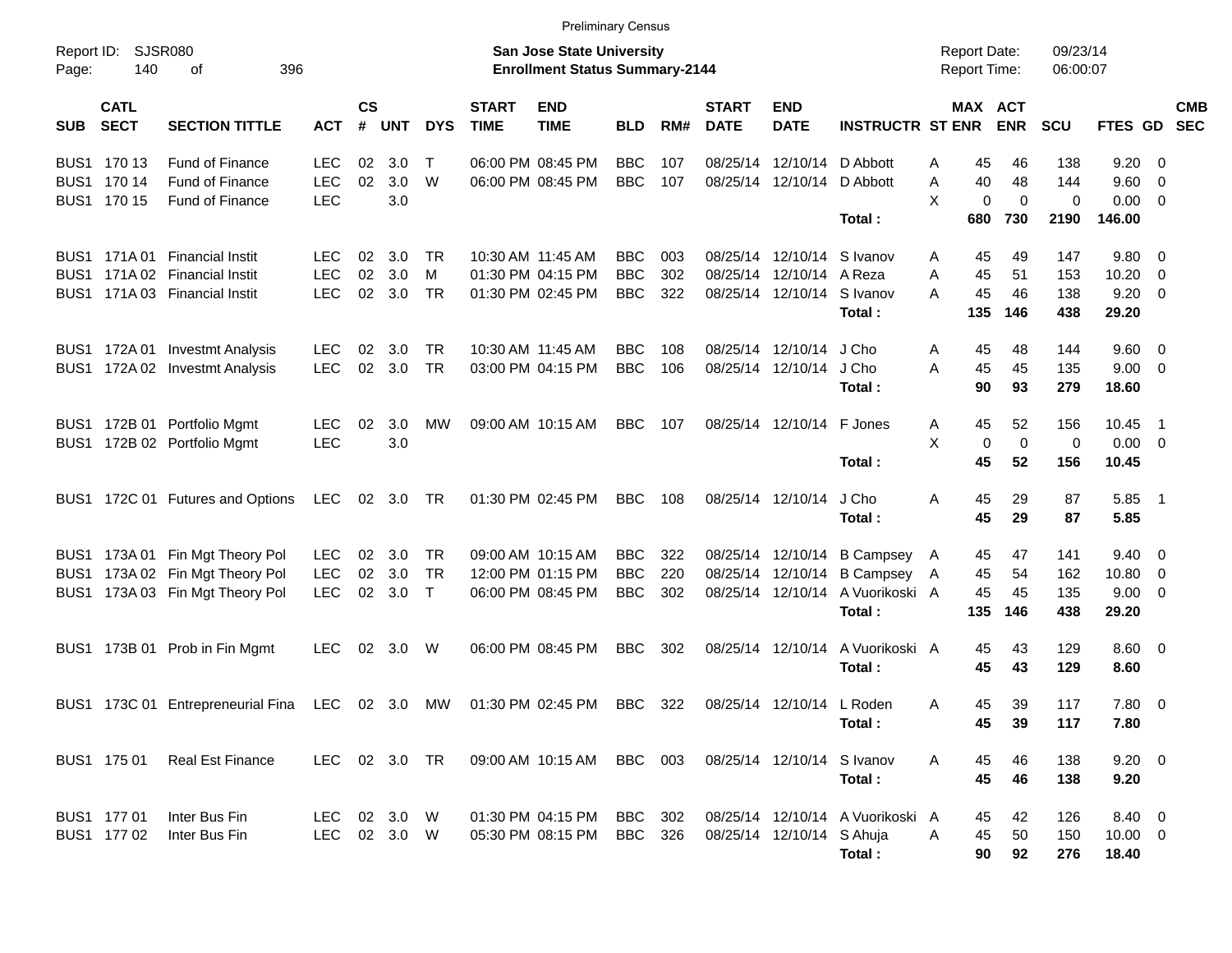|                     |                            |                                   |               |                    |            |            |                             | <b>Preliminary Census</b>                                                 |            |     |                             |                            |                                  |                                            |                       |                      |                  |                          |            |
|---------------------|----------------------------|-----------------------------------|---------------|--------------------|------------|------------|-----------------------------|---------------------------------------------------------------------------|------------|-----|-----------------------------|----------------------------|----------------------------------|--------------------------------------------|-----------------------|----------------------|------------------|--------------------------|------------|
| Report ID:<br>Page: | 140                        | SJSR080<br>οf<br>396              |               |                    |            |            |                             | <b>San Jose State University</b><br><b>Enrollment Status Summary-2144</b> |            |     |                             |                            |                                  | <b>Report Date:</b><br><b>Report Time:</b> |                       | 09/23/14<br>06:00:07 |                  |                          |            |
| <b>SUB</b>          | <b>CATL</b><br><b>SECT</b> | <b>SECTION TITTLE</b>             | <b>ACT</b>    | $\mathsf{cs}$<br># | <b>UNT</b> | <b>DYS</b> | <b>START</b><br><b>TIME</b> | <b>END</b><br><b>TIME</b>                                                 | <b>BLD</b> | RM# | <b>START</b><br><b>DATE</b> | <b>END</b><br><b>DATE</b>  | <b>INSTRUCTR ST ENR</b>          |                                            | MAX ACT<br><b>ENR</b> | <b>SCU</b>           | FTES GD SEC      |                          | <b>CMB</b> |
|                     | BUS1 170 13                | <b>Fund of Finance</b>            | LEC           | 02                 | 3.0        | $\top$     |                             | 06:00 PM 08:45 PM                                                         | <b>BBC</b> | 107 | 08/25/14                    |                            | 12/10/14 D Abbott                | 45<br>Α                                    | 46                    | 138                  | $9.20 \ 0$       |                          |            |
|                     | BUS1 170 14                | <b>Fund of Finance</b>            | <b>LEC</b>    | 02                 | 3.0        | W          |                             | 06:00 PM 08:45 PM                                                         | <b>BBC</b> | 107 |                             | 08/25/14 12/10/14 D Abbott |                                  | 40<br>A                                    | 48                    | 144                  | $9.60 \quad 0$   |                          |            |
|                     | BUS1 170 15                | <b>Fund of Finance</b>            | <b>LEC</b>    |                    | 3.0        |            |                             |                                                                           |            |     |                             |                            |                                  | X                                          | 0<br>$\Omega$         | $\mathbf 0$          | $0.00 \t 0$      |                          |            |
|                     |                            |                                   |               |                    |            |            |                             |                                                                           |            |     |                             |                            | Total:                           | 680                                        | 730                   | 2190                 | 146.00           |                          |            |
|                     | BUS1 171A01                | <b>Financial Instit</b>           | LEC           | 02                 | 3.0        | TR.        |                             | 10:30 AM 11:45 AM                                                         | <b>BBC</b> | 003 |                             | 08/25/14 12/10/14 S Ivanov |                                  | 45<br>A                                    | 49                    | 147                  | 9.80 0           |                          |            |
| BUS <sub>1</sub>    |                            | 171A 02 Financial Instit          | <b>LEC</b>    | 02                 | 3.0        | м          |                             | 01:30 PM 04:15 PM                                                         | <b>BBC</b> | 302 |                             | 08/25/14 12/10/14 A Reza   |                                  | 45<br>Α                                    | 51                    | 153                  | 10.20            | $\overline{\mathbf{0}}$  |            |
| BUS1                |                            | 171A 03 Financial Instit          | <b>LEC</b>    | 02                 | 3.0        | TR         |                             | 01:30 PM 02:45 PM                                                         | <b>BBC</b> | 322 |                             | 08/25/14 12/10/14 S Ivanov |                                  | 45<br>A                                    | 46                    | 138                  | $9.20 \ 0$       |                          |            |
|                     |                            |                                   |               |                    |            |            |                             |                                                                           |            |     |                             |                            | Total:                           | 135                                        | 146                   | 438                  | 29.20            |                          |            |
| BUS1                |                            | 172A 01 Investmt Analysis         | <b>LEC</b>    | 02                 | 3.0        | TR.        |                             | 10:30 AM 11:45 AM                                                         | BBC        | 108 |                             | 08/25/14 12/10/14          | J Cho                            | 45<br>A                                    | 48                    | 144                  | $9.60 \quad 0$   |                          |            |
| BUS1                |                            | 172A 02 Investmt Analysis         | <b>LEC</b>    | 02                 | 3.0        | <b>TR</b>  |                             | 03:00 PM 04:15 PM                                                         | <b>BBC</b> | 106 |                             | 08/25/14 12/10/14          | J Cho                            | 45<br>A                                    | 45                    | 135                  | $9.00 \t 0$      |                          |            |
|                     |                            |                                   |               |                    |            |            |                             |                                                                           |            |     |                             |                            | Total:                           | 90                                         | 93                    | 279                  | 18.60            |                          |            |
|                     |                            | BUS1 172B 01 Portfolio Mgmt       | <b>LEC</b>    | 02                 | 3.0        | МW         |                             | 09:00 AM 10:15 AM                                                         | <b>BBC</b> | 107 |                             | 08/25/14 12/10/14 F Jones  |                                  | 45<br>A                                    | 52                    | 156                  | 10.45            | $\overline{\phantom{1}}$ |            |
|                     |                            | BUS1 172B 02 Portfolio Mgmt       | <b>LEC</b>    |                    | 3.0        |            |                             |                                                                           |            |     |                             |                            |                                  | X                                          | 0<br>0                | 0                    | $0.00 \t 0$      |                          |            |
|                     |                            |                                   |               |                    |            |            |                             |                                                                           |            |     |                             |                            | Total:                           | 45                                         | 52                    | 156                  | 10.45            |                          |            |
|                     |                            |                                   |               |                    |            |            |                             |                                                                           |            |     |                             |                            |                                  |                                            |                       |                      |                  |                          |            |
| BUS1                |                            | 172C 01 Futures and Options       | LEC           |                    | 02 3.0 TR  |            |                             | 01:30 PM 02:45 PM                                                         | <b>BBC</b> | 108 |                             | 08/25/14 12/10/14          | J Cho<br>Total:                  | Α<br>45<br>45                              | 29<br>29              | 87<br>87             | $5.85$ 1<br>5.85 |                          |            |
|                     |                            |                                   |               |                    |            |            |                             |                                                                           |            |     |                             |                            |                                  |                                            |                       |                      |                  |                          |            |
| BUS <sub>1</sub>    |                            | 173A 01 Fin Mgt Theory Pol        | <b>LEC</b>    | 02                 | - 3.0      | <b>TR</b>  |                             | 09:00 AM 10:15 AM                                                         | <b>BBC</b> | 322 |                             |                            | 08/25/14 12/10/14 B Campsey      | 45<br>$\mathsf{A}$                         | 47                    | 141                  | $9.40 \quad 0$   |                          |            |
| BUS <sub>1</sub>    |                            | 173A 02 Fin Mgt Theory Pol        | <b>LEC</b>    | 02                 | 3.0        | <b>TR</b>  |                             | 12:00 PM 01:15 PM                                                         | <b>BBC</b> | 220 |                             |                            | 08/25/14 12/10/14 B Campsey      | 45<br>A                                    | 54                    | 162                  | 10.80 0          |                          |            |
| BUS1                |                            | 173A 03 Fin Mgt Theory Pol        | <b>LEC</b>    | 02                 | 3.0        | $\top$     |                             | 06:00 PM 08:45 PM                                                         | <b>BBC</b> | 302 |                             |                            | 08/25/14 12/10/14 A Vuorikoski A | 45                                         | 45                    | 135                  | $9.00 \t 0$      |                          |            |
|                     |                            |                                   |               |                    |            |            |                             |                                                                           |            |     |                             |                            | Total:                           | 135                                        | 146                   | 438                  | 29.20            |                          |            |
| BUS1                |                            | 173B 01 Prob in Fin Mgmt          | <b>LEC</b>    | 02                 | 3.0        | W          |                             | 06:00 PM 08:45 PM                                                         | <b>BBC</b> | 302 |                             | 08/25/14 12/10/14          | A Vuorikoski A                   | 45                                         | 43                    | 129                  | $8.60 \quad 0$   |                          |            |
|                     |                            |                                   |               |                    |            |            |                             |                                                                           |            |     |                             |                            | Total:                           | 45                                         | 43                    | 129                  | 8.60             |                          |            |
|                     |                            | BUS1 173C 01 Entrepreneurial Fina | LEC           |                    | 02 3.0     | MW         |                             | 01:30 PM 02:45 PM                                                         | <b>BBC</b> | 322 |                             | 08/25/14 12/10/14 L Roden  |                                  | 45<br>A                                    | 39                    | 117                  | 7.80 0           |                          |            |
|                     |                            |                                   |               |                    |            |            |                             |                                                                           |            |     |                             |                            | Total:                           | 45                                         | 39                    | 117                  | 7.80             |                          |            |
|                     |                            |                                   |               |                    |            |            |                             |                                                                           |            |     |                             |                            |                                  |                                            |                       |                      |                  |                          |            |
|                     | BUS1 175 01                | <b>Real Est Finance</b>           | LEC 02 3.0 TR |                    |            |            |                             | 09:00 AM 10:15 AM                                                         | BBC 003    |     |                             | 08/25/14 12/10/14 S Ivanov |                                  | 45<br>A                                    | 46                    | 138                  | $9.20 \ 0$       |                          |            |
|                     |                            |                                   |               |                    |            |            |                             |                                                                           |            |     |                             |                            | Total:                           | 45                                         | 46                    | 138                  | 9.20             |                          |            |
|                     | BUS1 177 01                | Inter Bus Fin                     | LEC.          |                    | 02 3.0 W   |            |                             | 01:30 PM 04:15 PM                                                         | BBC        | 302 |                             |                            | 08/25/14 12/10/14 A Vuorikoski A | 45                                         | 42                    | 126                  | 8.40 0           |                          |            |
|                     | BUS1 177 02                | Inter Bus Fin                     | <b>LEC</b>    |                    | 02 3.0 W   |            |                             | 05:30 PM 08:15 PM                                                         | BBC        | 326 |                             | 08/25/14 12/10/14 S Ahuja  |                                  | 45<br>A                                    | 50                    | 150                  | $10.00 \t 0$     |                          |            |
|                     |                            |                                   |               |                    |            |            |                             |                                                                           |            |     |                             |                            | Total:                           | 90                                         | 92                    | 276                  | 18.40            |                          |            |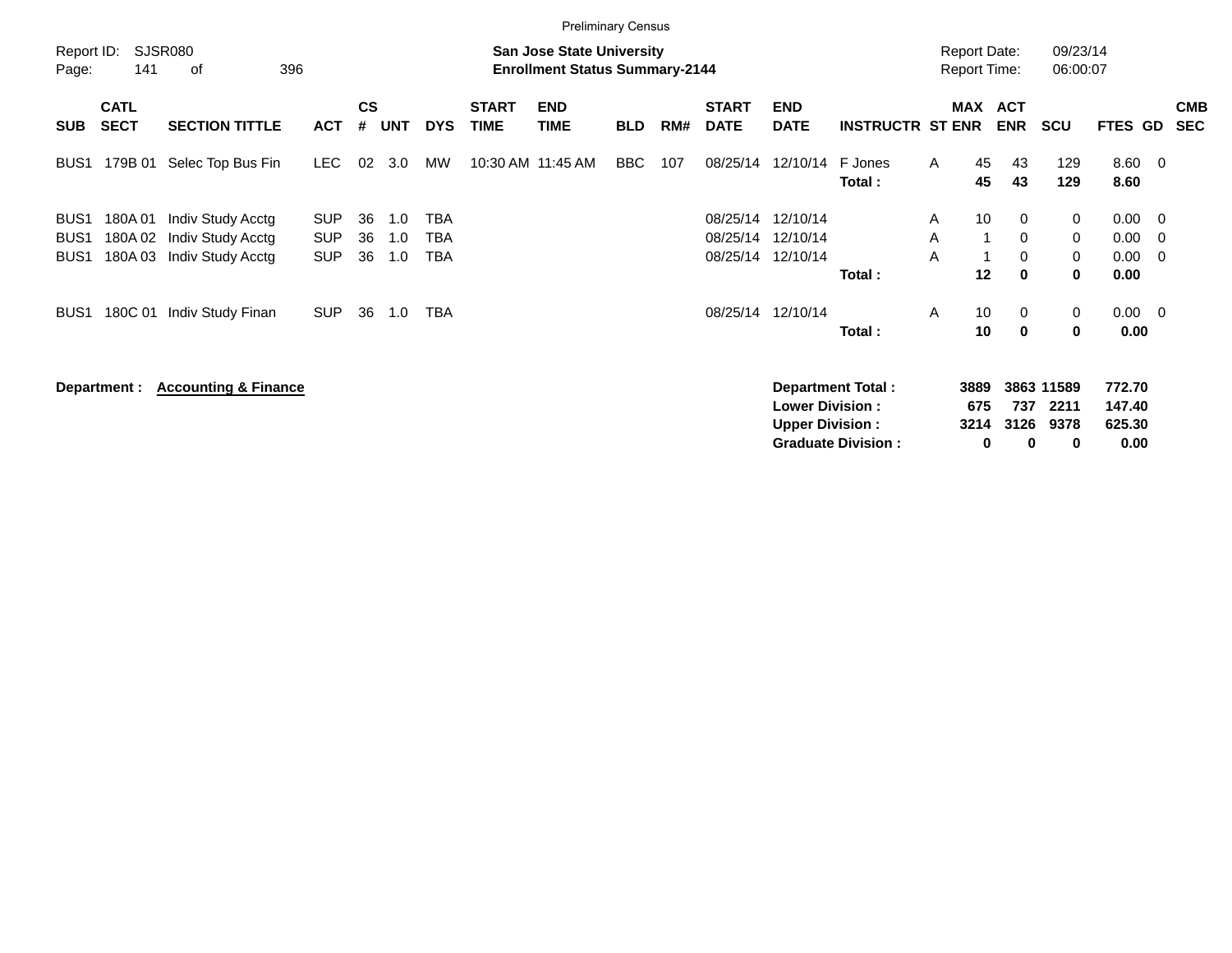|                                      |                            |                                        |                          |                    |            |            |                             | <b>Preliminary Census</b>                                                 |            |     |                             |                                                  |                           |                                            |                             |                            |                            |                                                     |
|--------------------------------------|----------------------------|----------------------------------------|--------------------------|--------------------|------------|------------|-----------------------------|---------------------------------------------------------------------------|------------|-----|-----------------------------|--------------------------------------------------|---------------------------|--------------------------------------------|-----------------------------|----------------------------|----------------------------|-----------------------------------------------------|
| Report ID:<br>Page:                  | 141                        | SJSR080<br>396<br>οf                   |                          |                    |            |            |                             | <b>San Jose State University</b><br><b>Enrollment Status Summary-2144</b> |            |     |                             |                                                  |                           | <b>Report Date:</b><br><b>Report Time:</b> |                             | 09/23/14<br>06:00:07       |                            |                                                     |
| <b>SUB</b>                           | <b>CATL</b><br><b>SECT</b> | <b>SECTION TITTLE</b>                  | <b>ACT</b>               | $\mathsf{cs}$<br># | <b>UNT</b> | <b>DYS</b> | <b>START</b><br><b>TIME</b> | <b>END</b><br><b>TIME</b>                                                 | <b>BLD</b> | RM# | <b>START</b><br><b>DATE</b> | <b>END</b><br><b>DATE</b>                        | <b>INSTRUCTR ST ENR</b>   | <b>MAX</b>                                 | <b>ACT</b><br><b>ENR</b>    | <b>SCU</b>                 | <b>FTES GD</b>             | <b>CMB</b><br><b>SEC</b>                            |
| BUS1                                 | 179B 01                    | Selec Top Bus Fin                      | <b>LEC</b>               | 02                 | 3.0        | MW         |                             | 10:30 AM 11:45 AM                                                         | <b>BBC</b> | 107 | 08/25/14                    | 12/10/14                                         | F Jones<br>Total:         | 45<br>A<br>45                              | 43<br>43                    | 129<br>129                 | $8.60 \quad 0$<br>8.60     |                                                     |
| BUS <sub>1</sub><br>BUS <sub>1</sub> | 180A01<br>180A02           | Indiv Study Acctg<br>Indiv Study Acctg | <b>SUP</b><br><b>SUP</b> | 36<br>36           | 1.0<br>1.0 | TBA<br>TBA |                             |                                                                           |            |     | 08/25/14<br>08/25/14        | 12/10/14<br>12/10/14                             |                           | 10<br>A<br>A                               | $\mathbf{0}$<br>$\mathbf 0$ | 0<br>0                     | 0.00<br>0.00               | $\overline{\phantom{0}}$<br>$\overline{\mathbf{0}}$ |
| BUS <sub>1</sub>                     | 180A03                     | Indiv Study Acctg                      | <b>SUP</b>               | 36                 | 1.0        | TBA        |                             |                                                                           |            |     | 08/25/14                    | 12/10/14                                         | Total:                    | A<br>12                                    | 0<br>$\bf{0}$               | 0<br>0                     | 0.00<br>0.00               | $\overline{\mathbf{0}}$                             |
| BUS1                                 | 180C 01                    | Indiv Study Finan                      | <b>SUP</b>               | 36                 | 1.0        | <b>TBA</b> |                             |                                                                           |            |     | 08/25/14                    | 12/10/14                                         | Total:                    | 10<br>A<br>10                              | $\mathbf{0}$<br>$\mathbf 0$ | 0<br>$\bf{0}$              | $0.00 \quad 0$<br>0.00     |                                                     |
|                                      | Department :               | <b>Accounting &amp; Finance</b>        |                          |                    |            |            |                             |                                                                           |            |     |                             | <b>Lower Division:</b><br><b>Upper Division:</b> | <b>Department Total:</b>  | 3889<br>675<br>3214                        | 737<br>3126                 | 3863 11589<br>2211<br>9378 | 772.70<br>147.40<br>625.30 |                                                     |
|                                      |                            |                                        |                          |                    |            |            |                             |                                                                           |            |     |                             |                                                  | <b>Graduate Division:</b> |                                            | 0<br>0                      | 0                          | 0.00                       |                                                     |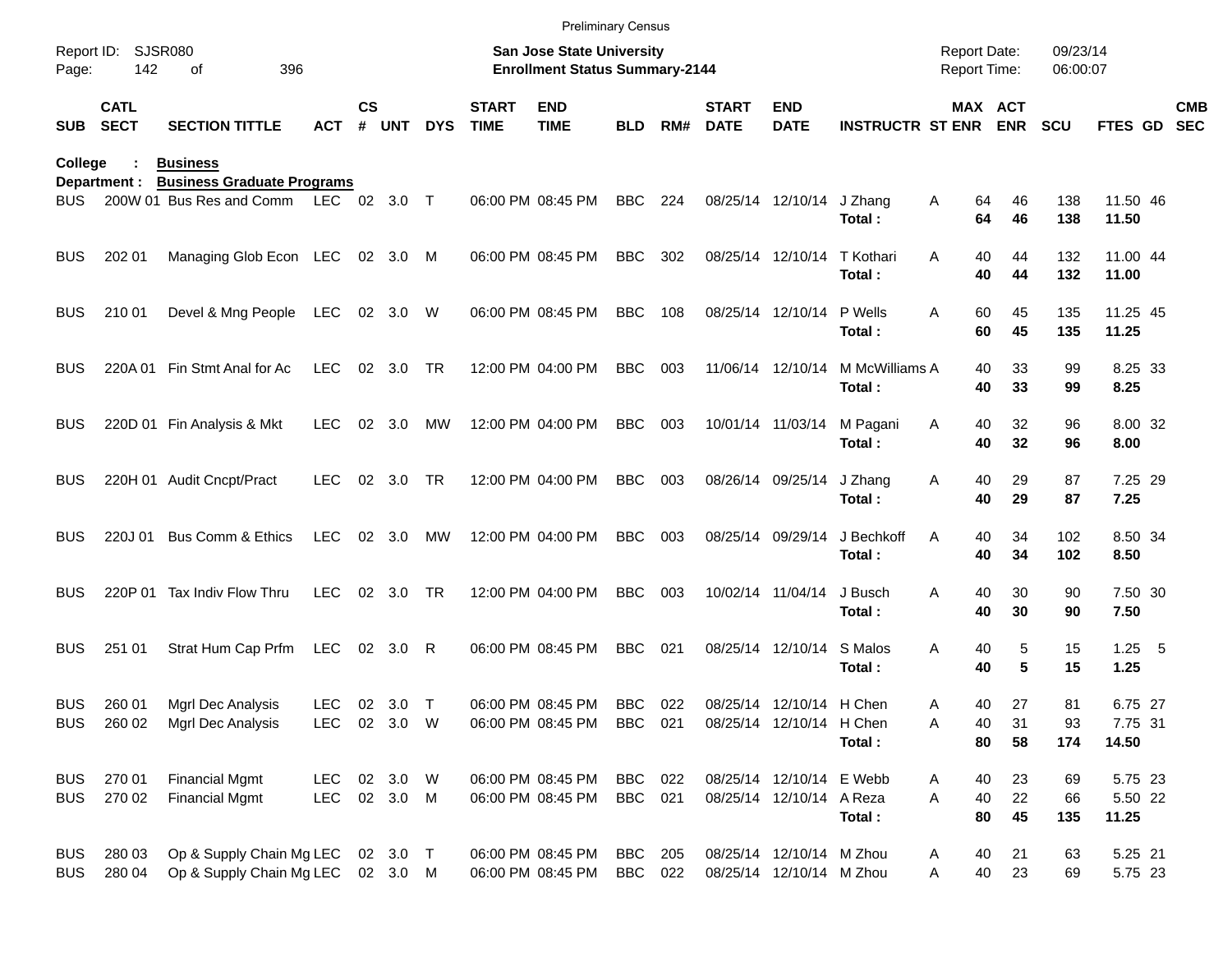|                          |                            |                                                               |                              |               |                      |            |                             | <b>Preliminary Census</b>                                                 |                           |     |                             |                                                      |                             |                                            |                |                      |                             |                          |
|--------------------------|----------------------------|---------------------------------------------------------------|------------------------------|---------------|----------------------|------------|-----------------------------|---------------------------------------------------------------------------|---------------------------|-----|-----------------------------|------------------------------------------------------|-----------------------------|--------------------------------------------|----------------|----------------------|-----------------------------|--------------------------|
| Report ID:<br>Page:      | 142                        | <b>SJSR080</b><br>396<br>οf                                   |                              |               |                      |            |                             | <b>San Jose State University</b><br><b>Enrollment Status Summary-2144</b> |                           |     |                             |                                                      |                             | <b>Report Date:</b><br><b>Report Time:</b> |                | 09/23/14<br>06:00:07 |                             |                          |
| <b>SUB</b>               | <b>CATL</b><br><b>SECT</b> | <b>SECTION TITTLE</b>                                         | ACT                          | $\mathsf{cs}$ | # UNT                | <b>DYS</b> | <b>START</b><br><b>TIME</b> | <b>END</b><br><b>TIME</b>                                                 | <b>BLD</b>                | RM# | <b>START</b><br><b>DATE</b> | <b>END</b><br><b>DATE</b>                            | <b>INSTRUCTR ST ENR ENR</b> |                                            | MAX ACT        | <b>SCU</b>           | <b>FTES GD</b>              | <b>CMB</b><br><b>SEC</b> |
| College                  |                            | <b>Business</b>                                               |                              |               |                      |            |                             |                                                                           |                           |     |                             |                                                      |                             |                                            |                |                      |                             |                          |
| BUS.                     | Department :               | <b>Business Graduate Programs</b><br>200W 01 Bus Res and Comm | LEC 02 3.0 T                 |               |                      |            |                             | 06:00 PM 08:45 PM                                                         | <b>BBC</b>                | 224 |                             | 08/25/14 12/10/14                                    | J Zhang<br>Total:           | 64<br>Α<br>64                              | 46<br>46       | 138<br>138           | 11.50 46<br>11.50           |                          |
| <b>BUS</b>               | 202 01                     | Managing Glob Econ LEC 02 3.0                                 |                              |               |                      | M          |                             | 06:00 PM 08:45 PM                                                         | <b>BBC</b>                | 302 |                             | 08/25/14 12/10/14                                    | T Kothari<br>Total:         | A<br>40<br>40                              | 44<br>44       | 132<br>132           | 11.00 44<br>11.00           |                          |
| <b>BUS</b>               | 210 01                     | Devel & Mng People                                            | LEC                          |               | 02 3.0 W             |            |                             | 06:00 PM 08:45 PM                                                         | <b>BBC</b>                | 108 |                             | 08/25/14 12/10/14                                    | P Wells<br>Total:           | A<br>60<br>60                              | 45<br>45       | 135<br>135           | 11.25 45<br>11.25           |                          |
| <b>BUS</b>               | 220A 01                    | Fin Stmt Anal for Ac                                          | <b>LEC</b>                   |               | 02 3.0               | TR         |                             | 12:00 PM 04:00 PM                                                         | <b>BBC</b>                | 003 |                             | 11/06/14 12/10/14                                    | M McWilliams A<br>Total:    | 40<br>40                                   | 33<br>33       | 99<br>99             | 8.25 33<br>8.25             |                          |
| <b>BUS</b>               |                            | 220D 01 Fin Analysis & Mkt                                    | <b>LEC</b>                   | 02            | 3.0                  | MW         |                             | 12:00 PM 04:00 PM                                                         | <b>BBC</b>                | 003 |                             | 10/01/14 11/03/14                                    | M Pagani<br>Total:          | 40<br>A<br>40                              | 32<br>32       | 96<br>96             | 8.00 32<br>8.00             |                          |
| <b>BUS</b>               |                            | 220H 01 Audit Cncpt/Pract                                     | <b>LEC</b>                   | 02            | 3.0                  | TR         |                             | 12:00 PM 04:00 PM                                                         | <b>BBC</b>                | 003 |                             | 08/26/14 09/25/14                                    | J Zhang<br>Total:           | 40<br>A<br>40                              | 29<br>29       | 87<br>87             | 7.25 29<br>7.25             |                          |
| <b>BUS</b>               | 220J 01                    | Bus Comm & Ethics                                             | <b>LEC</b>                   |               | 02 3.0               | MW         |                             | 12:00 PM 04:00 PM                                                         | <b>BBC</b>                | 003 |                             | 08/25/14 09/29/14                                    | J Bechkoff<br>Total:        | Α<br>40<br>40                              | 34<br>34       | 102<br>102           | 8.50 34<br>8.50             |                          |
| <b>BUS</b>               |                            | 220P 01 Tax Indiv Flow Thru                                   | <b>LEC</b>                   |               | 02 3.0               | <b>TR</b>  |                             | 12:00 PM 04:00 PM                                                         | <b>BBC</b>                | 003 |                             | 10/02/14 11/04/14                                    | J Busch<br>Total:           | A<br>40<br>40                              | 30<br>30       | 90<br>90             | 7.50 30<br>7.50             |                          |
| <b>BUS</b>               | 251 01                     | Strat Hum Cap Prfm                                            | <b>LEC</b>                   |               | 02 3.0               | R          |                             | 06:00 PM 08:45 PM                                                         | <b>BBC</b>                | 021 |                             | 08/25/14 12/10/14                                    | S Malos<br>Total:           | Α<br>40<br>40                              | 5<br>5         | 15<br>15             | $1.25 - 5$<br>1.25          |                          |
| <b>BUS</b><br><b>BUS</b> | 260 01<br>260 02           | Mgrl Dec Analysis<br>Mgrl Dec Analysis                        | LEC<br>LEC 02 3.0 W          |               | 02 3.0               | $\top$     |                             | 06:00 PM 08:45 PM<br>06:00 PM 08:45 PM                                    | <b>BBC</b><br>BBC 021     | 022 |                             | 08/25/14 12/10/14 H Chen<br>08/25/14 12/10/14 H Chen | Total:                      | 40<br>Α<br>Α<br>40<br>80                   | 27<br>31<br>58 | 81<br>93<br>174      | 6.75 27<br>7.75 31<br>14.50 |                          |
| <b>BUS</b><br><b>BUS</b> | 270 01<br>270 02           | <b>Financial Mgmt</b><br><b>Financial Mgmt</b>                | LEC 02 3.0 W<br>LEC 02 3.0 M |               |                      |            |                             | 06:00 PM 08:45 PM<br>06:00 PM 08:45 PM                                    | BBC 022<br>BBC 021        |     |                             | 08/25/14 12/10/14 E Webb<br>08/25/14 12/10/14 A Reza | Total:                      | 40<br>A<br>40<br>A<br>80                   | 23<br>22<br>45 | 69<br>66<br>135      | 5.75 23<br>5.50 22<br>11.25 |                          |
| <b>BUS</b><br><b>BUS</b> | 280 03<br>280 04           | Op & Supply Chain Mg LEC<br>Op & Supply Chain Mg LEC          |                              |               | 02 3.0 T<br>02 3.0 M |            |                             | 06:00 PM 08:45 PM<br>06:00 PM 08:45 PM                                    | <b>BBC</b> 205<br>BBC 022 |     |                             | 08/25/14 12/10/14 M Zhou<br>08/25/14 12/10/14 M Zhou |                             | 40<br>A<br>40<br>Α                         | 21<br>23       | 63<br>69             | 5.25 21<br>5.75 23          |                          |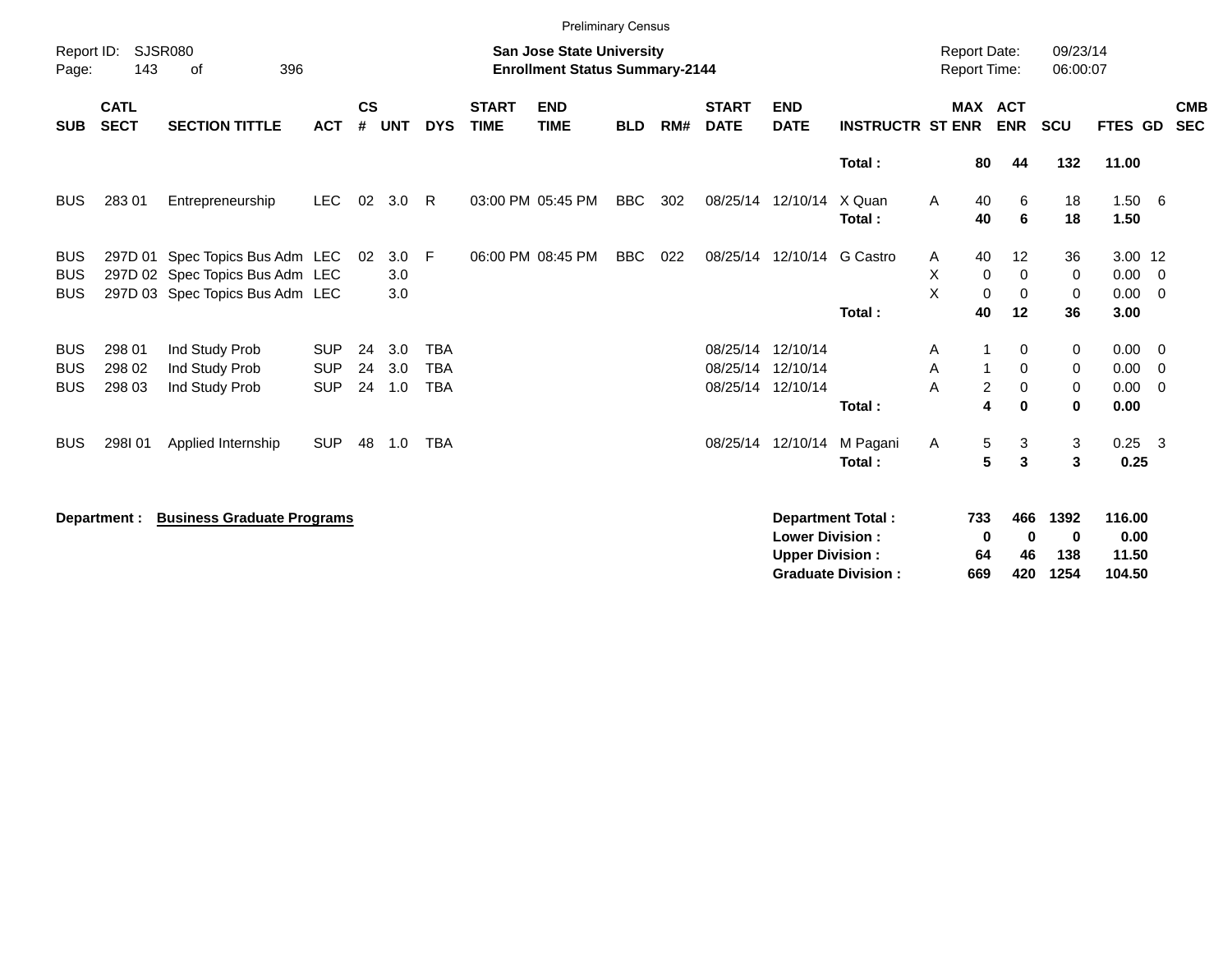|                                        |                            |                                                                                                       |                          |                    |                       |                          |                             | <b>Preliminary Census</b>                                                 |            |     |                             |                                                  |                                                |                                     |                                                      |                                         |                                   |                                           |
|----------------------------------------|----------------------------|-------------------------------------------------------------------------------------------------------|--------------------------|--------------------|-----------------------|--------------------------|-----------------------------|---------------------------------------------------------------------------|------------|-----|-----------------------------|--------------------------------------------------|------------------------------------------------|-------------------------------------|------------------------------------------------------|-----------------------------------------|-----------------------------------|-------------------------------------------|
| Report ID:<br>Page:                    | 143                        | <b>SJSR080</b><br>396<br>оf                                                                           |                          |                    |                       |                          |                             | <b>San Jose State University</b><br><b>Enrollment Status Summary-2144</b> |            |     |                             |                                                  |                                                | <b>Report Date:</b><br>Report Time: |                                                      | 09/23/14<br>06:00:07                    |                                   |                                           |
| <b>SUB</b>                             | <b>CATL</b><br><b>SECT</b> | <b>SECTION TITTLE</b>                                                                                 | <b>ACT</b>               | $\mathsf{cs}$<br># | <b>UNT</b>            | <b>DYS</b>               | <b>START</b><br><b>TIME</b> | <b>END</b><br><b>TIME</b>                                                 | <b>BLD</b> | RM# | <b>START</b><br><b>DATE</b> | <b>END</b><br><b>DATE</b>                        | <b>INSTRUCTR ST ENR</b>                        |                                     | <b>MAX ACT</b><br><b>ENR</b>                         | <b>SCU</b>                              | FTES GD                           | <b>CMB</b><br><b>SEC</b>                  |
|                                        |                            |                                                                                                       |                          |                    |                       |                          |                             |                                                                           |            |     |                             |                                                  | Total:                                         | 80                                  | 44                                                   | 132                                     | 11.00                             |                                           |
| <b>BUS</b>                             | 283 01                     | Entrepreneurship                                                                                      | <b>LEC</b>               | 02                 | 3.0                   | - R                      |                             | 03:00 PM 05:45 PM                                                         | <b>BBC</b> | 302 |                             | 08/25/14 12/10/14                                | X Quan<br>Total:                               | 40<br>A<br>40                       | 6<br>6                                               | 18<br>18                                | 1.506<br>1.50                     |                                           |
| <b>BUS</b><br><b>BUS</b><br><b>BUS</b> |                            | 297D 01 Spec Topics Bus Adm LEC<br>297D 02 Spec Topics Bus Adm LEC<br>297D 03 Spec Topics Bus Adm LEC |                          | 02                 | $3.0$ F<br>3.0<br>3.0 |                          |                             | 06:00 PM 08:45 PM                                                         | <b>BBC</b> | 022 |                             | 08/25/14 12/10/14 G Castro                       |                                                | 40<br>A<br>X<br>0<br>$\sf X$        | $12 \,$<br>$\mathbf 0$<br>$\mathbf 0$<br>$\mathbf 0$ | 36<br>$\mathbf 0$<br>$\mathbf 0$        | 3.00 12<br>0.00<br>$0.00 \t 0$    | $\overline{\phantom{0}}$                  |
|                                        |                            |                                                                                                       |                          |                    |                       |                          |                             |                                                                           |            |     |                             |                                                  | Total:                                         | 40                                  | 12                                                   | 36                                      | 3.00                              |                                           |
| <b>BUS</b><br><b>BUS</b>               | 298 01<br>298 02           | Ind Study Prob<br>Ind Study Prob                                                                      | <b>SUP</b><br><b>SUP</b> | 24<br>24           | 3.0<br>3.0            | <b>TBA</b><br><b>TBA</b> |                             |                                                                           |            |     | 08/25/14<br>08/25/14        | 12/10/14<br>12/10/14                             |                                                | A<br>Α                              | 0<br>$\mathbf 0$                                     | 0<br>0                                  | 0.00<br>0.00                      | $\overline{\mathbf{0}}$<br>$\overline{0}$ |
| <b>BUS</b>                             | 298 03                     | Ind Study Prob                                                                                        | <b>SUP</b>               | 24                 | 1.0                   | <b>TBA</b>               |                             |                                                                           |            |     |                             | 08/25/14 12/10/14                                | Total:                                         | A                                   | $\boldsymbol{2}$<br>$\mathbf 0$<br>4<br>$\bf{0}$     | $\mathbf 0$<br>$\bf{0}$                 | 0.00<br>0.00                      | $\overline{0}$                            |
| <b>BUS</b>                             | 298101                     | Applied Internship                                                                                    | <b>SUP</b>               | 48                 | 1.0                   | <b>TBA</b>               |                             |                                                                           |            |     |                             | 08/25/14 12/10/14                                | M Pagani<br>Total:                             | A                                   | 5<br>3<br>5<br>3                                     | $\mathbf{3}$<br>$\overline{\mathbf{3}}$ | $0.25$ 3<br>0.25                  |                                           |
|                                        | Department :               | <b>Business Graduate Programs</b>                                                                     |                          |                    |                       |                          |                             |                                                                           |            |     |                             | <b>Lower Division:</b><br><b>Upper Division:</b> | Department Total:<br><b>Graduate Division:</b> | 733<br>0<br>64<br>669               | 466<br>0<br>46<br>420                                | 1392<br>0<br>138<br>1254                | 116.00<br>0.00<br>11.50<br>104.50 |                                           |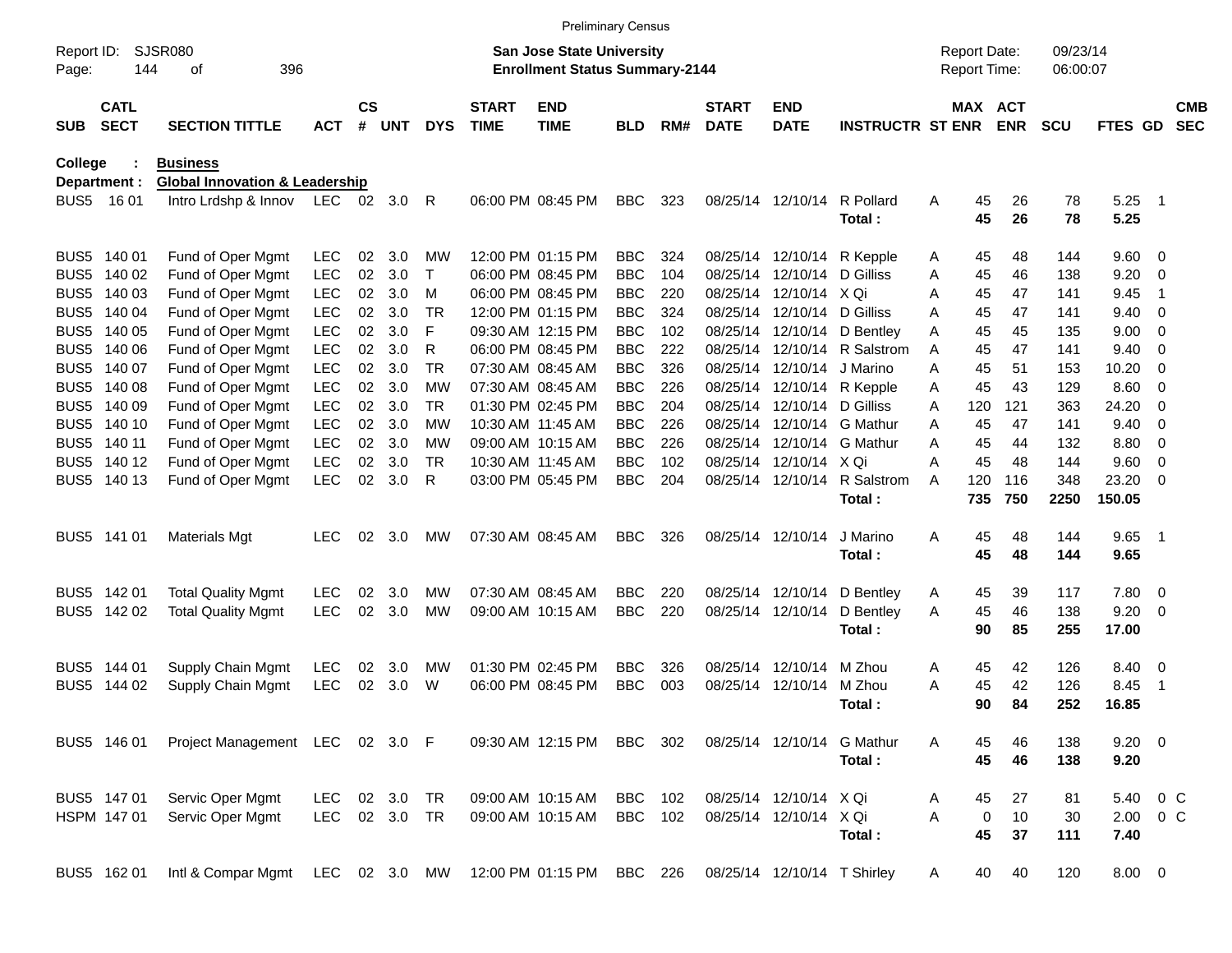|                     |                            |                                           |            |                    |            |            |                             |                                                                           | <b>Preliminary Census</b> |     |                             |                             |                            |   |                                     |            |                      |              |                          |                          |
|---------------------|----------------------------|-------------------------------------------|------------|--------------------|------------|------------|-----------------------------|---------------------------------------------------------------------------|---------------------------|-----|-----------------------------|-----------------------------|----------------------------|---|-------------------------------------|------------|----------------------|--------------|--------------------------|--------------------------|
| Report ID:<br>Page: | 144                        | <b>SJSR080</b><br>396<br>οf               |            |                    |            |            |                             | <b>San Jose State University</b><br><b>Enrollment Status Summary-2144</b> |                           |     |                             |                             |                            |   | <b>Report Date:</b><br>Report Time: |            | 09/23/14<br>06:00:07 |              |                          |                          |
| <b>SUB</b>          | <b>CATL</b><br><b>SECT</b> | <b>SECTION TITTLE</b>                     | <b>ACT</b> | $\mathsf{cs}$<br># | <b>UNT</b> | <b>DYS</b> | <b>START</b><br><b>TIME</b> | <b>END</b><br><b>TIME</b>                                                 | <b>BLD</b>                | RM# | <b>START</b><br><b>DATE</b> | <b>END</b><br><b>DATE</b>   | <b>INSTRUCTR ST ENR</b>    |   | MAX ACT                             | <b>ENR</b> | <b>SCU</b>           | FTES GD      |                          | <b>CMB</b><br><b>SEC</b> |
| College             |                            | <b>Business</b>                           |            |                    |            |            |                             |                                                                           |                           |     |                             |                             |                            |   |                                     |            |                      |              |                          |                          |
|                     | Department :               | <b>Global Innovation &amp; Leadership</b> |            |                    |            |            |                             |                                                                           |                           |     |                             |                             |                            |   |                                     |            |                      |              |                          |                          |
|                     | BUS5 1601                  | Intro Lrdshp & Innov LEC 02 3.0           |            |                    |            | R          |                             | 06:00 PM 08:45 PM                                                         | <b>BBC</b>                | 323 |                             | 08/25/14 12/10/14           | R Pollard<br>Total:        | A | 45<br>45                            | 26<br>26   | 78<br>78             | 5.25<br>5.25 | $\overline{\phantom{0}}$ |                          |
|                     | BUS5 140 01                | Fund of Oper Mgmt                         | <b>LEC</b> | 02                 | 3.0        | МW         |                             | 12:00 PM 01:15 PM                                                         | <b>BBC</b>                | 324 |                             | 08/25/14 12/10/14           | R Kepple                   | A | 45                                  | 48         | 144                  | 9.60 0       |                          |                          |
| BUS <sub>5</sub>    | 140 02                     | Fund of Oper Mgmt                         | <b>LEC</b> | 02                 | 3.0        | Τ          |                             | 06:00 PM 08:45 PM                                                         | <b>BBC</b>                | 104 | 08/25/14                    | 12/10/14                    | D Gilliss                  | Α | 45                                  | 46         | 138                  | 9.20         | - 0                      |                          |
| BUS <sub>5</sub>    | 140 03                     | Fund of Oper Mgmt                         | <b>LEC</b> | 02                 | 3.0        | м          |                             | 06:00 PM 08:45 PM                                                         | <b>BBC</b>                | 220 | 08/25/14                    | 12/10/14 X Qi               |                            | Α | 45                                  | 47         | 141                  | 9.45         | -1                       |                          |
| BUS <sub>5</sub>    | 140 04                     | Fund of Oper Mgmt                         | LEC        | 02                 | 3.0        | <b>TR</b>  |                             | 12:00 PM 01:15 PM                                                         | <b>BBC</b>                | 324 | 08/25/14                    | 12/10/14                    | D Gilliss                  | A | 45                                  | 47         | 141                  | 9.40         | - 0                      |                          |
| BUS <sub>5</sub>    | 140 05                     | Fund of Oper Mgmt                         | LEC        | 02                 | 3.0        | F          |                             | 09:30 AM 12:15 PM                                                         | <b>BBC</b>                | 102 |                             | 08/25/14 12/10/14           | D Bentley                  | Α | 45                                  | 45         | 135                  | 9.00         | - 0                      |                          |
| BUS <sub>5</sub>    | 140 06                     | Fund of Oper Mgmt                         | <b>LEC</b> | 02                 | 3.0        | R          |                             | 06:00 PM 08:45 PM                                                         | <b>BBC</b>                | 222 |                             | 08/25/14 12/10/14           | R Salstrom                 | A | 45                                  | 47         | 141                  | 9.40         | - 0                      |                          |
| BUS <sub>5</sub>    | 140 07                     | Fund of Oper Mgmt                         | <b>LEC</b> | 02                 | 3.0        | <b>TR</b>  |                             | 07:30 AM 08:45 AM                                                         | <b>BBC</b>                | 326 | 08/25/14                    | 12/10/14                    | J Marino                   | Α | 45                                  | 51         | 153                  | 10.20        | - 0                      |                          |
| BUS <sub>5</sub>    | 140 08                     | Fund of Oper Mgmt                         | <b>LEC</b> | 02                 | 3.0        | МW         |                             | 07:30 AM 08:45 AM                                                         | <b>BBC</b>                | 226 |                             | 08/25/14 12/10/14           | R Kepple                   | Α | 45                                  | 43         | 129                  | 8.60         | - 0                      |                          |
| BUS <sub>5</sub>    | 140 09                     | Fund of Oper Mgmt                         | <b>LEC</b> | 02                 | 3.0        | <b>TR</b>  |                             | 01:30 PM 02:45 PM                                                         | <b>BBC</b>                | 204 |                             | 08/25/14 12/10/14           | D Gilliss                  | Α | 120                                 | 121        | 363                  | 24.20        | - 0                      |                          |
| BUS <sub>5</sub>    | 140 10                     | Fund of Oper Mgmt                         | <b>LEC</b> | 02                 | 3.0        | МW         |                             | 10:30 AM 11:45 AM                                                         | <b>BBC</b>                | 226 | 08/25/14                    | 12/10/14                    | <b>G</b> Mathur            | A | 45                                  | 47         | 141                  | 9.40         | $\overline{0}$           |                          |
| BUS <sub>5</sub>    | 140 11                     | Fund of Oper Mgmt                         | <b>LEC</b> | 02                 | 3.0        | МW         |                             | 09:00 AM 10:15 AM                                                         | <b>BBC</b>                | 226 |                             | 08/25/14 12/10/14           | G Mathur                   | Α | 45                                  | 44         | 132                  | 8.80         | $\overline{\mathbf{0}}$  |                          |
| BUS <sub>5</sub>    | 140 12                     | Fund of Oper Mgmt                         | <b>LEC</b> | 02                 | 3.0        | <b>TR</b>  |                             | 10:30 AM 11:45 AM                                                         | <b>BBC</b>                | 102 |                             | 08/25/14 12/10/14 X Qi      |                            | Α | 45                                  | 48         | 144                  | 9.60         | 0                        |                          |
|                     | BUS5 140 13                | Fund of Oper Mgmt                         | <b>LEC</b> | 02                 | 3.0        | R          |                             | 03:00 PM 05:45 PM                                                         | <b>BBC</b>                | 204 |                             | 08/25/14 12/10/14           | R Salstrom                 | A | 120                                 | 116        | 348                  | 23.20        | - 0                      |                          |
|                     |                            |                                           |            |                    |            |            |                             |                                                                           |                           |     |                             |                             | Total:                     |   | 735                                 | 750        | 2250                 | 150.05       |                          |                          |
|                     | BUS5 141 01                | <b>Materials Mgt</b>                      | <b>LEC</b> | 02                 | 3.0        | MW         |                             | 07:30 AM 08:45 AM                                                         | <b>BBC</b>                | 326 |                             | 08/25/14 12/10/14           | J Marino                   | Α | 45                                  | 48         | 144                  | 9.65         | $\overline{\phantom{1}}$ |                          |
|                     |                            |                                           |            |                    |            |            |                             |                                                                           |                           |     |                             |                             | Total:                     |   | 45                                  | 48         | 144                  | 9.65         |                          |                          |
|                     | BUS5 142 01                | <b>Total Quality Mgmt</b>                 | <b>LEC</b> | 02                 | 3.0        | MW         |                             | 07:30 AM 08:45 AM                                                         | <b>BBC</b>                | 220 |                             | 08/25/14 12/10/14           | D Bentley                  | A | 45                                  | 39         | 117                  | 7.80 0       |                          |                          |
|                     | BUS5 142 02                | <b>Total Quality Mgmt</b>                 | <b>LEC</b> | 02                 | 3.0        | MW         |                             | 09:00 AM 10:15 AM                                                         | <b>BBC</b>                | 220 |                             | 08/25/14 12/10/14           | D Bentley                  | A | 45                                  | 46         | 138                  | 9.20         | $\overline{\phantom{0}}$ |                          |
|                     |                            |                                           |            |                    |            |            |                             |                                                                           |                           |     |                             |                             | Total:                     |   | 90                                  | 85         | 255                  | 17.00        |                          |                          |
|                     | BUS5 144 01                | Supply Chain Mgmt                         | LEC        | 02                 | 3.0        | MW         |                             | 01:30 PM 02:45 PM                                                         | <b>BBC</b>                | 326 |                             | 08/25/14 12/10/14           | M Zhou                     | A | 45                                  | 42         | 126                  | 8.40         | $\overline{\phantom{0}}$ |                          |
| BUS <sub>5</sub>    | 144 02                     | Supply Chain Mgmt                         | <b>LEC</b> | 02                 | 3.0        | W          |                             | 06:00 PM 08:45 PM                                                         | <b>BBC</b>                | 003 | 08/25/14                    | 12/10/14                    | M Zhou                     | Α | 45                                  | 42         | 126                  | 8.45         | -1                       |                          |
|                     |                            |                                           |            |                    |            |            |                             |                                                                           |                           |     |                             |                             | Total:                     |   | 90                                  | 84         | 252                  | 16.85        |                          |                          |
|                     | BUS5 146 01                | Project Management LEC 02 3.0 F           |            |                    |            |            |                             | 09:30 AM 12:15 PM                                                         | BBC                       | 302 |                             |                             | 08/25/14 12/10/14 G Mathur | A | 45                                  | 46         | 138                  | $9.20 \ 0$   |                          |                          |
|                     |                            |                                           |            |                    |            |            |                             |                                                                           |                           |     |                             |                             | Total:                     |   | 45                                  | 46         | 138                  | 9.20         |                          |                          |
|                     | BUS5 147 01                | Servic Oper Mgmt                          | <b>LEC</b> |                    | 02 3.0     | TR         |                             | 09:00 AM 10:15 AM                                                         | <b>BBC</b>                | 102 |                             | 08/25/14 12/10/14 X Qi      |                            | Α | 45                                  | 27         | 81                   | 5.40         | $0\,$ C                  |                          |
|                     | HSPM 147 01                | Servic Oper Mgmt                          | <b>LEC</b> |                    | 02 3.0     | <b>TR</b>  |                             | 09:00 AM 10:15 AM                                                         | BBC 102                   |     |                             | 08/25/14 12/10/14 X Qi      |                            | A | 0                                   | 10         | 30                   | 2.00 0 C     |                          |                          |
|                     |                            |                                           |            |                    |            |            |                             |                                                                           |                           |     |                             |                             | Total:                     |   | 45                                  | 37         | 111                  | 7.40         |                          |                          |
|                     | BUS5 162 01                | Intl & Compar Mgmt LEC 02 3.0 MW          |            |                    |            |            |                             | 12:00 PM 01:15 PM                                                         | BBC 226                   |     |                             | 08/25/14 12/10/14 T Shirley |                            | A | 40                                  | 40         | 120                  | $8.00 \t 0$  |                          |                          |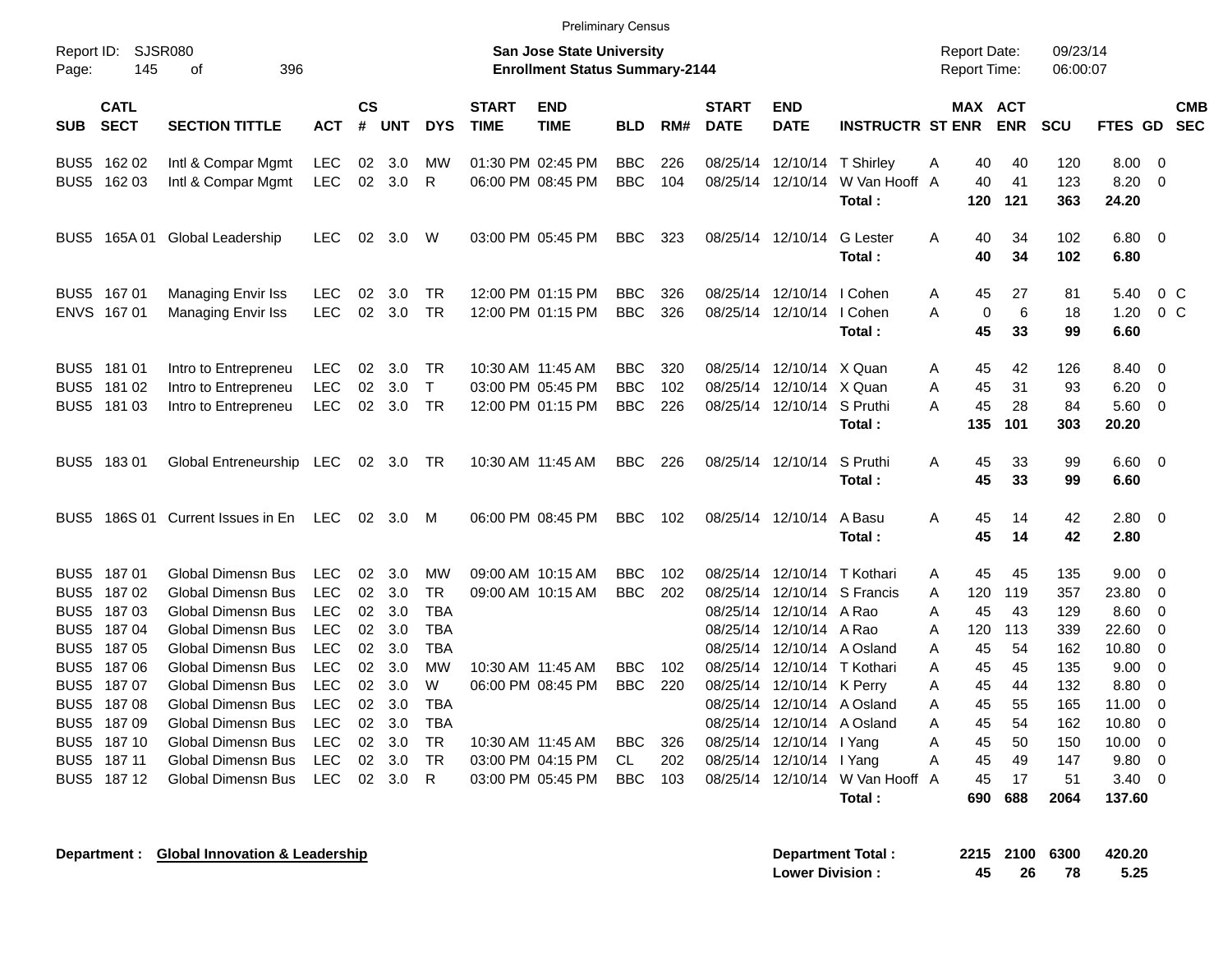|                                                      |                                                  |                                                                                                                          |                                                                    |                                   |                                    |                                                           |                             | <b>Preliminary Census</b>                                                 |                                        |                   |                                              |                                                                   |                                                     |                                                       |                              |                                 |                                         |                                                    |                          |
|------------------------------------------------------|--------------------------------------------------|--------------------------------------------------------------------------------------------------------------------------|--------------------------------------------------------------------|-----------------------------------|------------------------------------|-----------------------------------------------------------|-----------------------------|---------------------------------------------------------------------------|----------------------------------------|-------------------|----------------------------------------------|-------------------------------------------------------------------|-----------------------------------------------------|-------------------------------------------------------|------------------------------|---------------------------------|-----------------------------------------|----------------------------------------------------|--------------------------|
| Report ID:<br>Page:                                  | 145                                              | SJSR080<br>396<br>οf                                                                                                     |                                                                    |                                   |                                    |                                                           |                             | <b>San Jose State University</b><br><b>Enrollment Status Summary-2144</b> |                                        |                   |                                              |                                                                   |                                                     | <b>Report Date:</b><br>Report Time:                   |                              | 09/23/14<br>06:00:07            |                                         |                                                    |                          |
| <b>SUB</b>                                           | <b>CATL</b><br><b>SECT</b>                       | <b>SECTION TITTLE</b>                                                                                                    | <b>ACT</b>                                                         | <b>CS</b><br>#                    | <b>UNT</b>                         | <b>DYS</b>                                                | <b>START</b><br><b>TIME</b> | <b>END</b><br><b>TIME</b>                                                 | <b>BLD</b>                             | RM#               | <b>START</b><br><b>DATE</b>                  | <b>END</b><br><b>DATE</b>                                         | <b>INSTRUCTR ST ENR</b>                             |                                                       | MAX ACT<br><b>ENR</b>        | <b>SCU</b>                      | <b>FTES GD</b>                          |                                                    | <b>CMB</b><br><b>SEC</b> |
| BUS <sub>5</sub>                                     | 162 02<br>BUS5 162 03                            | Intl & Compar Mgmt<br>Intl & Compar Mgmt                                                                                 | <b>LEC</b><br><b>LEC</b>                                           | 02<br>02 <sub>o</sub>             | 3.0<br>3.0                         | MW<br>R                                                   |                             | 01:30 PM 02:45 PM<br>06:00 PM 08:45 PM                                    | <b>BBC</b><br><b>BBC</b>               | 226<br>104        | 08/25/14                                     | 12/10/14 T Shirley<br>08/25/14 12/10/14                           | W Van Hooff A<br>Total :                            | 40<br>A<br>40<br>120                                  | 40<br>41<br>121              | 120<br>123<br>363               | 8.00<br>8.20<br>24.20                   | $\overline{0}$<br>$\overline{0}$                   |                          |
| BUS5                                                 | 165A 01                                          | Global Leadership                                                                                                        | LEC.                                                               | 02                                | 3.0                                | W                                                         |                             | 03:00 PM 05:45 PM                                                         | <b>BBC</b>                             | 323               |                                              | 08/25/14 12/10/14                                                 | <b>G</b> Lester<br>Total:                           | A<br>40<br>40                                         | 34<br>34                     | 102<br>102                      | 6.80<br>6.80                            | - 0                                                |                          |
|                                                      | BUS5 167 01<br>ENVS 167 01                       | Managing Envir Iss<br>Managing Envir Iss                                                                                 | LEC.<br><b>LEC</b>                                                 | 02<br>02                          | 3.0<br>3.0                         | TR<br><b>TR</b>                                           |                             | 12:00 PM 01:15 PM<br>12:00 PM 01:15 PM                                    | <b>BBC</b><br><b>BBC</b>               | 326<br>326        | 08/25/14                                     | 12/10/14<br>08/25/14 12/10/14 I Cohen                             | I Cohen<br>Total:                                   | Α<br>45<br>A<br>$\mathbf 0$<br>45                     | 27<br>6<br>33                | 81<br>18<br>99                  | 5.40<br>1.20<br>6.60                    | $0\,$ C<br>0 <sup>o</sup>                          |                          |
| BUS5<br>BUS5                                         | 181 01<br>181 02<br>BUS5 181 03                  | Intro to Entrepreneu<br>Intro to Entrepreneu<br>Intro to Entrepreneu                                                     | <b>LEC</b><br><b>LEC</b><br><b>LEC</b>                             | 02<br>02<br>02                    | 3.0<br>3.0<br>3.0                  | TR<br>$\mathsf{T}$<br><b>TR</b>                           |                             | 10:30 AM 11:45 AM<br>03:00 PM 05:45 PM<br>12:00 PM 01:15 PM               | <b>BBC</b><br><b>BBC</b><br><b>BBC</b> | 320<br>102<br>226 | 08/25/14<br>08/25/14                         | 12/10/14 X Quan<br>12/10/14 X Quan<br>08/25/14 12/10/14 S Pruthi  | Total:                                              | 45<br>A<br>45<br>A<br>A<br>45<br>135                  | 42<br>31<br>28<br>101        | 126<br>93<br>84<br>303          | 8.40<br>6.20<br>5.60<br>20.20           | $\overline{0}$<br>$\overline{0}$<br>$\overline{0}$ |                          |
|                                                      | BUS5 183 01                                      | Global Entreneurship LEC                                                                                                 |                                                                    | 02                                | 3.0                                | . TR                                                      |                             | 10:30 AM 11:45 AM                                                         | <b>BBC</b>                             | 226               |                                              | 08/25/14 12/10/14                                                 | S Pruthi<br>Total:                                  | 45<br>A<br>45                                         | 33<br>33                     | 99<br>99                        | 6.60<br>6.60                            | $\overline{\mathbf{0}}$                            |                          |
|                                                      |                                                  | BUS5 186S 01 Current Issues in En                                                                                        | <b>LEC</b>                                                         | 02                                | 3.0                                | M                                                         |                             | 06:00 PM 08:45 PM                                                         | <b>BBC</b>                             | 102               |                                              | 08/25/14 12/10/14                                                 | A Basu<br>Total:                                    | 45<br>A<br>45                                         | 14<br>14                     | 42<br>42                        | 2.80<br>2.80                            | $\overline{\phantom{0}}$                           |                          |
| BUS5<br>BUS5<br>BUS <sub>5</sub><br>BUS <sub>5</sub> | BUS5 187 01<br>18702<br>187 03<br>18704<br>18705 | Global Dimensn Bus<br>Global Dimensn Bus<br>Global Dimensn Bus<br><b>Global Dimensn Bus</b><br><b>Global Dimensn Bus</b> | <b>LEC</b><br><b>LEC</b><br><b>LEC</b><br><b>LEC</b><br><b>LEC</b> | 02<br>02<br>02<br>02              | 3.0<br>02 3.0<br>3.0<br>3.0<br>3.0 | <b>MW</b><br>TR<br><b>TBA</b><br><b>TBA</b><br><b>TBA</b> |                             | 09:00 AM 10:15 AM<br>09:00 AM 10:15 AM                                    | <b>BBC</b><br><b>BBC</b>               | 102<br>202        | 08/25/14<br>08/25/14<br>08/25/14<br>08/25/14 | 12/10/14<br>08/25/14 12/10/14 A Rao<br>12/10/14 A Rao<br>12/10/14 | T Kothari<br>12/10/14 S Francis<br>A Osland         | 45<br>A<br>120<br>A<br>A<br>45<br>A<br>120<br>45<br>A | 45<br>119<br>43<br>113<br>54 | 135<br>357<br>129<br>339<br>162 | 9.00<br>23.80<br>8.60<br>22.60<br>10.80 | 0<br>0<br>0<br>$\overline{0}$<br>$\mathbf 0$       |                          |
| BUS <sub>5</sub><br>BUS5<br>BUS <sub>5</sub>         | 18706<br>187 07<br>BUS5 187 08<br>18709          | Global Dimensn Bus<br>Global Dimensn Bus<br>Global Dimensn Bus<br><b>Global Dimensn Bus</b>                              | <b>LEC</b><br><b>LEC</b><br><b>LEC</b><br><b>LEC</b>               | 02 <sub>2</sub><br>02<br>02<br>02 | 3.0<br>3.0<br>3.0<br>3.0           | <b>MW</b><br>W<br><b>TBA</b><br><b>TBA</b>                |                             | 10:30 AM 11:45 AM<br>06:00 PM 08:45 PM                                    | <b>BBC</b><br><b>BBC</b>               | 102<br>220        | 08/25/14<br>08/25/14<br>08/25/14             | 12/10/14<br>08/25/14 12/10/14 K Perry                             | T Kothari<br>12/10/14 A Osland<br>12/10/14 A Osland | A<br>45<br>A<br>45<br>A<br>45<br>A<br>45              | 45<br>44<br>55<br>54         | 135<br>132<br>165<br>162        | 9.00<br>8.80<br>11.00<br>10.80          | 0<br>$\overline{0}$<br>0<br>$\mathbf 0$            |                          |
| BUS5<br>BUS5                                         | 187 10<br>187 11<br>BUS5 187 12                  | Global Dimensn Bus<br>Global Dimensn Bus<br><b>Global Dimensn Bus</b>                                                    | <b>LEC</b><br><b>LEC</b><br><b>LEC</b>                             | 02<br>02<br>02                    | 3.0<br>3.0<br>3.0                  | <b>TR</b><br><b>TR</b><br>R                               |                             | 10:30 AM 11:45 AM<br>03:00 PM 04:15 PM<br>03:00 PM 05:45 PM               | <b>BBC</b><br>CL<br><b>BBC</b>         | 326<br>202<br>103 | 08/25/14                                     | 12/10/14 I Yang<br>08/25/14 12/10/14 l Yang                       | 08/25/14 12/10/14 W Van Hooff<br>Total:             | A<br>45<br>A<br>45<br>A<br>45<br>690                  | 50<br>49<br>17<br>688        | 150<br>147<br>51<br>2064        | 10.00<br>9.80<br>3.40<br>137.60         | 0<br>$\mathbf 0$<br>0                              |                          |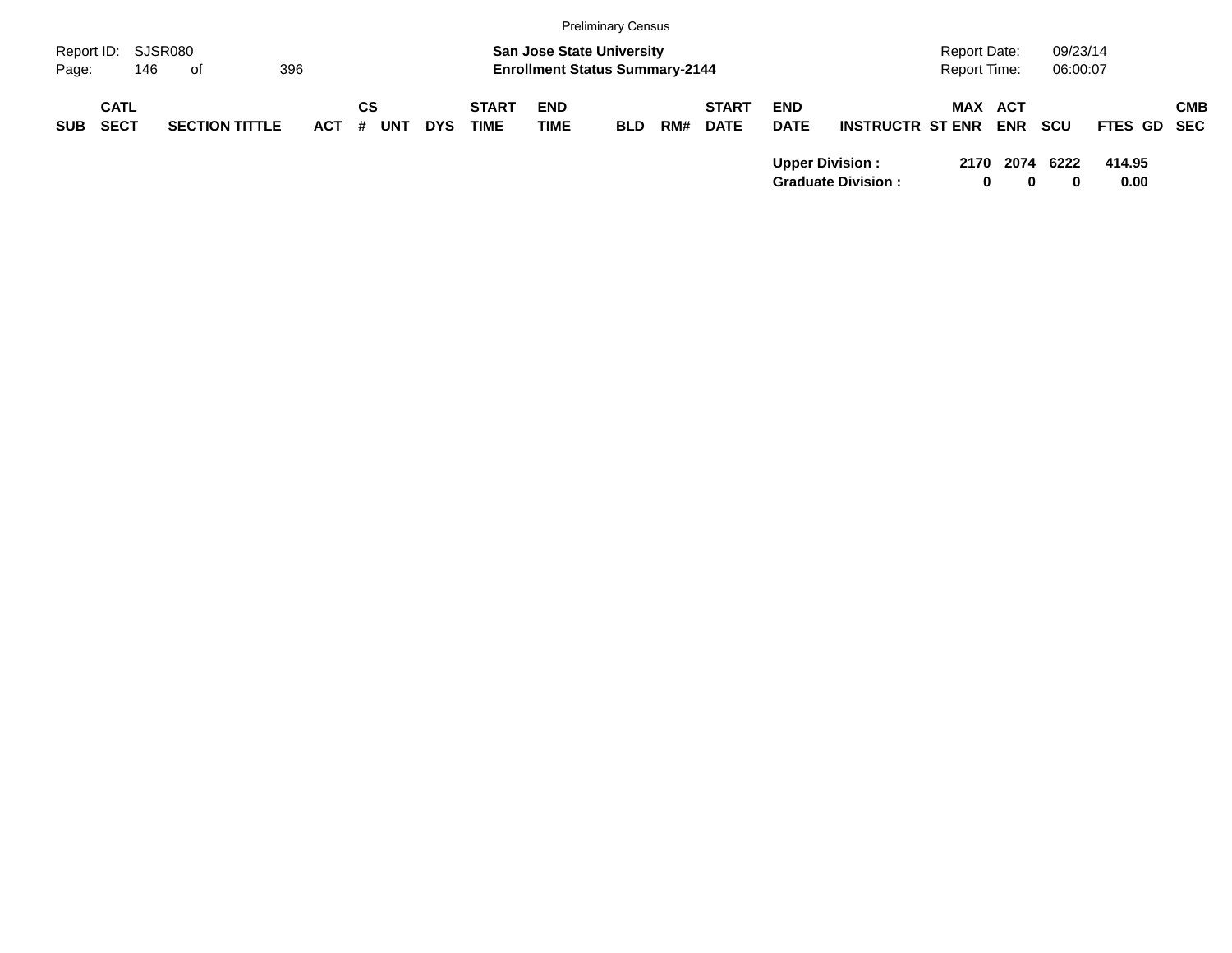|            |                            |                       |         |                  |            |                             |                                       | <b>Preliminary Census</b> |     |                             |                           |                                                     |                     |                  |            |                |            |
|------------|----------------------------|-----------------------|---------|------------------|------------|-----------------------------|---------------------------------------|---------------------------|-----|-----------------------------|---------------------------|-----------------------------------------------------|---------------------|------------------|------------|----------------|------------|
| Report ID: |                            | SJSR080               |         |                  |            |                             | <b>San Jose State University</b>      |                           |     |                             |                           |                                                     | <b>Report Date:</b> |                  | 09/23/14   |                |            |
| Page:      | 146                        | of                    | 396     |                  |            |                             | <b>Enrollment Status Summary-2144</b> |                           |     |                             |                           |                                                     | Report Time:        |                  | 06:00:07   |                |            |
| <b>SUB</b> | <b>CATL</b><br><b>SECT</b> | <b>SECTION TITTLE</b> | $ACT$ # | СS<br><b>UNT</b> | <b>DYS</b> | <b>START</b><br><b>TIME</b> | <b>END</b><br><b>TIME</b>             | <b>BLD</b>                | RM# | <b>START</b><br><b>DATE</b> | <b>END</b><br><b>DATE</b> | <b>INSTRUCTR ST ENR</b>                             | <b>MAX ACT</b>      | <b>ENR</b>       | <b>SCU</b> | FTES GD SEC    | <b>CMB</b> |
|            |                            |                       |         |                  |            |                             |                                       |                           |     |                             |                           | <b>Upper Division:</b><br><b>Graduate Division:</b> | 2170<br>0           | 2074<br>$\bf{0}$ | 6222       | 414.95<br>0.00 |            |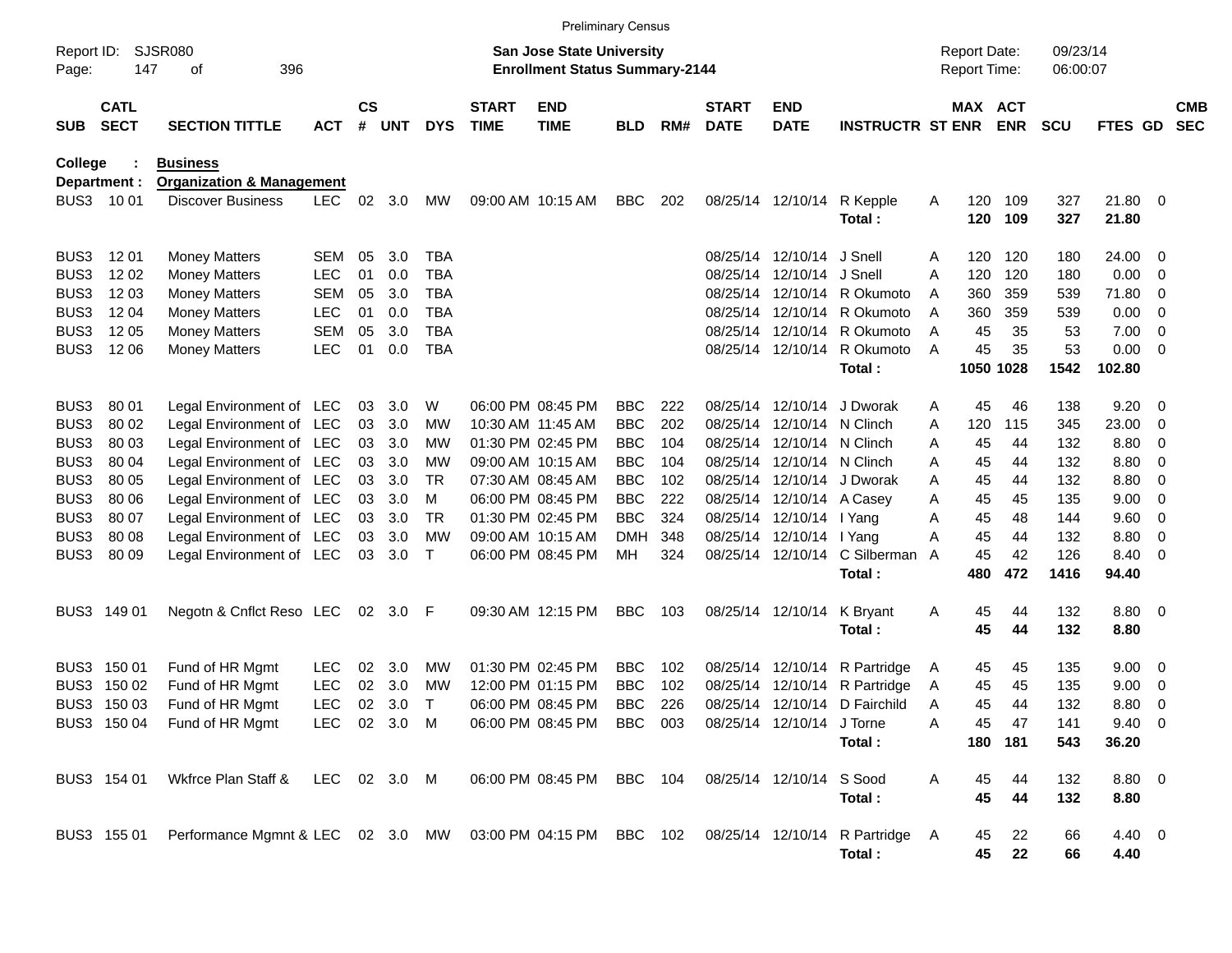|                     |                            |                                                                                             |              |                    |          |              |                             |                                                                           | <b>Preliminary Census</b> |     |                             |                            |                               |   |                                     |            |                      |                  |                          |                          |
|---------------------|----------------------------|---------------------------------------------------------------------------------------------|--------------|--------------------|----------|--------------|-----------------------------|---------------------------------------------------------------------------|---------------------------|-----|-----------------------------|----------------------------|-------------------------------|---|-------------------------------------|------------|----------------------|------------------|--------------------------|--------------------------|
| Report ID:<br>Page: | 147                        | <b>SJSR080</b><br>396<br>οf                                                                 |              |                    |          |              |                             | <b>San Jose State University</b><br><b>Enrollment Status Summary-2144</b> |                           |     |                             |                            |                               |   | <b>Report Date:</b><br>Report Time: |            | 09/23/14<br>06:00:07 |                  |                          |                          |
| <b>SUB</b>          | <b>CATL</b><br><b>SECT</b> | <b>SECTION TITTLE</b>                                                                       | <b>ACT</b>   | $\mathsf{cs}$<br># | UNT      | <b>DYS</b>   | <b>START</b><br><b>TIME</b> | <b>END</b><br><b>TIME</b>                                                 | <b>BLD</b>                | RM# | <b>START</b><br><b>DATE</b> | <b>END</b><br><b>DATE</b>  | <b>INSTRUCTR ST ENR</b>       |   | MAX ACT                             | <b>ENR</b> | <b>SCU</b>           | FTES GD          |                          | <b>CMB</b><br><b>SEC</b> |
| College             |                            | <b>Business</b>                                                                             |              |                    |          |              |                             |                                                                           |                           |     |                             |                            |                               |   |                                     |            |                      |                  |                          |                          |
|                     | Department :               | <b>Organization &amp; Management</b>                                                        |              |                    |          |              |                             |                                                                           |                           |     |                             |                            |                               |   |                                     |            |                      |                  |                          |                          |
|                     | BUS3 1001                  | <b>Discover Business</b>                                                                    | <b>LEC</b>   | 02                 | 3.0      | MW           |                             | 09:00 AM 10:15 AM                                                         | <b>BBC</b>                | 202 |                             | 08/25/14 12/10/14          | R Kepple<br>Total:            | A | 120<br>120                          | 109<br>109 | 327<br>327           | 21.80 0<br>21.80 |                          |                          |
| BUS3                | 12 01                      | <b>Money Matters</b>                                                                        | <b>SEM</b>   | 05                 | 3.0      | <b>TBA</b>   |                             |                                                                           |                           |     |                             | 08/25/14 12/10/14 J Snell  |                               | A | 120                                 | 120        | 180                  | 24.00 0          |                          |                          |
| BUS3                | 12 02                      | <b>Money Matters</b>                                                                        | <b>LEC</b>   | 01                 | 0.0      | <b>TBA</b>   |                             |                                                                           |                           |     |                             | 08/25/14 12/10/14 J Snell  |                               | A | 120                                 | 120        | 180                  | 0.00             | $\overline{\phantom{0}}$ |                          |
| BUS3                | 12 03                      | <b>Money Matters</b>                                                                        | <b>SEM</b>   | 05                 | 3.0      | <b>TBA</b>   |                             |                                                                           |                           |     |                             |                            | 08/25/14 12/10/14 R Okumoto   | A | 360                                 | 359        | 539                  | 71.80            | - 0                      |                          |
| BUS3                | 12 04                      | <b>Money Matters</b>                                                                        | <b>LEC</b>   | 01                 | 0.0      | <b>TBA</b>   |                             |                                                                           |                           |     |                             |                            | 08/25/14 12/10/14 R Okumoto   | A | 360                                 | 359        | 539                  | 0.00             | $\overline{\mathbf{0}}$  |                          |
| BUS3                | 12 05                      | <b>Money Matters</b>                                                                        | <b>SEM</b>   | 05                 | 3.0      | <b>TBA</b>   |                             |                                                                           |                           |     |                             |                            | 08/25/14 12/10/14 R Okumoto   | A | 45                                  | 35         | 53                   | 7.00             | $\overline{\phantom{0}}$ |                          |
| BUS3                | 12 06                      | <b>Money Matters</b>                                                                        | <b>LEC</b>   | 01                 | 0.0      | <b>TBA</b>   |                             |                                                                           |                           |     |                             |                            | 08/25/14 12/10/14 R Okumoto   | A | 45                                  | 35         | 53                   | $0.00 \t 0$      |                          |                          |
|                     |                            |                                                                                             |              |                    |          |              |                             |                                                                           |                           |     |                             |                            | Total:                        |   | 1050 1028                           |            | 1542                 | 102.80           |                          |                          |
| BUS3                | 80 01                      | Legal Environment of LEC                                                                    |              | 03                 | 3.0      | W            |                             | 06:00 PM 08:45 PM                                                         | <b>BBC</b>                | 222 |                             |                            | 08/25/14 12/10/14 J Dworak    | A | 45                                  | 46         | 138                  | 9.20             | $\overline{\phantom{0}}$ |                          |
| BUS3                | 80 02                      | Legal Environment of LEC                                                                    |              | 03                 | 3.0      | MW           |                             | 10:30 AM 11:45 AM                                                         | <b>BBC</b>                | 202 |                             | 08/25/14 12/10/14 N Clinch |                               | A | 120                                 | 115        | 345                  | 23.00            | $\overline{0}$           |                          |
| BUS3                | 80 03                      | Legal Environment of LEC                                                                    |              | 03                 | 3.0      | МW           |                             | 01:30 PM 02:45 PM                                                         | <b>BBC</b>                | 104 |                             | 08/25/14 12/10/14 N Clinch |                               | A | 45                                  | 44         | 132                  | 8.80             | 0                        |                          |
| BUS3                | 80 04                      | Legal Environment of LEC                                                                    |              | 03                 | 3.0      | МW           |                             | 09:00 AM 10:15 AM                                                         | <b>BBC</b>                | 104 |                             | 08/25/14 12/10/14 N Clinch |                               | A | 45                                  | 44         | 132                  | 8.80             | 0                        |                          |
| BUS3                | 80 05                      | Legal Environment of LEC                                                                    |              | 03                 | 3.0      | <b>TR</b>    |                             | 07:30 AM 08:45 AM                                                         | <b>BBC</b>                | 102 |                             |                            | 08/25/14 12/10/14 J Dworak    | A | 45                                  | 44         | 132                  | 8.80             | - 0                      |                          |
| BUS3                | 80 06                      | Legal Environment of LEC                                                                    |              | 03                 | 3.0      | м            |                             | 06:00 PM 08:45 PM                                                         | <b>BBC</b>                | 222 |                             | 08/25/14 12/10/14 A Casey  |                               | A | 45                                  | 45         | 135                  | 9.00             | $\overline{\mathbf{0}}$  |                          |
| BUS3                | 80 07                      | Legal Environment of LEC                                                                    |              | 03                 | 3.0      | <b>TR</b>    |                             | 01:30 PM 02:45 PM                                                         | <b>BBC</b>                | 324 |                             | 08/25/14 12/10/14 I Yang   |                               | A | 45                                  | 48         | 144                  | 9.60             | $\overline{\phantom{0}}$ |                          |
| BUS3                | 80 08                      | Legal Environment of LEC                                                                    |              | 03                 | 3.0      | <b>MW</b>    |                             | 09:00 AM 10:15 AM                                                         | <b>DMH</b>                | 348 |                             | 08/25/14 12/10/14 I Yang   |                               | A | 45                                  | 44         | 132                  | 8.80             | $\overline{0}$           |                          |
| BUS3                | 80 09                      | Legal Environment of LEC                                                                    |              | 03                 | 3.0      | $\mathsf{T}$ |                             | 06:00 PM 08:45 PM                                                         | MН                        | 324 |                             |                            | 08/25/14 12/10/14 C Silberman | A | 45                                  | 42         | 126                  | 8.40             | $\overline{\phantom{0}}$ |                          |
|                     |                            |                                                                                             |              |                    |          |              |                             |                                                                           |                           |     |                             |                            | Total:                        |   | 480                                 | 472        | 1416                 | 94.40            |                          |                          |
|                     | BUS3 149 01                | Negotn & Cnflct Reso LEC                                                                    |              |                    | 02 3.0 F |              |                             | 09:30 AM 12:15 PM                                                         | <b>BBC</b>                | 103 |                             | 08/25/14 12/10/14          | K Bryant                      | A | 45                                  | 44         | 132                  | 8.80 0           |                          |                          |
|                     |                            |                                                                                             |              |                    |          |              |                             |                                                                           |                           |     |                             |                            | Total:                        |   | 45                                  | 44         | 132                  | 8.80             |                          |                          |
|                     | BUS3 150 01                | Fund of HR Mgmt                                                                             | <b>LEC</b>   | 02                 | 3.0      | MW           |                             | 01:30 PM 02:45 PM                                                         | <b>BBC</b>                | 102 |                             |                            | 08/25/14 12/10/14 R Partridge | A | 45                                  | 45         | 135                  | $9.00 \t 0$      |                          |                          |
| BUS3                | 150 02                     | Fund of HR Mgmt                                                                             | <b>LEC</b>   | 02                 | 3.0      | МW           |                             | 12:00 PM 01:15 PM                                                         | <b>BBC</b>                | 102 |                             |                            | 08/25/14 12/10/14 R Partridge | A | 45                                  | 45         | 135                  | 9.00             | $\overline{\mathbf{0}}$  |                          |
|                     | BUS3 150 03                | Fund of HR Mgmt                                                                             | <b>LEC</b>   | 02 <sub>o</sub>    | 3.0      | $\mathsf T$  |                             | 06:00 PM 08:45 PM                                                         | <b>BBC</b>                | 226 |                             |                            | 08/25/14 12/10/14 D Fairchild | A | 45                                  | 44         | 132                  | 8.80             | $\overline{\phantom{0}}$ |                          |
|                     |                            | BUS3 150 04 Fund of HR Mgmt                                                                 | LEC 02 3.0 M |                    |          |              |                             | 06:00 PM 08:45 PM BBC 003 08/25/14 12/10/14 J Torne                       |                           |     |                             |                            |                               | Α | 45                                  | 47         | 141                  | $9.40 \quad 0$   |                          |                          |
|                     |                            |                                                                                             |              |                    |          |              |                             |                                                                           |                           |     |                             |                            | Total:                        |   |                                     | 180 181    | 543                  | 36.20            |                          |                          |
|                     | BUS3 154 01                | Wkfrce Plan Staff & LEC 02 3.0 M                                                            |              |                    |          |              |                             | 06:00 PM 08:45 PM                                                         | BBC 104                   |     |                             | 08/25/14 12/10/14 S Sood   |                               | A | 45                                  | 44         | 132                  | 8.80 0           |                          |                          |
|                     |                            |                                                                                             |              |                    |          |              |                             |                                                                           |                           |     |                             |                            | Total:                        |   | 45                                  | 44         | 132                  | 8.80             |                          |                          |
|                     | BUS3 155 01                | Performance Mgmnt & LEC 02 3.0 MW 03:00 PM 04:15 PM BBC 102 08/25/14 12/10/14 R Partridge A |              |                    |          |              |                             |                                                                           |                           |     |                             |                            |                               |   | 45                                  | 22         | 66                   | 4.40 0           |                          |                          |
|                     |                            |                                                                                             |              |                    |          |              |                             |                                                                           |                           |     |                             |                            | Total:                        |   | 45                                  | 22         | 66                   | 4.40             |                          |                          |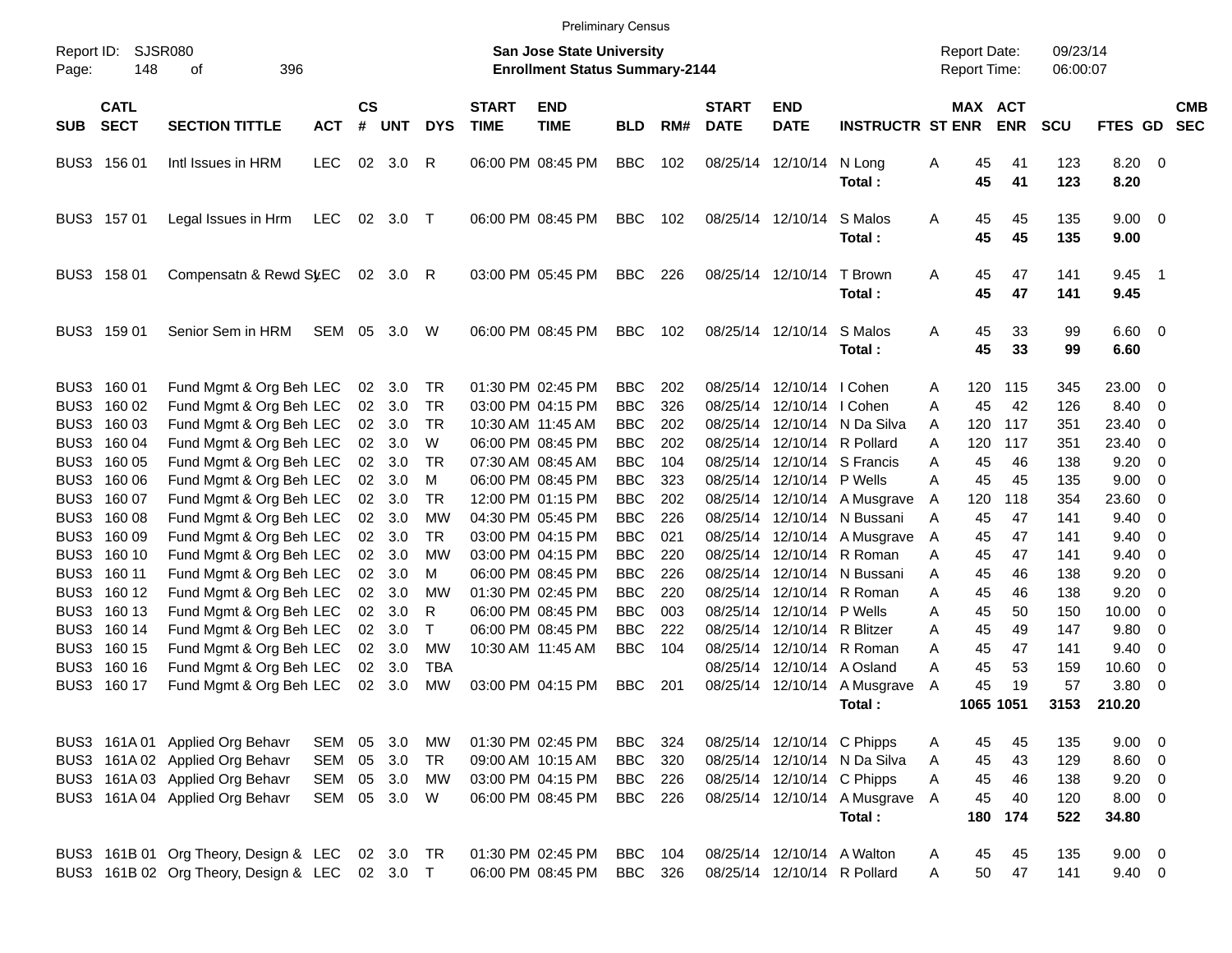Preliminary Census

| Report ID: |                            | <b>SJSR080</b>                        |            |                    |            |            |                             | <b>San Jose State University</b>      | <b>THOMATION</b> SUNDAY |     |                             |                             |                              |   | <b>Report Date:</b> |            | 09/23/14   |                     |                          |                          |
|------------|----------------------------|---------------------------------------|------------|--------------------|------------|------------|-----------------------------|---------------------------------------|-------------------------|-----|-----------------------------|-----------------------------|------------------------------|---|---------------------|------------|------------|---------------------|--------------------------|--------------------------|
| Page:      | 148                        | οf<br>396                             |            |                    |            |            |                             | <b>Enrollment Status Summary-2144</b> |                         |     |                             |                             |                              |   | Report Time:        |            | 06:00:07   |                     |                          |                          |
| <b>SUB</b> | <b>CATL</b><br><b>SECT</b> | <b>SECTION TITTLE</b>                 | <b>ACT</b> | $\mathsf{cs}$<br># | <b>UNT</b> | <b>DYS</b> | <b>START</b><br><b>TIME</b> | <b>END</b><br><b>TIME</b>             | <b>BLD</b>              | RM# | <b>START</b><br><b>DATE</b> | <b>END</b><br><b>DATE</b>   | <b>INSTRUCTR ST ENR</b>      |   | MAX ACT             | <b>ENR</b> | <b>SCU</b> | FTES GD             |                          | <b>CMB</b><br><b>SEC</b> |
|            | BUS3 156 01                | Intl Issues in HRM                    | <b>LEC</b> | 02                 | 3.0        | R          |                             | 06:00 PM 08:45 PM                     | <b>BBC</b>              | 102 |                             | 08/25/14 12/10/14           | N Long<br>Total:             | Α | 45<br>45            | 41<br>41   | 123<br>123 | 8.20 0<br>8.20      |                          |                          |
|            | BUS3 157 01                | Legal Issues in Hrm                   | <b>LEC</b> | 02                 | $3.0$ T    |            |                             | 06:00 PM 08:45 PM                     | <b>BBC</b>              | 102 |                             | 08/25/14 12/10/14           | S Malos<br>Total:            | Α | 45<br>45            | 45<br>45   | 135<br>135 | $9.00 \t 0$<br>9.00 |                          |                          |
|            | BUS3 158 01                | Compensatn & Rewd SyEC                |            |                    | 02 3.0     | R          |                             | 03:00 PM 05:45 PM                     | BBC.                    | 226 |                             | 08/25/14 12/10/14           | T Brown<br>Total:            | Α | 45<br>45            | 47<br>47   | 141<br>141 | 9.45<br>9.45        | $\overline{\phantom{1}}$ |                          |
|            | BUS3 159 01                | Senior Sem in HRM                     | SEM        | 05                 | 3.0        | W          |                             | 06:00 PM 08:45 PM                     | <b>BBC</b>              | 102 |                             | 08/25/14 12/10/14           | S Malos<br>Total:            | Α | 45<br>45            | 33<br>33   | 99<br>99   | $6.60$ 0<br>6.60    |                          |                          |
|            | BUS3 160 01                | Fund Mgmt & Org Beh LEC               |            | 02                 | 3.0        | TR         |                             | 01:30 PM 02:45 PM                     | <b>BBC</b>              | 202 |                             | 08/25/14 12/10/14 I Cohen   |                              | A | 120                 | 115        | 345        | 23.00               | $\overline{\phantom{0}}$ |                          |
|            | BUS3 160 02                | Fund Mgmt & Org Beh LEC               |            |                    | 02 3.0     | <b>TR</b>  |                             | 03:00 PM 04:15 PM                     | <b>BBC</b>              | 326 |                             | 08/25/14 12/10/14 I Cohen   |                              | A | 45                  | 42         | 126        | 8.40                | $\overline{\mathbf{0}}$  |                          |
|            | BUS3 160 03                | Fund Mgmt & Org Beh LEC               |            | 02 <sub>2</sub>    | 3.0        | <b>TR</b>  |                             | 10:30 AM 11:45 AM                     | <b>BBC</b>              | 202 |                             |                             | 08/25/14 12/10/14 N Da Silva | A | 120                 | 117        | 351        | 23.40               | 0                        |                          |
|            | BUS3 160 04                | Fund Mgmt & Org Beh LEC               |            | 02 <sub>o</sub>    | 3.0        | W          |                             | 06:00 PM 08:45 PM                     | <b>BBC</b>              | 202 |                             |                             | 08/25/14 12/10/14 R Pollard  | A | 120                 | 117        | 351        | 23.40               | 0                        |                          |
|            | BUS3 160 05                | Fund Mgmt & Org Beh LEC               |            | 02                 | 3.0        | <b>TR</b>  |                             | 07:30 AM 08:45 AM                     | <b>BBC</b>              | 104 |                             |                             | 08/25/14 12/10/14 S Francis  | Α | 45                  | 46         | 138        | 9.20                | $\overline{0}$           |                          |
|            | BUS3 160 06                | Fund Mgmt & Org Beh LEC               |            |                    | 02 3.0     | M          |                             | 06:00 PM 08:45 PM                     | <b>BBC</b>              | 323 |                             | 08/25/14 12/10/14 P Wells   |                              | A | 45                  | 45         | 135        | 9.00                | $\overline{0}$           |                          |
|            | BUS3 160 07                | Fund Mgmt & Org Beh LEC               |            |                    | 02 3.0     | <b>TR</b>  |                             | 12:00 PM 01:15 PM                     | <b>BBC</b>              | 202 |                             |                             | 08/25/14 12/10/14 A Musgrave | Α | 120                 | 118        | 354        | 23.60               | 0                        |                          |
|            | BUS3 160 08                | Fund Mgmt & Org Beh LEC               |            | 02 <sub>2</sub>    | 3.0        | MW         |                             | 04:30 PM 05:45 PM                     | <b>BBC</b>              | 226 |                             |                             | 08/25/14 12/10/14 N Bussani  | A | 45                  | 47         | 141        | 9.40                | $\overline{0}$           |                          |
|            | BUS3 160 09                | Fund Mgmt & Org Beh LEC               |            |                    | 02 3.0     | <b>TR</b>  |                             | 03:00 PM 04:15 PM                     | <b>BBC</b>              | 021 |                             |                             | 08/25/14 12/10/14 A Musgrave | A | 45                  | 47         | 141        | 9.40                | $\overline{0}$           |                          |
|            | BUS3 160 10                | Fund Mgmt & Org Beh LEC               |            | 02                 | 3.0        | <b>MW</b>  |                             | 03:00 PM 04:15 PM                     | <b>BBC</b>              | 220 |                             |                             | 08/25/14 12/10/14 R Roman    | Α | 45                  | 47         | 141        | 9.40                | 0                        |                          |
|            | BUS3 160 11                | Fund Mgmt & Org Beh LEC               |            | 02                 | 3.0        | M          |                             | 06:00 PM 08:45 PM                     | <b>BBC</b>              | 226 |                             |                             | 08/25/14 12/10/14 N Bussani  | A | 45                  | 46         | 138        | 9.20                | $\overline{0}$           |                          |
|            | BUS3 160 12                | Fund Mgmt & Org Beh LEC               |            | 02                 | 3.0        | <b>MW</b>  |                             | 01:30 PM 02:45 PM                     | <b>BBC</b>              | 220 |                             |                             | 08/25/14 12/10/14 R Roman    | A | 45                  | 46         | 138        | 9.20                | 0                        |                          |
|            | BUS3 160 13                | Fund Mgmt & Org Beh LEC               |            | 02                 | 3.0        | R          |                             | 06:00 PM 08:45 PM                     | <b>BBC</b>              | 003 |                             | 08/25/14 12/10/14 P Wells   |                              | A | 45                  | 50         | 150        | 10.00               | 0                        |                          |
|            | BUS3 160 14                | Fund Mgmt & Org Beh LEC               |            |                    | 02 3.0     | T          |                             | 06:00 PM 08:45 PM                     | <b>BBC</b>              | 222 |                             | 08/25/14 12/10/14 R Blitzer |                              | A | 45                  | 49         | 147        | 9.80                | 0                        |                          |
|            | BUS3 160 15                | Fund Mgmt & Org Beh LEC               |            |                    | 02 3.0     | <b>MW</b>  |                             | 10:30 AM 11:45 AM                     | <b>BBC</b>              | 104 |                             |                             | 08/25/14 12/10/14 R Roman    | A | 45                  | 47         | 141        | 9.40                | 0                        |                          |
|            | BUS3 160 16                | Fund Mgmt & Org Beh LEC               |            | 02                 | 3.0        | <b>TBA</b> |                             |                                       |                         |     |                             | 08/25/14 12/10/14 A Osland  |                              | A | 45                  | 53         | 159        | 10.60               | 0                        |                          |
|            | BUS3 160 17                | Fund Mgmt & Org Beh LEC               |            | 02                 | 3.0        | <b>MW</b>  |                             | 03:00 PM 04:15 PM                     | <b>BBC</b>              | 201 |                             |                             | 08/25/14 12/10/14 A Musgrave | A | 45                  | 19         | 57         | 3.80                | $\overline{\phantom{0}}$ |                          |
|            |                            |                                       |            |                    |            |            |                             |                                       |                         |     |                             |                             | Total:                       |   |                     | 1065 1051  | 3153       | 210.20              |                          |                          |
|            |                            | BUS3 161A 01 Applied Org Behavr       | SEM        |                    | 05 3.0     | MW         |                             | 01:30 PM 02:45 PM                     | BBC                     | 324 |                             | 08/25/14 12/10/14 C Phipps  |                              | Α | 45                  | 45         | 135        | 9.00 0              |                          |                          |
|            |                            | BUS3 161A 02 Applied Org Behavr       | SEM        |                    | 05 3.0     | <b>TR</b>  |                             | 09:00 AM 10:15 AM                     | <b>BBC</b>              | 320 |                             |                             | 08/25/14 12/10/14 N Da Silva | A | 45                  | 43         | 129        | $8.60$ 0            |                          |                          |
|            |                            | BUS3 161A 03 Applied Org Behavr       | SEM        |                    | 05 3.0     | MW         |                             | 03:00 PM 04:15 PM                     | <b>BBC</b>              | 226 |                             | 08/25/14 12/10/14 C Phipps  |                              | A | 45                  | 46         | 138        | $9.20 \ 0$          |                          |                          |
|            |                            | BUS3 161A 04 Applied Org Behavr       | SEM 05 3.0 |                    |            | W          |                             | 06:00 PM 08:45 PM                     | BBC 226                 |     |                             |                             | 08/25/14 12/10/14 A Musgrave | A | 45                  | 40         | 120        | $8.00 \t 0$         |                          |                          |
|            |                            |                                       |            |                    |            |            |                             |                                       |                         |     |                             |                             | Total:                       |   | 180                 | 174        | 522        | 34.80               |                          |                          |
|            |                            | BUS3 161B 01 Org Theory, Design & LEC |            |                    | 02 3.0 TR  |            |                             | 01:30 PM 02:45 PM                     | BBC                     | 104 |                             | 08/25/14 12/10/14 A Walton  |                              | Α | 45                  | 45         | 135        | $9.00 \t 0$         |                          |                          |
|            |                            | BUS3 161B 02 Org Theory, Design & LEC |            |                    | 02 3.0 T   |            |                             | 06:00 PM 08:45 PM                     | BBC 326                 |     |                             |                             | 08/25/14 12/10/14 R Pollard  | A | 50                  | 47         | 141        | $9.40 \ 0$          |                          |                          |
|            |                            |                                       |            |                    |            |            |                             |                                       |                         |     |                             |                             |                              |   |                     |            |            |                     |                          |                          |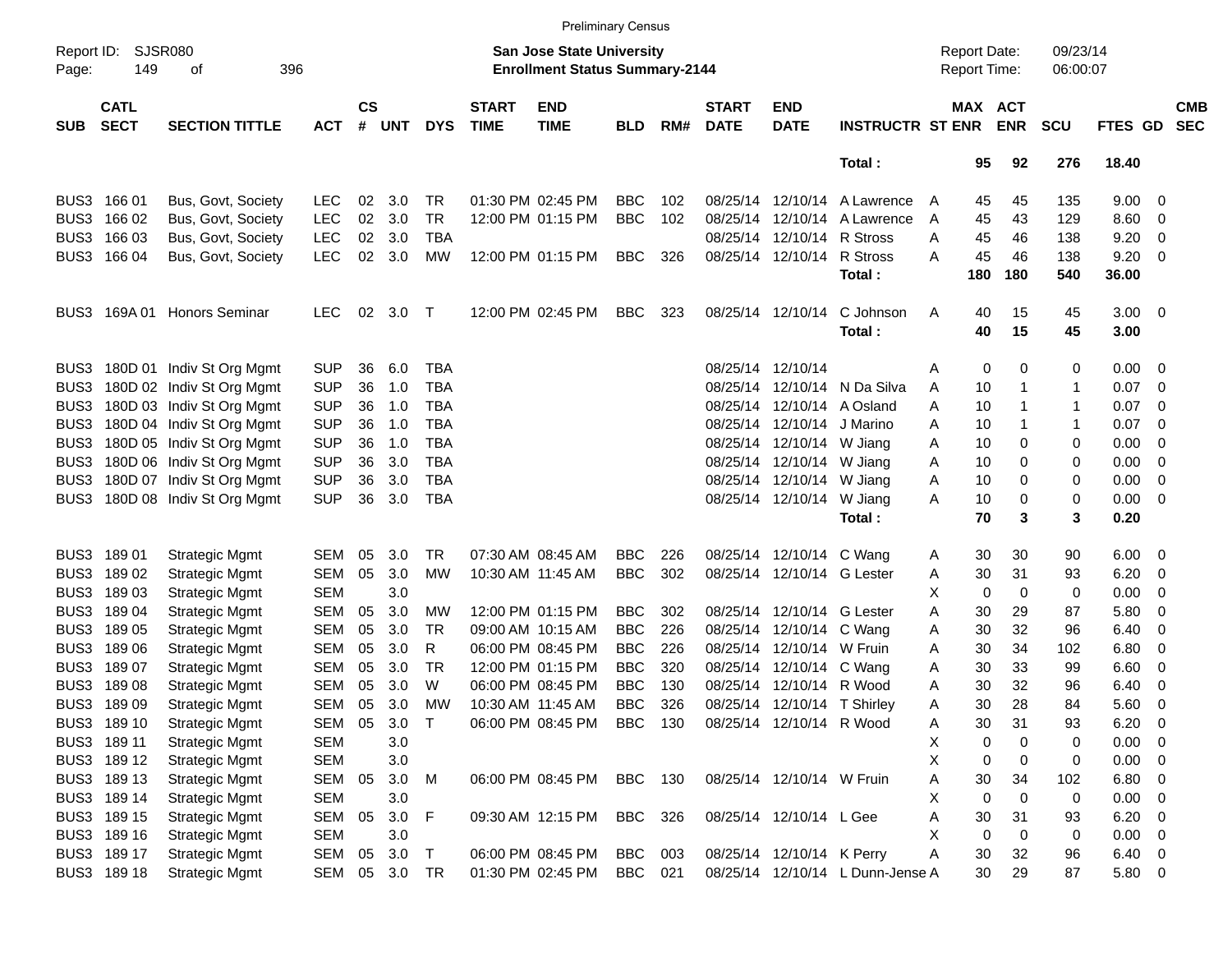|                     |                            |                                |            |                             |            |            |                             |                                                                    | <b>Preliminary Census</b> |     |                             |                             |                                  |                     |             |                       |                      |                    |                          |                          |
|---------------------|----------------------------|--------------------------------|------------|-----------------------------|------------|------------|-----------------------------|--------------------------------------------------------------------|---------------------------|-----|-----------------------------|-----------------------------|----------------------------------|---------------------|-------------|-----------------------|----------------------|--------------------|--------------------------|--------------------------|
| Report ID:<br>Page: | <b>SJSR080</b><br>149      | 396<br>οf                      |            |                             |            |            |                             | San Jose State University<br><b>Enrollment Status Summary-2144</b> |                           |     |                             |                             |                                  | <b>Report Date:</b> |             | Report Time:          | 09/23/14<br>06:00:07 |                    |                          |                          |
| <b>SUB</b>          | <b>CATL</b><br><b>SECT</b> | <b>SECTION TITTLE</b>          | <b>ACT</b> | $\mathbf{c}\mathbf{s}$<br># | <b>UNT</b> | <b>DYS</b> | <b>START</b><br><b>TIME</b> | <b>END</b><br><b>TIME</b>                                          | <b>BLD</b>                | RM# | <b>START</b><br><b>DATE</b> | <b>END</b><br><b>DATE</b>   | <b>INSTRUCTR ST ENR</b>          |                     |             | MAX ACT<br><b>ENR</b> | <b>SCU</b>           | FTES GD            |                          | <b>CMB</b><br><b>SEC</b> |
|                     |                            |                                |            |                             |            |            |                             |                                                                    |                           |     |                             |                             | Total:                           |                     | 95          | 92                    | 276                  | 18.40              |                          |                          |
|                     | BUS3 166 01                | Bus, Govt, Society             | <b>LEC</b> | 02                          | 3.0        | TR.        |                             | 01:30 PM 02:45 PM                                                  | <b>BBC</b>                | 102 |                             | 08/25/14 12/10/14           | A Lawrence                       | $\mathsf{A}$        | 45          | 45                    | 135                  | $9.00 \t 0$        |                          |                          |
|                     | BUS3 166 02                | Bus, Govt, Society             | <b>LEC</b> | 02                          | 3.0        | TR         |                             | 12:00 PM 01:15 PM                                                  | <b>BBC</b>                | 102 | 08/25/14                    | 12/10/14                    | A Lawrence                       | Α                   | 45          | 43                    | 129                  | 8.60               | $\overline{\phantom{0}}$ |                          |
|                     | BUS3 166 03                | Bus, Govt, Society             | <b>LEC</b> | 02                          | 3.0        | <b>TBA</b> |                             |                                                                    |                           |     |                             | 08/25/14 12/10/14           | R Stross                         | Α                   | 45          | 46                    | 138                  | 9.20               | 0                        |                          |
|                     | BUS3 166 04                | Bus, Govt, Society             | <b>LEC</b> | 02                          | 3.0        | MW         |                             | 12:00 PM 01:15 PM                                                  | <b>BBC</b>                | 326 |                             | 08/25/14 12/10/14           | <b>R</b> Stross                  | А                   | 45          | 46                    | 138                  | 9.20               | $\overline{0}$           |                          |
|                     |                            |                                |            |                             |            |            |                             |                                                                    |                           |     |                             |                             | Total:                           |                     | 180         | 180                   | 540                  | 36.00              |                          |                          |
| BUS3                |                            | 169A 01 Honors Seminar         | <b>LEC</b> | 02                          | 3.0        | $\top$     |                             | 12:00 PM 02:45 PM                                                  | <b>BBC</b>                | 323 |                             | 08/25/14 12/10/14           | C Johnson<br>Total:              | Α                   | 40<br>40    | 15<br>15              | 45<br>45             | $3.00 \ 0$<br>3.00 |                          |                          |
|                     |                            | BUS3 180D 01 Indiv St Org Mgmt | <b>SUP</b> | 36                          | 6.0        | <b>TBA</b> |                             |                                                                    |                           |     |                             | 08/25/14 12/10/14           |                                  | Α                   | 0           | 0                     | 0                    | $0.00 \t 0$        |                          |                          |
| BUS3                |                            | 180D 02 Indiv St Org Mgmt      | <b>SUP</b> | 36                          | 1.0        | TBA        |                             |                                                                    |                           |     | 08/25/14                    |                             | 12/10/14 N Da Silva              | Α                   | 10          | 1                     | 1                    | 0.07               | $\overline{\phantom{0}}$ |                          |
| BUS3                |                            | 180D 03 Indiv St Org Mgmt      | <b>SUP</b> | 36                          | 1.0        | <b>TBA</b> |                             |                                                                    |                           |     | 08/25/14                    |                             | 12/10/14 A Osland                | Α                   | 10          | 1                     | 1                    | 0.07               | - 0                      |                          |
| BUS3                |                            | 180D 04 Indiv St Org Mgmt      | <b>SUP</b> | 36                          | 1.0        | <b>TBA</b> |                             |                                                                    |                           |     |                             | 08/25/14 12/10/14 J Marino  |                                  | Α                   | 10          |                       | 1                    | 0.07               | - 0                      |                          |
| BUS3                |                            | 180D 05 Indiv St Org Mgmt      | <b>SUP</b> | 36                          | 1.0        | <b>TBA</b> |                             |                                                                    |                           |     |                             | 08/25/14 12/10/14 W Jiang   |                                  | Α                   | 10          | 0                     | 0                    | 0.00               | - 0                      |                          |
| BUS3                |                            | 180D 06 Indiv St Org Mgmt      | <b>SUP</b> | 36                          | 3.0        | <b>TBA</b> |                             |                                                                    |                           |     |                             | 08/25/14 12/10/14 W Jiang   |                                  |                     | 10          | 0                     | 0                    | 0.00               | $\overline{\phantom{0}}$ |                          |
|                     |                            |                                |            |                             |            |            |                             |                                                                    |                           |     |                             |                             |                                  | Α                   |             |                       |                      |                    |                          |                          |
| BUS3                |                            | 180D 07 Indiv St Org Mgmt      | <b>SUP</b> | 36                          | 3.0        | TBA        |                             |                                                                    |                           |     |                             | 08/25/14 12/10/14 W Jiang   |                                  | Α                   | 10          | 0                     | 0                    | 0.00               | $\overline{\mathbf{0}}$  |                          |
| BUS3                |                            | 180D 08 Indiv St Org Mgmt      | <b>SUP</b> | 36                          | 3.0        | TBA        |                             |                                                                    |                           |     |                             | 08/25/14 12/10/14 W Jiang   |                                  | Α                   | 10          | 0                     | 0                    | $0.00 \ 0$         |                          |                          |
|                     |                            |                                |            |                             |            |            |                             |                                                                    |                           |     |                             |                             | Total:                           |                     | 70          | 3                     | 3                    | 0.20               |                          |                          |
|                     | BUS3 189 01                | <b>Strategic Mgmt</b>          | SEM        | 05                          | 3.0        | TR.        |                             | 07:30 AM 08:45 AM                                                  | <b>BBC</b>                | 226 |                             | 08/25/14 12/10/14 C Wang    |                                  | Α                   | 30          | 30                    | 90                   | $6.00 \quad 0$     |                          |                          |
| BUS3                | 18902                      | <b>Strategic Mgmt</b>          | <b>SEM</b> | 05                          | 3.0        | <b>MW</b>  |                             | 10:30 AM 11:45 AM                                                  | <b>BBC</b>                | 302 |                             | 08/25/14 12/10/14 G Lester  |                                  | Α                   | 30          | 31                    | 93                   | 6.20               | $\overline{\phantom{0}}$ |                          |
|                     | BUS3 189 03                | <b>Strategic Mgmt</b>          | <b>SEM</b> |                             | 3.0        |            |                             |                                                                    |                           |     |                             |                             |                                  | х                   | 0           | 0                     | 0                    | 0.00               | $\overline{\mathbf{0}}$  |                          |
|                     | BUS3 189 04                | <b>Strategic Mgmt</b>          | <b>SEM</b> | 05                          | 3.0        | MW         |                             | 12:00 PM 01:15 PM                                                  | <b>BBC</b>                | 302 |                             | 08/25/14 12/10/14 G Lester  |                                  | Α                   | 30          | 29                    | 87                   | 5.80               | 0                        |                          |
|                     | BUS3 189 05                | <b>Strategic Mgmt</b>          | <b>SEM</b> | 05                          | 3.0        | TR.        |                             | 09:00 AM 10:15 AM                                                  | <b>BBC</b>                | 226 |                             | 08/25/14 12/10/14 C Wang    |                                  | Α                   | 30          | 32                    | 96                   | 6.40               | - 0                      |                          |
|                     | BUS3 189 06                | <b>Strategic Mgmt</b>          | <b>SEM</b> | 05                          | 3.0        | R          |                             | 06:00 PM 08:45 PM                                                  | <b>BBC</b>                | 226 |                             | 08/25/14 12/10/14 W Fruin   |                                  | Α                   | 30          | 34                    | 102                  | 6.80               | $\overline{\mathbf{0}}$  |                          |
|                     | BUS3 189 07                | <b>Strategic Mgmt</b>          | <b>SEM</b> | 05                          | 3.0        | <b>TR</b>  |                             | 12:00 PM 01:15 PM                                                  | <b>BBC</b>                | 320 |                             | 08/25/14 12/10/14 C Wang    |                                  | Α                   | 30          | 33                    | 99                   | 6.60               | $\overline{\mathbf{0}}$  |                          |
| BUS3                | 18908                      | <b>Strategic Mgmt</b>          | <b>SEM</b> | 05                          | 3.0        | W          |                             | 06:00 PM 08:45 PM                                                  | <b>BBC</b>                | 130 |                             | 08/25/14 12/10/14 R Wood    |                                  | Α                   | 30          | 32                    | 96                   | 6.40               | - 0                      |                          |
|                     | BUS3 189 09                | <b>Strategic Mgmt</b>          | SEM        | 05                          | 3.0        | MW         |                             | 10:30 AM 11:45 AM                                                  | <b>BBC</b>                | 326 |                             | 08/25/14 12/10/14 T Shirley |                                  | Α                   | 30          | 28                    | 84                   | 5.60               | $\overline{\phantom{0}}$ |                          |
|                     | BUS3 189 10                | <b>Strategic Mgmt</b>          | SEM        | 05                          | 3.0        | $\top$     |                             | 06:00 PM 08:45 PM BBC 130                                          |                           |     |                             | 08/25/14 12/10/14 R Wood    |                                  | Α                   | 30          | 31                    | 93                   | 6.20               | $\overline{\phantom{0}}$ |                          |
|                     | BUS3 189 11                | <b>Strategic Mgmt</b>          | <b>SEM</b> |                             | 3.0        |            |                             |                                                                    |                           |     |                             |                             |                                  | Χ                   | 0           | $\Omega$              | 0                    | $0.00 \t 0$        |                          |                          |
|                     | BUS3 189 12                | <b>Strategic Mgmt</b>          | <b>SEM</b> |                             | 3.0        |            |                             |                                                                    |                           |     |                             |                             |                                  | X                   | 0           | $\mathbf 0$           | 0                    | $0.00 \t 0$        |                          |                          |
|                     | BUS3 189 13                | <b>Strategic Mgmt</b>          | SEM        | 05                          | 3.0 M      |            |                             | 06:00 PM 08:45 PM                                                  | BBC 130                   |     |                             | 08/25/14 12/10/14 W Fruin   |                                  | Α                   | 30          | 34                    | 102                  | $6.80$ 0           |                          |                          |
|                     | BUS3 189 14                | <b>Strategic Mgmt</b>          | <b>SEM</b> |                             | 3.0        |            |                             |                                                                    |                           |     |                             |                             |                                  | X                   | 0           | $\mathbf 0$           | 0                    | $0.00 \t 0$        |                          |                          |
|                     | BUS3 189 15                | <b>Strategic Mgmt</b>          | SEM        | 05                          | 3.0 F      |            |                             |                                                                    | BBC 326                   |     |                             | 08/25/14 12/10/14 L Gee     |                                  | Α                   | 30          | 31                    | 93                   | $6.20 \ 0$         |                          |                          |
|                     |                            |                                |            |                             | 3.0        |            |                             | 09:30 AM 12:15 PM                                                  |                           |     |                             |                             |                                  |                     |             | $\mathbf 0$           |                      | $0.00 \t 0$        |                          |                          |
|                     | BUS3 189 16                | <b>Strategic Mgmt</b>          | <b>SEM</b> |                             |            |            |                             |                                                                    |                           |     |                             |                             |                                  | Χ                   | $\mathbf 0$ |                       | 0                    |                    |                          |                          |
|                     | BUS3 189 17                | <b>Strategic Mgmt</b>          | SEM        | 05                          | $3.0$ T    |            |                             | 06:00 PM 08:45 PM                                                  | BBC 003                   |     |                             | 08/25/14 12/10/14 K Perry   |                                  | Α                   | 30          | 32                    | 96                   | $6.40\quad 0$      |                          |                          |
|                     | BUS3 189 18                | <b>Strategic Mgmt</b>          | SEM        |                             | 05 3.0 TR  |            |                             | 01:30 PM 02:45 PM                                                  | BBC 021                   |     |                             |                             | 08/25/14 12/10/14 L Dunn-Jense A |                     | 30          | 29                    | 87                   | 5.80 0             |                          |                          |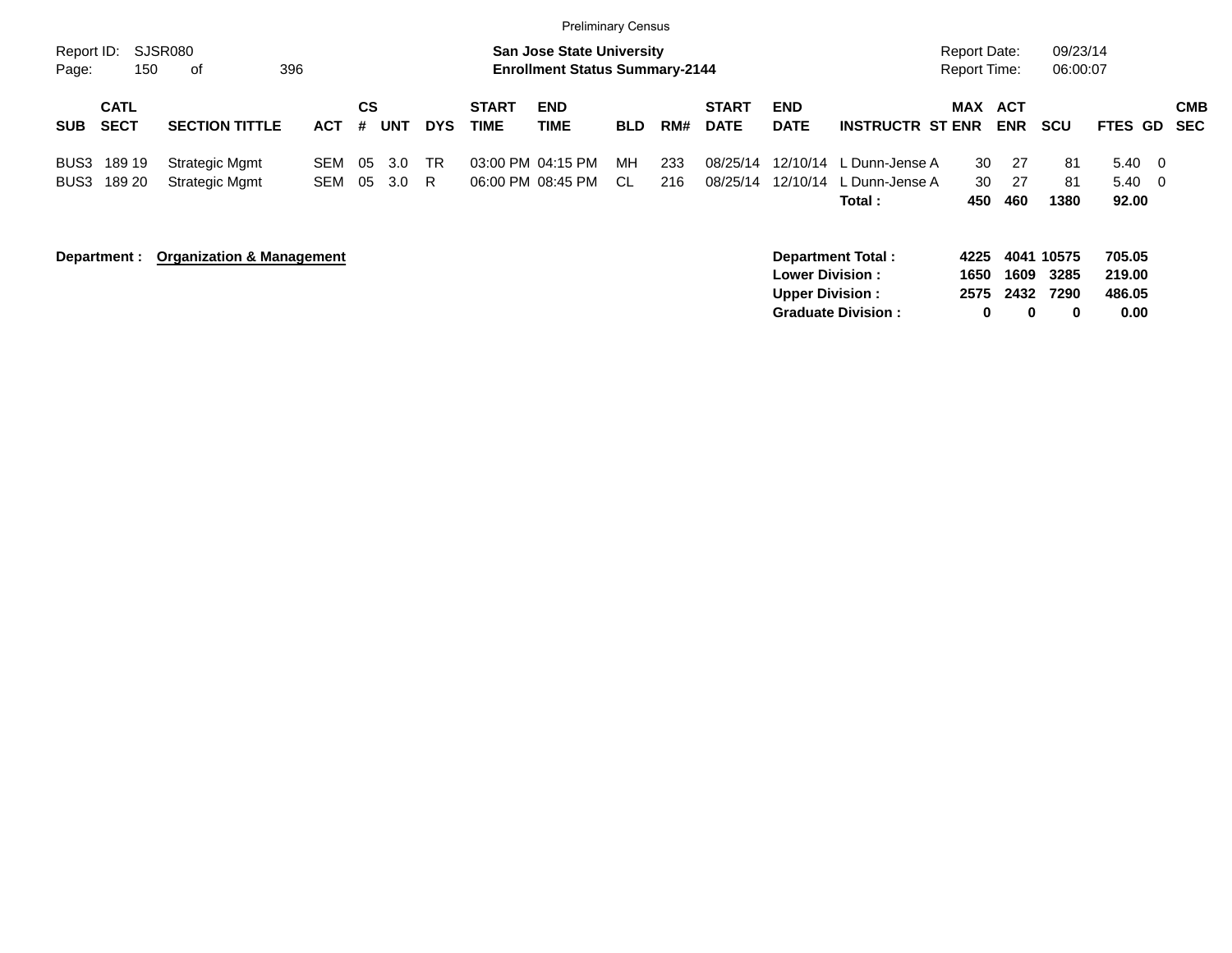|                     |                            |                                      |                   |                |            |            |                             | <b>Preliminary Census</b>                                                 |            |            |                             |                           |                                             |                                     |                   |                      |                                 |                          |
|---------------------|----------------------------|--------------------------------------|-------------------|----------------|------------|------------|-----------------------------|---------------------------------------------------------------------------|------------|------------|-----------------------------|---------------------------|---------------------------------------------|-------------------------------------|-------------------|----------------------|---------------------------------|--------------------------|
| Report ID:<br>Page: | 150                        | SJSR080<br>396<br>οf                 |                   |                |            |            |                             | <b>San Jose State University</b><br><b>Enrollment Status Summary-2144</b> |            |            |                             |                           |                                             | Report Date:<br><b>Report Time:</b> |                   | 09/23/14<br>06:00:07 |                                 |                          |
| <b>SUB</b>          | <b>CATL</b><br><b>SECT</b> | <b>SECTION TITTLE</b>                | <b>ACT</b>        | <b>CS</b><br># | UNT        | <b>DYS</b> | <b>START</b><br><b>TIME</b> | <b>END</b><br><b>TIME</b>                                                 | <b>BLD</b> | RM#        | <b>START</b><br><b>DATE</b> | <b>END</b><br><b>DATE</b> | <b>INSTRUCTR ST ENR</b>                     | MAX                                 | ACT<br><b>ENR</b> | <b>SCU</b>           | <b>FTES GD</b>                  | <b>CMB</b><br><b>SEC</b> |
| BUS3<br>BUS3        | 189 19<br>189 20           | Strategic Mgmt<br>Strategic Mgmt     | SEM<br><b>SEM</b> | -05<br>05      | 3.0<br>3.0 | TR<br>R.   |                             | 03:00 PM 04:15 PM<br>06:00 PM 08:45 PM                                    | MН<br>CL.  | 233<br>216 | 08/25/14<br>08/25/14        | 12/10/14<br>12/10/14      | . Dunn-Jense A<br>. Dunn-Jense A<br>Total : | 30<br>30<br>450                     | 27<br>27<br>460   | 81<br>81<br>1380     | 5.40<br>$5.40 \quad 0$<br>92.00 | $\overline{0}$           |
|                     | Department :               | <b>Organization &amp; Management</b> |                   |                |            |            |                             |                                                                           |            |            |                             |                           | Department Total:                           | 4225                                |                   | 4041 10575           | 705.05                          |                          |

**Lower Division : 1650 1609 3285 219.00 Upper Division : 2575 2432 7290 486.05 Graduate Division : 0 0 0 0.00**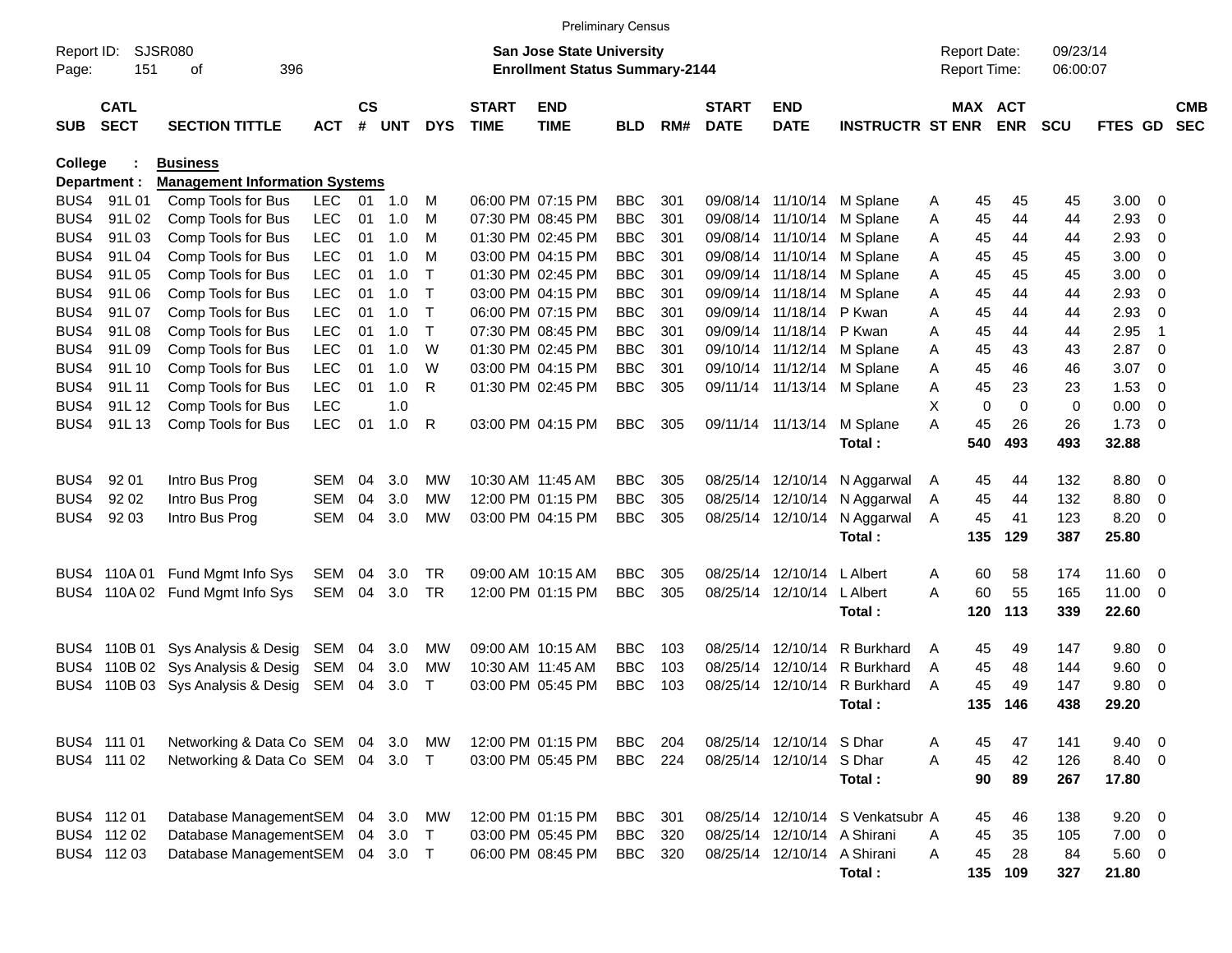|                |                            |                                       |            |                    |                |              |                             |                                       | <b>Preliminary Census</b> |     |                             |                             |                                  |                     |                       |            |                |                          |                          |
|----------------|----------------------------|---------------------------------------|------------|--------------------|----------------|--------------|-----------------------------|---------------------------------------|---------------------------|-----|-----------------------------|-----------------------------|----------------------------------|---------------------|-----------------------|------------|----------------|--------------------------|--------------------------|
| Report ID:     |                            | <b>SJSR080</b>                        |            |                    |                |              |                             | San Jose State University             |                           |     |                             |                             |                                  | <b>Report Date:</b> |                       | 09/23/14   |                |                          |                          |
| Page:          | 151                        | 396<br>оf                             |            |                    |                |              |                             | <b>Enrollment Status Summary-2144</b> |                           |     |                             |                             |                                  | <b>Report Time:</b> |                       | 06:00:07   |                |                          |                          |
| <b>SUB</b>     | <b>CATL</b><br><b>SECT</b> | <b>SECTION TITTLE</b>                 | <b>ACT</b> | $\mathsf{cs}$<br># | UNT            | <b>DYS</b>   | <b>START</b><br><b>TIME</b> | <b>END</b><br><b>TIME</b>             | <b>BLD</b>                | RM# | <b>START</b><br><b>DATE</b> | <b>END</b><br><b>DATE</b>   | <b>INSTRUCTR ST ENR</b>          |                     | MAX ACT<br><b>ENR</b> | <b>SCU</b> | FTES GD        |                          | <b>CMB</b><br><b>SEC</b> |
| <b>College</b> |                            | <b>Business</b>                       |            |                    |                |              |                             |                                       |                           |     |                             |                             |                                  |                     |                       |            |                |                          |                          |
|                | Department :               | <b>Management Information Systems</b> |            |                    |                |              |                             |                                       |                           |     |                             |                             |                                  |                     |                       |            |                |                          |                          |
| BUS4           | 91L01                      | Comp Tools for Bus                    | <b>LEC</b> |                    | $01 \quad 1.0$ | M            |                             | 06:00 PM 07:15 PM                     | <b>BBC</b>                | 301 |                             | 09/08/14 11/10/14           | M Splane                         | 45<br>Α             | 45                    | 45         | $3.00 \ 0$     |                          |                          |
| BUS4           | 91L02                      | Comp Tools for Bus                    | <b>LEC</b> | 01                 | 1.0            | М            |                             | 07:30 PM 08:45 PM                     | <b>BBC</b>                | 301 |                             | 09/08/14 11/10/14           | M Splane                         | 45<br>A             | 44                    | 44         | 2.93           | $\overline{\mathbf{0}}$  |                          |
| BUS4           | 91L03                      | Comp Tools for Bus                    | <b>LEC</b> | 01                 | 1.0            | M            |                             | 01:30 PM 02:45 PM                     | <b>BBC</b>                | 301 |                             | 09/08/14 11/10/14           | M Splane                         | 45<br>A             | 44                    | 44         | 2.93           | - 0                      |                          |
| BUS4           | 91L04                      | Comp Tools for Bus                    | <b>LEC</b> | 01                 | 1.0            | м            |                             | 03:00 PM 04:15 PM                     | <b>BBC</b>                | 301 |                             | 09/08/14 11/10/14           | M Splane                         | 45<br>A             | 45                    | 45         | 3.00           | - 0                      |                          |
| BUS4           | 91L05                      | Comp Tools for Bus                    | <b>LEC</b> | 01                 | 1.0            | $\mathsf{T}$ |                             | 01:30 PM 02:45 PM                     | <b>BBC</b>                | 301 |                             | 09/09/14 11/18/14           | M Splane                         | 45<br>Α             | 45                    | 45         | 3.00           | - 0                      |                          |
| BUS4           | 91L06                      | Comp Tools for Bus                    | <b>LEC</b> | 01                 | 1.0            | $\mathsf{T}$ |                             | 03:00 PM 04:15 PM                     | <b>BBC</b>                | 301 |                             | 09/09/14 11/18/14           | M Splane                         | 45<br>A             | 44                    | 44         | 2.93           | - 0                      |                          |
| BUS4           | 91L07                      | Comp Tools for Bus                    | <b>LEC</b> | 01                 | 1.0            | $\top$       |                             | 06:00 PM 07:15 PM                     | <b>BBC</b>                | 301 |                             | 09/09/14 11/18/14           | P Kwan                           | 45<br>A             | 44                    | 44         | 2.93           | - 0                      |                          |
| BUS4           | 91L08                      | Comp Tools for Bus                    | <b>LEC</b> | 01                 | 1.0            | $\top$       |                             | 07:30 PM 08:45 PM                     | <b>BBC</b>                | 301 |                             | 09/09/14 11/18/14 P Kwan    |                                  | 45<br>A             | 44                    | 44         | 2.95           | -1                       |                          |
| BUS4           | 91L09                      | Comp Tools for Bus                    | <b>LEC</b> | 01                 | 1.0            | W            |                             | 01:30 PM 02:45 PM                     | <b>BBC</b>                | 301 |                             | 09/10/14 11/12/14           | M Splane                         | 45<br>A             | 43                    | 43         | 2.87           | $\overline{\phantom{0}}$ |                          |
| BUS4           | 91L 10                     | Comp Tools for Bus                    | <b>LEC</b> | 01                 | 1.0            | W            |                             | 03:00 PM 04:15 PM                     | <b>BBC</b>                | 301 |                             | 09/10/14 11/12/14           | M Splane                         | 45<br>Α             | 46                    | 46         | 3.07           | $\overline{\mathbf{0}}$  |                          |
| BUS4           | 91L 11                     | Comp Tools for Bus                    | <b>LEC</b> | 01                 | 1.0            | R            |                             | 01:30 PM 02:45 PM                     | <b>BBC</b>                | 305 |                             | 09/11/14 11/13/14 M Splane  |                                  | 45<br>Α             | 23                    | 23         | 1.53           | $\overline{\mathbf{0}}$  |                          |
| BUS4           | 91L 12                     | Comp Tools for Bus                    | <b>LEC</b> |                    | 1.0            |              |                             |                                       |                           |     |                             |                             |                                  | Х                   | 0<br>$\mathbf 0$      | 0          | 0.00           | $\overline{\phantom{0}}$ |                          |
| BUS4           | 91L13                      | Comp Tools for Bus                    | <b>LEC</b> | 01                 | 1.0            | R            |                             | 03:00 PM 04:15 PM                     | <b>BBC</b>                | 305 |                             | 09/11/14 11/13/14           | M Splane                         | 45<br>Α             | 26                    | 26         | 1.73           | $\overline{\phantom{0}}$ |                          |
|                |                            |                                       |            |                    |                |              |                             |                                       |                           |     |                             |                             | Total:                           | 540                 | 493                   | 493        | 32.88          |                          |                          |
| BUS4           | 92 01                      | Intro Bus Prog                        | SEM        | 04                 | 3.0            | МW           |                             | 10:30 AM 11:45 AM                     | <b>BBC</b>                | 305 |                             | 08/25/14 12/10/14           | N Aggarwal                       | 45<br>A             | 44                    | 132        | 8.80 0         |                          |                          |
| BUS4           | 92 02                      | Intro Bus Prog                        | <b>SEM</b> | 04                 | 3.0            | МW           |                             | 12:00 PM 01:15 PM                     | <b>BBC</b>                | 305 |                             | 08/25/14 12/10/14           | N Aggarwal                       | 45<br>Α             | 44                    | 132        | 8.80           | $\overline{\mathbf{0}}$  |                          |
| BUS4           | 92 03                      | Intro Bus Prog                        | <b>SEM</b> | 04                 | 3.0            | MW           |                             | 03:00 PM 04:15 PM                     | <b>BBC</b>                | 305 |                             | 08/25/14 12/10/14           | N Aggarwal                       | 45<br>A             | 41                    | 123        | 8.20           | $\overline{\phantom{0}}$ |                          |
|                |                            |                                       |            |                    |                |              |                             |                                       |                           |     |                             |                             | Total:                           | 135                 | 129                   | 387        | 25.80          |                          |                          |
|                |                            |                                       |            |                    |                |              |                             |                                       |                           |     |                             |                             |                                  |                     |                       |            |                |                          |                          |
|                | BUS4 110A01                | Fund Mgmt Info Sys                    | SEM        | 04                 | 3.0            | TR           |                             | 09:00 AM 10:15 AM                     | <b>BBC</b>                | 305 |                             | 08/25/14 12/10/14           | L Albert                         | 60<br>A             | 58                    | 174        | 11.60 0        |                          |                          |
|                |                            | BUS4 110A 02 Fund Mgmt Info Sys       | SEM        | 04                 | 3.0            | TR           |                             | 12:00 PM 01:15 PM                     | <b>BBC</b>                | 305 |                             | 08/25/14 12/10/14           | L Albert                         | 60<br>А             | 55                    | 165        | 11.00 0        |                          |                          |
|                |                            |                                       |            |                    |                |              |                             |                                       |                           |     |                             |                             | Total:                           | 120                 | 113                   | 339        | 22.60          |                          |                          |
|                | BUS4 110B 01               | Sys Analysis & Desig                  | SEM        | 04                 | 3.0            | <b>MW</b>    |                             | 09:00 AM 10:15 AM                     | <b>BBC</b>                | 103 | 08/25/14                    | 12/10/14                    | R Burkhard                       | 45<br>A             | 49                    | 147        | 9.80 0         |                          |                          |
|                |                            | BUS4 110B 02 Sys Analysis & Desig     | SEM        | 04                 | 3.0            | <b>MW</b>    |                             | 10:30 AM 11:45 AM                     | <b>BBC</b>                | 103 | 08/25/14                    | 12/10/14                    | R Burkhard                       | 45<br>A             | 48                    | 144        | 9.60           | $\overline{\mathbf{0}}$  |                          |
| BUS4.          |                            | 110B 03 Sys Analysis & Desig          | SEM        | 04                 | 3.0            | Т            |                             | 03:00 PM 05:45 PM                     | <b>BBC</b>                | 103 |                             | 08/25/14 12/10/14           | R Burkhard                       | 45<br>A             | 49                    | 147        | 9.80           | - 0                      |                          |
|                |                            |                                       |            |                    |                |              |                             |                                       |                           |     |                             |                             | Total :                          | 135                 | 146                   | 438        | 29.20          |                          |                          |
|                | BUS4 111 01                | Networking & Data Co SEM 04 3.0 MW    |            |                    |                |              |                             | 12:00 PM 01:15 PM                     | <b>BBC</b>                | 204 |                             | 08/25/14 12/10/14 S Dhar    |                                  | 45<br>A             | 47                    | 141        | $9.40 \quad 0$ |                          |                          |
|                | BUS4 111 02                | Networking & Data Co SEM 04 3.0 T     |            |                    |                |              |                             | 03:00 PM 05:45 PM                     | <b>BBC</b>                | 224 |                             | 08/25/14 12/10/14 S Dhar    |                                  | 45<br>A             | 42                    | 126        | 8.40 0         |                          |                          |
|                |                            |                                       |            |                    |                |              |                             |                                       |                           |     |                             |                             | Total:                           | 90                  | 89                    | 267        | 17.80          |                          |                          |
|                |                            |                                       |            |                    |                |              |                             |                                       |                           |     |                             |                             |                                  |                     |                       |            |                |                          |                          |
|                | BUS4 112 01                | Database ManagementSEM 04 3.0 MW      |            |                    |                |              |                             | 12:00 PM 01:15 PM                     | <b>BBC</b>                | 301 |                             |                             | 08/25/14 12/10/14 S Venkatsubr A | 45                  | 46                    | 138        | $9.20 \ 0$     |                          |                          |
|                | BUS4 112 02                | Database ManagementSEM                |            |                    | 04 3.0 T       |              |                             | 03:00 PM 05:45 PM                     | <b>BBC</b>                | 320 |                             | 08/25/14 12/10/14 A Shirani |                                  | 45<br>A             | 35                    | 105        | $7.00 \t 0$    |                          |                          |
|                | BUS4 112 03                | Database ManagementSEM                |            |                    | 04 3.0 T       |              |                             | 06:00 PM 08:45 PM                     | <b>BBC</b>                | 320 |                             | 08/25/14 12/10/14 A Shirani |                                  | 45<br>Α             | 28                    | 84         | $5.60$ 0       |                          |                          |
|                |                            |                                       |            |                    |                |              |                             |                                       |                           |     |                             |                             | Total:                           | 135                 | 109                   | 327        | 21.80          |                          |                          |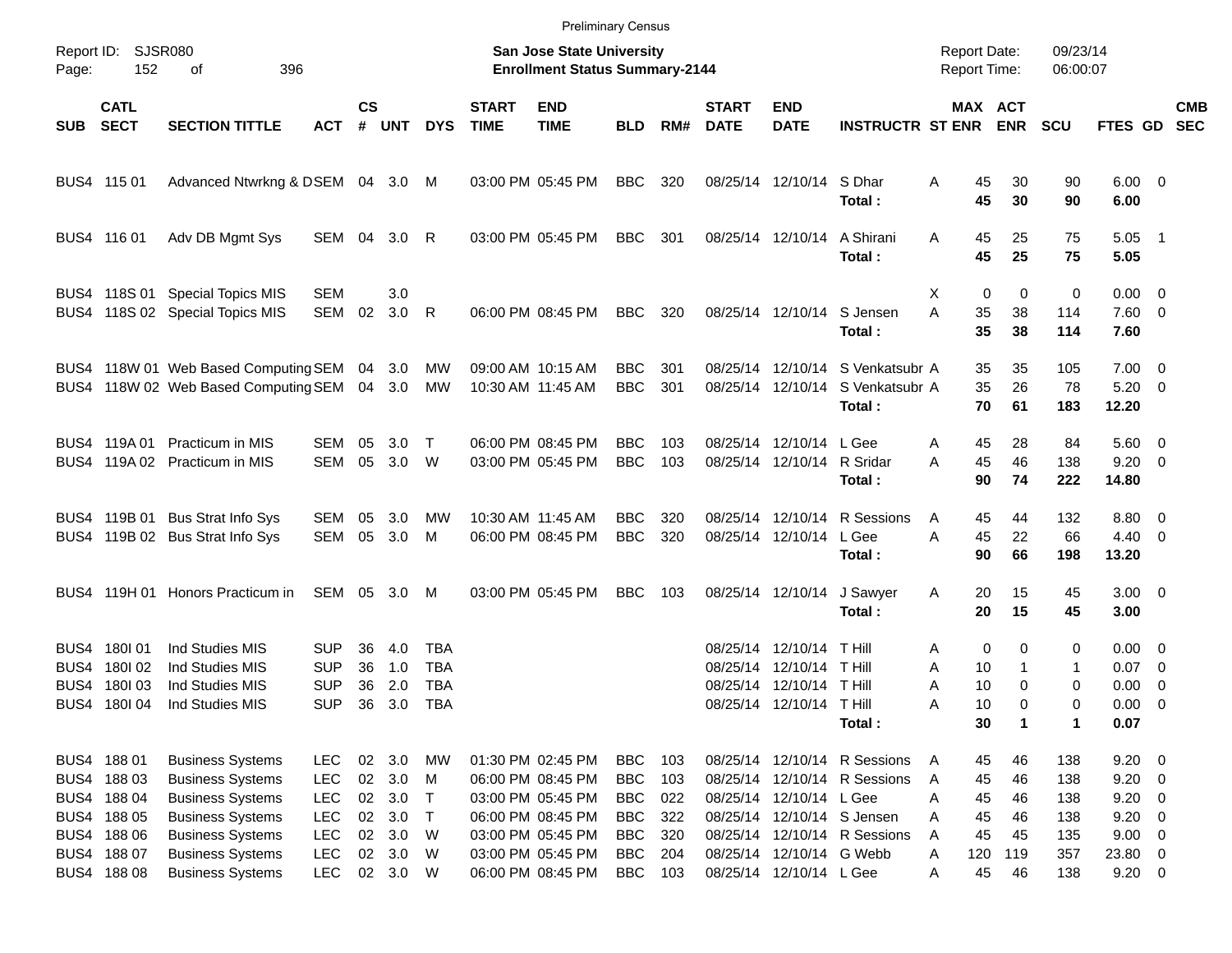|       |                                                                         |                                                                                                                                     |                                                                    |                                      |                                    |                                                      |                                                                    | <b>Preliminary Census</b>                                                                             |                                                                    |                                 |                                  |                                                                   |                                                                                        |                                                     |                                                         |                                 |                                                        |                                                      |                          |
|-------|-------------------------------------------------------------------------|-------------------------------------------------------------------------------------------------------------------------------------|--------------------------------------------------------------------|--------------------------------------|------------------------------------|------------------------------------------------------|--------------------------------------------------------------------|-------------------------------------------------------------------------------------------------------|--------------------------------------------------------------------|---------------------------------|----------------------------------|-------------------------------------------------------------------|----------------------------------------------------------------------------------------|-----------------------------------------------------|---------------------------------------------------------|---------------------------------|--------------------------------------------------------|------------------------------------------------------|--------------------------|
| Page: | Report ID: SJSR080<br>152                                               |                                                                                                                                     |                                                                    |                                      |                                    |                                                      | San Jose State University<br><b>Enrollment Status Summary-2144</b> |                                                                                                       |                                                                    |                                 |                                  |                                                                   | <b>Report Date:</b><br><b>Report Time:</b>                                             |                                                     | 09/23/14<br>06:00:07                                    |                                 |                                                        |                                                      |                          |
| SUB   | <b>CATL</b><br><b>SECT</b>                                              | <b>SECTION TITTLE</b>                                                                                                               | <b>ACT</b>                                                         | $\mathsf{cs}$<br>#                   | <b>UNT</b>                         | <b>DYS</b>                                           | <b>START</b><br><b>TIME</b>                                        | <b>END</b><br><b>TIME</b>                                                                             | <b>BLD</b>                                                         | RM#                             | <b>START</b><br><b>DATE</b>      | <b>END</b><br><b>DATE</b>                                         | <b>INSTRUCTR ST ENR</b>                                                                |                                                     | MAX ACT<br><b>ENR</b>                                   | <b>SCU</b>                      | FTES GD                                                |                                                      | <b>CMB</b><br><b>SEC</b> |
|       | BUS4 115 01                                                             | Advanced Ntwrkng & DSEM 04 3.0 M                                                                                                    |                                                                    |                                      |                                    |                                                      |                                                                    | 03:00 PM 05:45 PM                                                                                     | <b>BBC</b>                                                         | 320                             |                                  | 08/25/14 12/10/14                                                 | S Dhar<br>Total:                                                                       | A<br>45<br>45                                       | 30<br>30                                                | 90<br>90                        | $6.00 \quad 0$<br>6.00                                 |                                                      |                          |
|       | BUS4 116 01                                                             | Adv DB Mgmt Sys                                                                                                                     | SEM 04 3.0                                                         |                                      |                                    | R                                                    |                                                                    | 03:00 PM 05:45 PM                                                                                     | <b>BBC</b>                                                         | 301                             | 08/25/14 12/10/14                |                                                                   | A Shirani<br>Total:                                                                    | 45<br>A<br>45                                       | 25<br>25                                                | 75<br>75                        | $5.05$ 1<br>5.05                                       |                                                      |                          |
|       |                                                                         | BUS4 118S 01 Special Topics MIS<br>BUS4 118S 02 Special Topics MIS                                                                  | <b>SEM</b><br>SEM                                                  | 02                                   | 3.0<br>3.0                         | R                                                    |                                                                    | 06:00 PM 08:45 PM                                                                                     | <b>BBC</b>                                                         | 320                             | 08/25/14 12/10/14                |                                                                   | S Jensen<br>Total:                                                                     | Х<br>A<br>35<br>35                                  | $\mathbf 0$<br>0<br>38<br>38                            | 0<br>114<br>114                 | $0.00 \t 0$<br>7.60 0<br>7.60                          |                                                      |                          |
|       |                                                                         | BUS4 118W 01 Web Based Computing SEM 04 3.0<br>BUS4 118W 02 Web Based Computing SEM                                                 |                                                                    |                                      | 04 3.0                             | MW<br>МW                                             |                                                                    | 09:00 AM 10:15 AM<br>10:30 AM 11:45 AM                                                                | <b>BBC</b><br><b>BBC</b>                                           | 301<br>301                      |                                  | 08/25/14 12/10/14<br>08/25/14 12/10/14                            | S Venkatsubr A<br>S Venkatsubr A<br>Total:                                             | 35<br>35<br>70                                      | 35<br>26<br>61                                          | 105<br>78<br>183                | $7.00 \t 0$<br>$5.20 \ 0$<br>12.20                     |                                                      |                          |
|       |                                                                         | BUS4 119A 01 Practicum in MIS<br>BUS4 119A 02 Practicum in MIS                                                                      | SEM<br>SEM                                                         | 05<br>05                             | 3.0<br>3.0 W                       | $\top$                                               |                                                                    | 06:00 PM 08:45 PM<br>03:00 PM 05:45 PM                                                                | <b>BBC</b><br><b>BBC</b>                                           | 103<br>103                      |                                  | 08/25/14 12/10/14<br>08/25/14 12/10/14                            | L Gee<br>R Sridar<br>Total:                                                            | 45<br>Α<br>45<br>A<br>90                            | 28<br>46<br>74                                          | 84<br>138<br>222                | $5.60$ 0<br>$9.20 \ 0$<br>14.80                        |                                                      |                          |
|       |                                                                         | BUS4 119B 01 Bus Strat Info Sys<br>BUS4 119B 02 Bus Strat Info Sys                                                                  | SEM<br>SEM                                                         | 05<br>05                             | 3.0<br>3.0                         | MW<br>M                                              |                                                                    | 10:30 AM 11:45 AM<br>06:00 PM 08:45 PM                                                                | <b>BBC</b><br><b>BBC</b>                                           | 320<br>320                      |                                  | 08/25/14 12/10/14<br>08/25/14 12/10/14                            | R Sessions<br>L Gee<br>Total:                                                          | 45<br>A<br>A<br>45<br>90                            | 44<br>22<br>66                                          | 132<br>66<br>198                | 8.80 0<br>$4.40 \quad 0$<br>13.20                      |                                                      |                          |
|       |                                                                         | BUS4 119H 01 Honors Practicum in                                                                                                    | SEM 05 3.0                                                         |                                      |                                    | M                                                    |                                                                    | 03:00 PM 05:45 PM                                                                                     | <b>BBC</b>                                                         | 103                             |                                  | 08/25/14 12/10/14                                                 | J Sawyer<br>Total:                                                                     | 20<br>A<br>20                                       | 15<br>15                                                | 45<br>45                        | $3.00 \ 0$<br>3.00                                     |                                                      |                          |
| BUS4. | BUS4 180 01<br>BUS4 180102<br>180103<br>BUS4 180 04                     | Ind Studies MIS<br>Ind Studies MIS<br>Ind Studies MIS<br>Ind Studies MIS                                                            | <b>SUP</b><br><b>SUP</b><br>SUP<br><b>SUP</b>                      | 36<br>36<br>36<br>36                 | 4.0<br>1.0<br>2.0<br>3.0           | <b>TBA</b><br><b>TBA</b><br><b>TBA</b><br><b>TBA</b> |                                                                    |                                                                                                       |                                                                    |                                 | 08/25/14<br>08/25/14<br>08/25/14 | 12/10/14<br>12/10/14<br>12/10/14<br>08/25/14 12/10/14 T Hill      | T Hill<br>T Hill<br><b>THill</b><br>Total:                                             | A<br>Α<br>10<br>10<br>Α<br>10<br>Α<br>30            | 0<br>0<br>$\mathbf{1}$<br>0<br>$\Omega$<br>$\mathbf{1}$ | 0<br>1<br>0<br>0<br>1           | $0.00 \t 0$<br>$0.07$ 0<br>0.00<br>$0.00 \t 0$<br>0.07 | $\overline{\phantom{0}}$                             |                          |
|       | BUS4 188 01<br>BUS4 188 03<br>BUS4 188 04<br>BUS4 188 05<br>BUS4 188 06 | <b>Business Systems</b><br><b>Business Systems</b><br><b>Business Systems</b><br><b>Business Systems</b><br><b>Business Systems</b> | <b>LEC</b><br><b>LEC</b><br><b>LEC</b><br><b>LEC</b><br><b>LEC</b> | $02\,$<br>$02\,$<br>$02\,$<br>$02\,$ | 02 3.0<br>3.0<br>3.0<br>3.0<br>3.0 | <b>MW</b><br>M<br>$\top$<br>$\top$<br>W              |                                                                    | 01:30 PM 02:45 PM<br>06:00 PM 08:45 PM<br>03:00 PM 05:45 PM<br>06:00 PM 08:45 PM<br>03:00 PM 05:45 PM | <b>BBC</b><br><b>BBC</b><br><b>BBC</b><br><b>BBC</b><br><b>BBC</b> | 103<br>103<br>022<br>322<br>320 |                                  | 08/25/14 12/10/14<br>08/25/14 12/10/14<br>08/25/14 12/10/14 L Gee | R Sessions<br>R Sessions<br>08/25/14 12/10/14 S Jensen<br>08/25/14 12/10/14 R Sessions | 45<br>A<br>45<br>Α<br>45<br>A<br>45<br>A<br>45<br>A | 46<br>46<br>46<br>46<br>45                              | 138<br>138<br>138<br>138<br>135 | $9.20 \ 0$<br>$9.20 \ 0$<br>9.20<br>9.20<br>9.00 0     | $\overline{\phantom{0}}$<br>$\overline{\phantom{0}}$ |                          |
|       | BUS4 188 07<br>BUS4 188 08                                              | <b>Business Systems</b><br><b>Business Systems</b>                                                                                  | LEC<br><b>LEC</b>                                                  | $02\,$                               | 3.0<br>02 3.0 W                    | W                                                    |                                                                    | 03:00 PM 05:45 PM<br>06:00 PM 08:45 PM                                                                | <b>BBC</b><br><b>BBC</b>                                           | 204<br>103                      |                                  | 08/25/14 12/10/14 G Webb<br>08/25/14 12/10/14 L Gee               |                                                                                        | 120<br>Α<br>45<br>Α                                 | 119<br>46                                               | 357<br>138                      | 23.80 0<br>$9.20 \t 0$                                 |                                                      |                          |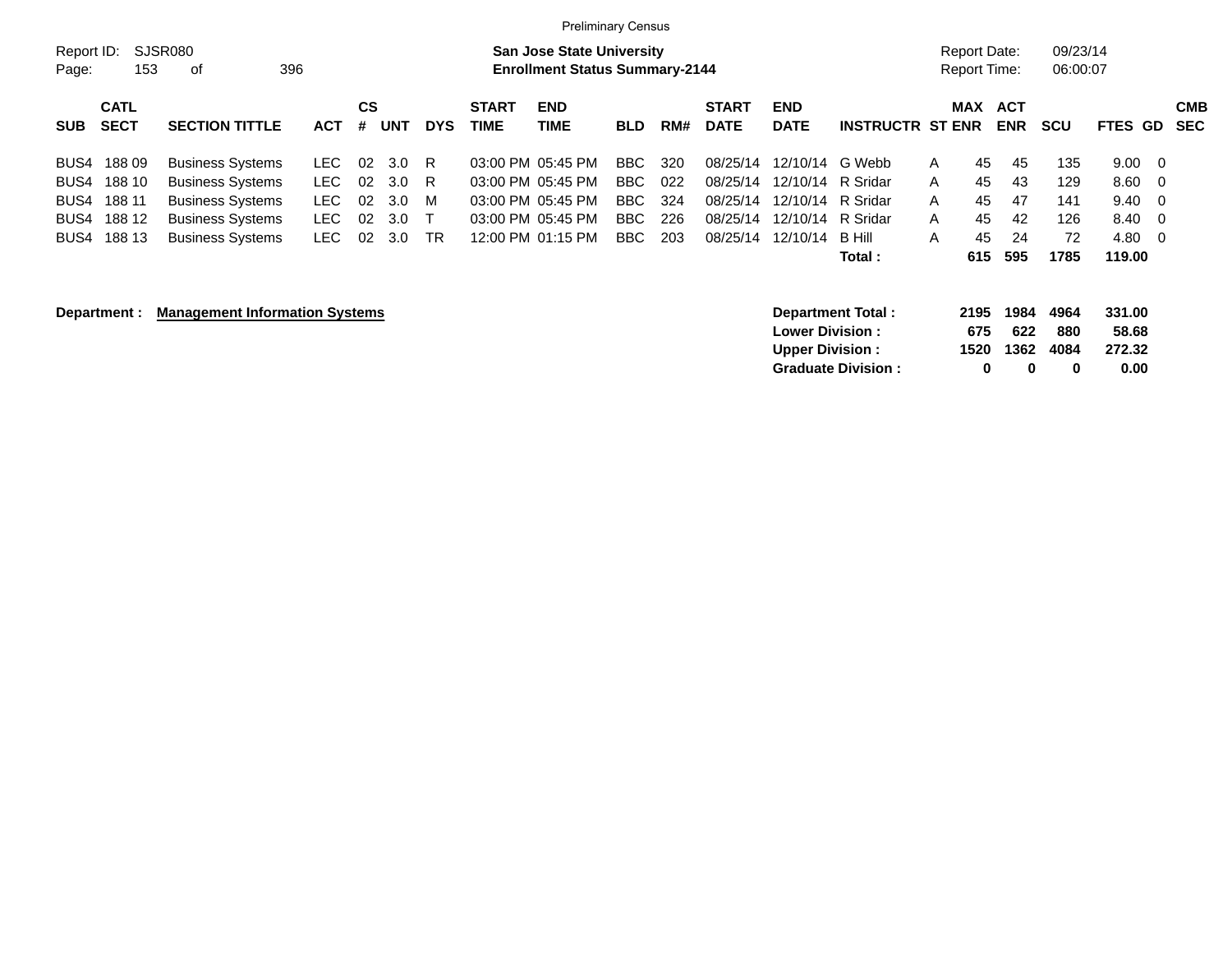|                                                                                       |                                                                                                                                     |                                                        |                                                               |                    |                             | <b>Preliminary Census</b>                                                                             |                                          |                                 |                                                          |                                                                                            |                                                       |                       |                                     |                                   |                                        |                                                |                                 |
|---------------------------------------------------------------------------------------|-------------------------------------------------------------------------------------------------------------------------------------|--------------------------------------------------------|---------------------------------------------------------------|--------------------|-----------------------------|-------------------------------------------------------------------------------------------------------|------------------------------------------|---------------------------------|----------------------------------------------------------|--------------------------------------------------------------------------------------------|-------------------------------------------------------|-----------------------|-------------------------------------|-----------------------------------|----------------------------------------|------------------------------------------------|---------------------------------|
| Report ID:<br>Page:                                                                   | SJSR080<br>153<br>396<br>οf                                                                                                         |                                                        |                                                               |                    |                             | <b>San Jose State University</b><br><b>Enrollment Status Summary-2144</b>                             |                                          |                                 |                                                          |                                                                                            |                                                       |                       | Report Date:<br><b>Report Time:</b> |                                   | 09/23/14<br>06:00:07                   |                                                |                                 |
| <b>CATL</b><br><b>SECT</b><br><b>SUB</b>                                              | <b>SECTION TITTLE</b>                                                                                                               | <b>ACT</b>                                             | <b>CS</b><br><b>UNT</b><br>#                                  | <b>DYS</b>         | <b>START</b><br><b>TIME</b> | <b>END</b><br>TIME                                                                                    | <b>BLD</b>                               | RM#                             | <b>START</b><br><b>DATE</b>                              | <b>END</b><br><b>DATE</b>                                                                  | <b>INSTRUCTR ST ENR</b>                               |                       | <b>MAX</b>                          | <b>ACT</b><br><b>ENR</b>          | <b>SCU</b>                             | <b>FTES GD</b>                                 | <b>CMB</b><br><b>SEC</b>        |
| 18809<br>BUS4<br>188 10<br>BUS4<br>188 11<br>BUS4<br>188 12<br>BUS4<br>188 13<br>BUS4 | <b>Business Systems</b><br><b>Business Systems</b><br><b>Business Systems</b><br><b>Business Systems</b><br><b>Business Systems</b> | LEC.<br><b>LEC</b><br><b>LEC</b><br>LEC.<br><b>LEC</b> | 02<br>3.0<br>02<br>3.0<br>02<br>3.0<br>02<br>3.0<br>02<br>3.0 | R<br>R<br>м<br>TR. |                             | 03:00 PM 05:45 PM<br>03:00 PM 05:45 PM<br>03:00 PM 05:45 PM<br>03:00 PM 05:45 PM<br>12:00 PM 01:15 PM | BBC<br>BBC.<br>BBC.<br>BBC<br><b>BBC</b> | 320<br>022<br>324<br>226<br>203 | 08/25/14<br>08/25/14<br>08/25/14<br>08/25/14<br>08/25/14 | 12/10/14 G Webb<br>12/10/14 R Sridar<br>12/10/14 R Sridar<br>12/10/14 R Sridar<br>12/10/14 | - B Hill<br>Total:                                    | A<br>A<br>A<br>A<br>A | 45<br>45<br>45<br>45<br>45<br>615   | 45<br>43<br>47<br>42<br>24<br>595 | 135<br>129<br>141<br>126<br>72<br>1785 | 9.00<br>8.60<br>9.40<br>8.40<br>4.80<br>119.00 | - 0<br>- 0<br>- 0<br>- 0<br>- 0 |
| Department :                                                                          | <b>Management Information Systems</b>                                                                                               |                                                        |                                                               |                    |                             |                                                                                                       |                                          |                                 |                                                          | <b>Lower Division:</b><br><b>Upper Division:</b>                                           | <b>Department Total:</b><br><b>Graduate Division:</b> |                       | 2195<br>675<br>1520<br>0            | 1984<br>622<br>1362<br>0          | 4964<br>880<br>4084<br>0               | 331.00<br>58.68<br>272.32<br>0.00              |                                 |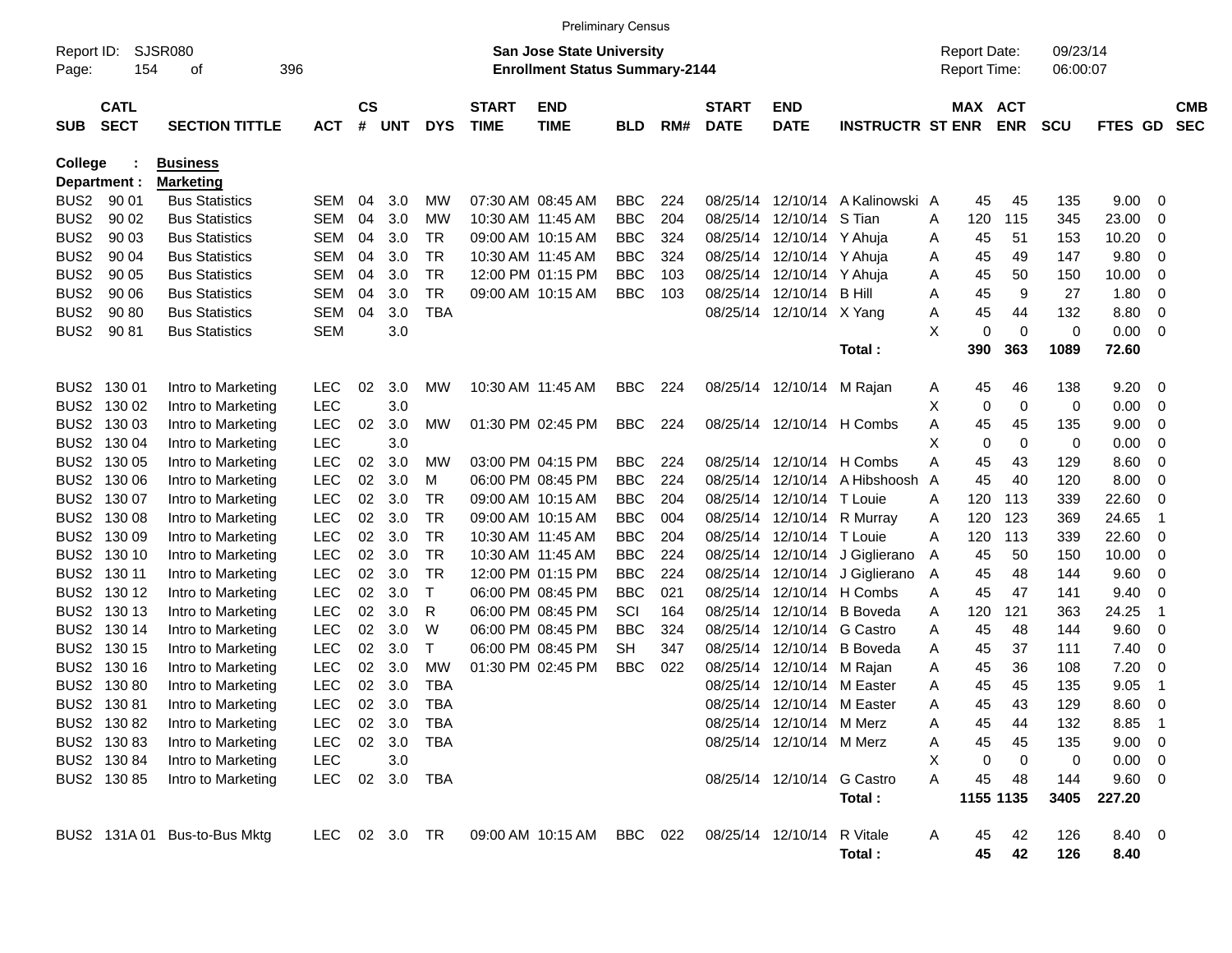|                     |                            |                              |               |                    |            |            |                             |                                                                           | <b>Preliminary Census</b> |     |                             |                            |                         |   |                                     |            |                      |             |             |                          |
|---------------------|----------------------------|------------------------------|---------------|--------------------|------------|------------|-----------------------------|---------------------------------------------------------------------------|---------------------------|-----|-----------------------------|----------------------------|-------------------------|---|-------------------------------------|------------|----------------------|-------------|-------------|--------------------------|
| Report ID:<br>Page: | 154                        | SJSR080<br>οf                | 396           |                    |            |            |                             | <b>San Jose State University</b><br><b>Enrollment Status Summary-2144</b> |                           |     |                             |                            |                         |   | <b>Report Date:</b><br>Report Time: |            | 09/23/14<br>06:00:07 |             |             |                          |
| <b>SUB</b>          | <b>CATL</b><br><b>SECT</b> | <b>SECTION TITTLE</b>        | <b>ACT</b>    | $\mathsf{cs}$<br># | <b>UNT</b> | <b>DYS</b> | <b>START</b><br><b>TIME</b> | <b>END</b><br><b>TIME</b>                                                 | <b>BLD</b>                | RM# | <b>START</b><br><b>DATE</b> | <b>END</b><br><b>DATE</b>  | <b>INSTRUCTR ST ENR</b> |   | MAX ACT                             | <b>ENR</b> | <b>SCU</b>           | FTES GD     |             | <b>CMB</b><br><b>SEC</b> |
| College             |                            | <b>Business</b>              |               |                    |            |            |                             |                                                                           |                           |     |                             |                            |                         |   |                                     |            |                      |             |             |                          |
|                     | Department :               | <b>Marketing</b>             |               |                    |            |            |                             |                                                                           |                           |     |                             |                            |                         |   |                                     |            |                      |             |             |                          |
| BUS2                | 90 01                      | <b>Bus Statistics</b>        | SEM           | 04                 | 3.0        | МW         |                             | 07:30 AM 08:45 AM                                                         | <b>BBC</b>                | 224 | 08/25/14                    | 12/10/14                   | A Kalinowski A          |   | 45                                  | 45         | 135                  | 9.00        | 0           |                          |
| BUS <sub>2</sub>    | 90 02                      | <b>Bus Statistics</b>        | <b>SEM</b>    | 04                 | 3.0        | МW         |                             | 10:30 AM 11:45 AM                                                         | <b>BBC</b>                | 204 | 08/25/14                    | 12/10/14                   | S Tian                  | A | 120                                 | 115        | 345                  | 23.00       | 0           |                          |
| BUS <sub>2</sub>    | 90 03                      | <b>Bus Statistics</b>        | <b>SEM</b>    | 04                 | 3.0        | TR.        |                             | 09:00 AM 10:15 AM                                                         | <b>BBC</b>                | 324 | 08/25/14                    | 12/10/14                   | Y Ahuja                 | Α | 45                                  | 51         | 153                  | 10.20       | 0           |                          |
| BUS <sub>2</sub>    | 90 04                      | <b>Bus Statistics</b>        | <b>SEM</b>    | 04                 | 3.0        | TR         |                             | 10:30 AM 11:45 AM                                                         | <b>BBC</b>                | 324 | 08/25/14                    | 12/10/14                   | Y Ahuja                 | A | 45                                  | 49         | 147                  | 9.80        | 0           |                          |
| BUS <sub>2</sub>    | 90 05                      | <b>Bus Statistics</b>        | <b>SEM</b>    | 04                 | 3.0        | TR         |                             | 12:00 PM 01:15 PM                                                         | <b>BBC</b>                | 103 | 08/25/14                    | 12/10/14                   | Y Ahuja                 | Α | 45                                  | 50         | 150                  | 10.00       | 0           |                          |
| BUS <sub>2</sub>    | 90 06                      | <b>Bus Statistics</b>        | <b>SEM</b>    | 04                 | 3.0        | <b>TR</b>  |                             | 09:00 AM 10:15 AM                                                         | <b>BBC</b>                | 103 | 08/25/14                    | 12/10/14                   | <b>B</b> Hill           | A | 45                                  | 9          | 27                   | 1.80        | 0           |                          |
| BUS <sub>2</sub>    | 90 80                      | <b>Bus Statistics</b>        | <b>SEM</b>    | 04                 | 3.0        | <b>TBA</b> |                             |                                                                           |                           |     | 08/25/14                    | 12/10/14                   | X Yang                  | Α | 45                                  | 44         | 132                  | 8.80        | 0           |                          |
| BUS <sub>2</sub>    | 90 81                      | <b>Bus Statistics</b>        | <b>SEM</b>    |                    | 3.0        |            |                             |                                                                           |                           |     |                             |                            |                         | X | 0                                   | 0          | $\mathbf 0$          | 0.00        | 0           |                          |
|                     |                            |                              |               |                    |            |            |                             |                                                                           |                           |     |                             |                            | Total :                 |   | 390                                 | 363        | 1089                 | 72.60       |             |                          |
|                     | BUS2 130 01                | Intro to Marketing           | <b>LEC</b>    | 02                 | 3.0        | МW         |                             | 10:30 AM 11:45 AM                                                         | <b>BBC</b>                | 224 |                             | 08/25/14 12/10/14          | M Rajan                 | A | 45                                  | 46         | 138                  | 9.20        | - 0         |                          |
| BUS <sub>2</sub>    | 130 02                     | Intro to Marketing           | <b>LEC</b>    |                    | 3.0        |            |                             |                                                                           |                           |     |                             |                            |                         | X | 0                                   | 0          | 0                    | 0.00        | 0           |                          |
| BUS <sub>2</sub>    | 130 03                     | Intro to Marketing           | <b>LEC</b>    | 02                 | 3.0        | МW         |                             | 01:30 PM 02:45 PM                                                         | <b>BBC</b>                | 224 |                             | 08/25/14 12/10/14 H Combs  |                         | A | 45                                  | 45         | 135                  | 9.00        | 0           |                          |
| BUS <sub>2</sub>    | 130 04                     | Intro to Marketing           | <b>LEC</b>    |                    | 3.0        |            |                             |                                                                           |                           |     |                             |                            |                         | X | 0                                   | 0          | 0                    | 0.00        | 0           |                          |
| BUS2                | 130 05                     | Intro to Marketing           | <b>LEC</b>    | 02                 | 3.0        | МW         |                             | 03:00 PM 04:15 PM                                                         | <b>BBC</b>                | 224 | 08/25/14                    | 12/10/14                   | H Combs                 | A | 45                                  | 43         | 129                  | 8.60        | 0           |                          |
| BUS2                | 130 06                     | Intro to Marketing           | LEC           | 02                 | 3.0        | м          |                             | 06:00 PM 08:45 PM                                                         | <b>BBC</b>                | 224 | 08/25/14                    | 12/10/14                   | A Hibshoosh             | A | 45                                  | 40         | 120                  | 8.00        | 0           |                          |
| BUS2                | 130 07                     | Intro to Marketing           | <b>LEC</b>    | 02                 | 3.0        | TR         |                             | 09:00 AM 10:15 AM                                                         | <b>BBC</b>                | 204 | 08/25/14                    | 12/10/14                   | T Louie                 | A | 120                                 | 113        | 339                  | 22.60       | 0           |                          |
| BUS2                | 130 08                     | Intro to Marketing           | LEC           | 02                 | 3.0        | TR         |                             | 09:00 AM 10:15 AM                                                         | <b>BBC</b>                | 004 | 08/25/14                    | 12/10/14                   | R Murray                | Α | 120                                 | 123        | 369                  | 24.65       | -1          |                          |
| BUS2                | 130 09                     | Intro to Marketing           | <b>LEC</b>    | 02                 | 3.0        | TR         |                             | 10:30 AM 11:45 AM                                                         | <b>BBC</b>                | 204 | 08/25/14                    | 12/10/14                   | T Louie                 | A | 120                                 | 113        | 339                  | 22.60       | 0           |                          |
|                     | BUS2 130 10                | Intro to Marketing           | <b>LEC</b>    | 02                 | 3.0        | <b>TR</b>  |                             | 10:30 AM 11:45 AM                                                         | <b>BBC</b>                | 224 | 08/25/14                    | 12/10/14                   | J Giglierano            | A | 45                                  | 50         | 150                  | 10.00       | 0           |                          |
| BUS2                | 130 11                     | Intro to Marketing           | LEC           | 02                 | 3.0        | TR         |                             | 12:00 PM 01:15 PM                                                         | <b>BBC</b>                | 224 | 08/25/14                    | 12/10/14                   | J Giglierano            | A | 45                                  | 48         | 144                  | 9.60        | 0           |                          |
|                     | BUS2 130 12                | Intro to Marketing           | <b>LEC</b>    | 02                 | 3.0        | Т          |                             | 06:00 PM 08:45 PM                                                         | <b>BBC</b>                | 021 | 08/25/14                    |                            | 12/10/14 H Combs        | A | 45                                  | 47         | 141                  | 9.40        | 0           |                          |
|                     | BUS2 130 13                | Intro to Marketing           | <b>LEC</b>    | 02                 | 3.0        | R          |                             | 06:00 PM 08:45 PM                                                         | SCI                       | 164 | 08/25/14                    | 12/10/14                   | <b>B</b> Boveda         | A | 120                                 | 121        | 363                  | 24.25       | -1          |                          |
|                     | BUS2 130 14                | Intro to Marketing           | LEC           | 02                 | 3.0        | W          |                             | 06:00 PM 08:45 PM                                                         | <b>BBC</b>                | 324 | 08/25/14                    | 12/10/14                   | G Castro                | A | 45                                  | 48         | 144                  | 9.60        | 0           |                          |
| BUS2                | 130 15                     | Intro to Marketing           | <b>LEC</b>    | 02                 | 3.0        | т          |                             | 06:00 PM 08:45 PM                                                         | <b>SH</b>                 | 347 | 08/25/14                    | 12/10/14                   | <b>B</b> Boveda         | A | 45                                  | 37         | 111                  | 7.40        | 0           |                          |
| BUS <sub>2</sub>    | 130 16                     | Intro to Marketing           | <b>LEC</b>    | 02                 | 3.0        | МW         |                             | 01:30 PM 02:45 PM                                                         | <b>BBC</b>                | 022 | 08/25/14                    | 12/10/14                   | M Rajan                 | A | 45                                  | 36         | 108                  | 7.20        | 0           |                          |
| BUS <sub>2</sub>    | 13080                      | Intro to Marketing           | <b>LEC</b>    | 02                 | 3.0        | <b>TBA</b> |                             |                                                                           |                           |     | 08/25/14                    | 12/10/14                   | M Easter                | A | 45                                  | 45         | 135                  | 9.05        | $\mathbf 1$ |                          |
|                     | BUS2 130 81                | Intro to Marketing           | <b>LEC</b>    | 02                 | 3.0        | <b>TBA</b> |                             |                                                                           |                           |     |                             | 08/25/14 12/10/14 M Easter |                         | A | 45                                  | 43         | 129                  | 8.60        | 0           |                          |
|                     | BUS2 130 82                | Intro to Marketing           | <b>LEC</b>    |                    | 02 3.0     | TBA        |                             |                                                                           |                           |     |                             | 08/25/14 12/10/14 M Merz   |                         | A | 45                                  | 44         | 132                  | $8.85$ 1    |             |                          |
|                     | BUS2 130 83                | Intro to Marketing           | <b>LEC</b>    |                    | 02 3.0     | TBA        |                             |                                                                           |                           |     |                             | 08/25/14 12/10/14 M Merz   |                         | A | 45                                  | 45         | 135                  | $9.00 \t 0$ |             |                          |
|                     | BUS2 130 84                | Intro to Marketing           | <b>LEC</b>    |                    | 3.0        |            |                             |                                                                           |                           |     |                             |                            |                         | X | 0                                   | 0          | 0                    | $0.00 \t 0$ |             |                          |
|                     | BUS2 130 85                | Intro to Marketing           | LEC           |                    | 02 3.0     | TBA        |                             |                                                                           |                           |     |                             | 08/25/14 12/10/14 G Castro |                         | Α | 45                                  | 48         | 144                  | 9.60 0      |             |                          |
|                     |                            |                              |               |                    |            |            |                             |                                                                           |                           |     |                             |                            | Total:                  |   |                                     | 1155 1135  | 3405                 | 227.20      |             |                          |
|                     |                            | BUS2 131A 01 Bus-to-Bus Mktg | LEC 02 3.0 TR |                    |            |            |                             | 09:00 AM 10:15 AM BBC 022                                                 |                           |     | 08/25/14 12/10/14           |                            | R Vitale                | A | 45                                  | 42         | 126                  | 8.40 0      |             |                          |
|                     |                            |                              |               |                    |            |            |                             |                                                                           |                           |     |                             |                            | Total:                  |   | 45                                  | 42         | 126                  | 8.40        |             |                          |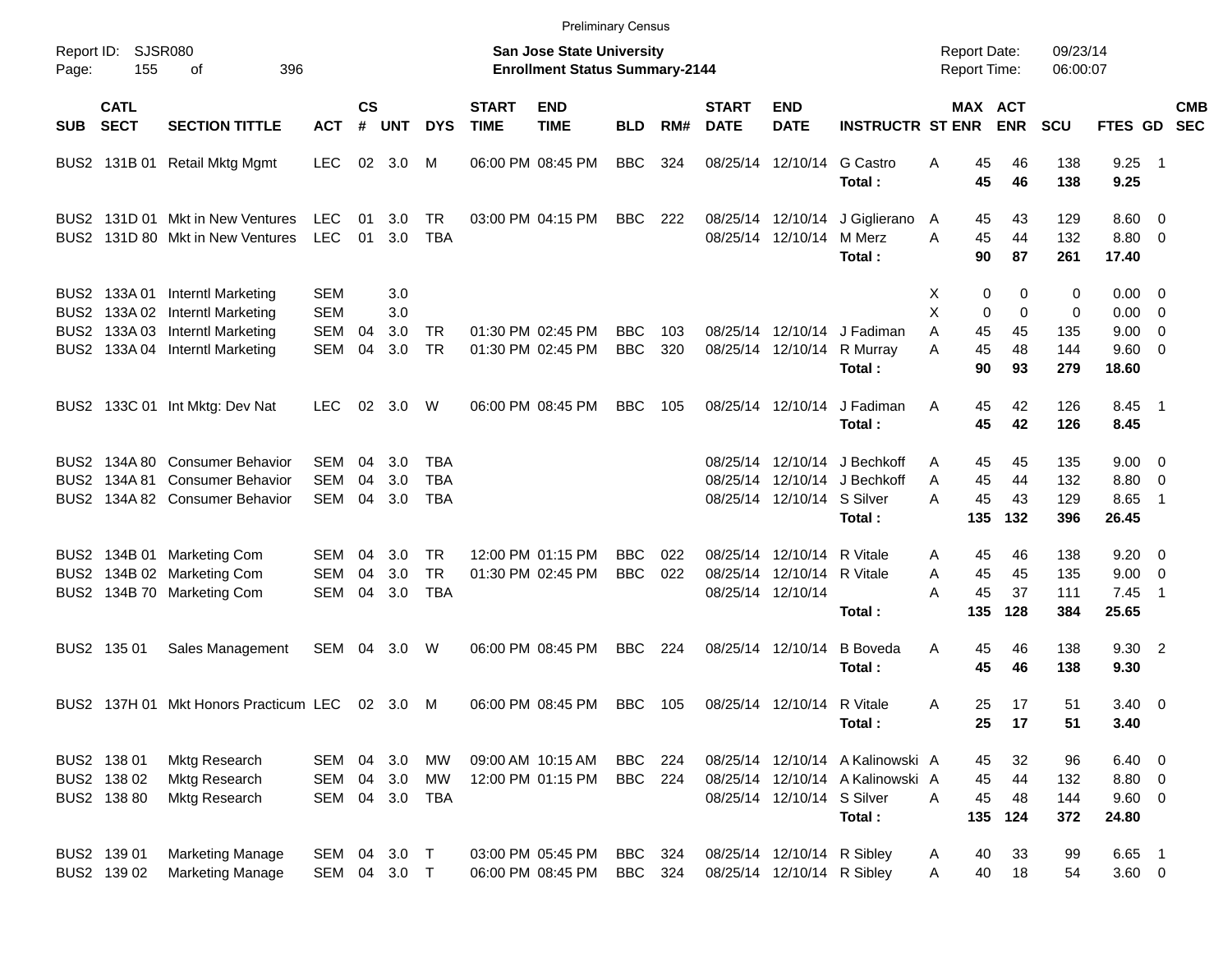|            |                                           |                                                                                                                                    |                                               |                    |                          |                                |                                                                    | <b>Preliminary Census</b>              |                          |            |                             |                                                                      |                                                                                |                                              |                                    |                          |                                                     |                                                      |            |
|------------|-------------------------------------------|------------------------------------------------------------------------------------------------------------------------------------|-----------------------------------------------|--------------------|--------------------------|--------------------------------|--------------------------------------------------------------------|----------------------------------------|--------------------------|------------|-----------------------------|----------------------------------------------------------------------|--------------------------------------------------------------------------------|----------------------------------------------|------------------------------------|--------------------------|-----------------------------------------------------|------------------------------------------------------|------------|
| Page:      | Report ID: SJSR080<br>155                 |                                                                                                                                    |                                               |                    |                          |                                | San Jose State University<br><b>Enrollment Status Summary-2144</b> |                                        |                          |            |                             |                                                                      | <b>Report Date:</b><br><b>Report Time:</b>                                     |                                              | 09/23/14<br>06:00:07               |                          |                                                     |                                                      |            |
| <b>SUB</b> | <b>CATL</b><br><b>SECT</b>                | <b>SECTION TITTLE</b>                                                                                                              | <b>ACT</b>                                    | $\mathsf{cs}$<br># | <b>UNT</b>               | <b>DYS</b>                     | <b>START</b><br><b>TIME</b>                                        | <b>END</b><br><b>TIME</b>              | <b>BLD</b>               | RM#        | <b>START</b><br><b>DATE</b> | <b>END</b><br><b>DATE</b>                                            | <b>INSTRUCTR ST ENR</b>                                                        | MAX ACT                                      | <b>ENR</b>                         | <b>SCU</b>               | FTES GD SEC                                         |                                                      | <b>CMB</b> |
|            |                                           | BUS2 131B 01 Retail Mktg Mgmt                                                                                                      | <b>LEC</b>                                    | 02                 | 3.0                      | M                              |                                                                    | 06:00 PM 08:45 PM                      | <b>BBC</b>               | 324        |                             | 08/25/14 12/10/14                                                    | G Castro<br>Total:                                                             | Α<br>45<br>45                                | 46<br>46                           | 138<br>138               | 9.25<br>9.25                                        | - 1                                                  |            |
|            |                                           | BUS2 131D 01 Mkt in New Ventures<br>BUS2 131D 80 Mkt in New Ventures                                                               | <b>LEC</b><br><b>LEC</b>                      | 01<br>01           | 3.0<br>3.0               | TR<br><b>TBA</b>               |                                                                    | 03:00 PM 04:15 PM                      | BBC                      | - 222      |                             | 08/25/14 12/10/14<br>08/25/14 12/10/14                               | J Giglierano<br>M Merz<br>Total:                                               | 45<br>A<br>A<br>45<br>90                     | 43<br>44<br>87                     | 129<br>132<br>261        | $8.60 \quad 0$<br>8.80 0<br>17.40                   |                                                      |            |
|            | BUS2 133A03                               | BUS2 133A 01 Interntl Marketing<br>BUS2 133A 02 Interntl Marketing<br><b>Interntl Marketing</b><br>BUS2 133A 04 Interntl Marketing | <b>SEM</b><br>SEM<br><b>SEM</b><br><b>SEM</b> | 04<br>04           | 3.0<br>3.0<br>3.0<br>3.0 | <b>TR</b><br><b>TR</b>         |                                                                    | 01:30 PM 02:45 PM<br>01:30 PM 02:45 PM | BBC<br><b>BBC</b>        | 103<br>320 |                             | 08/25/14 12/10/14                                                    | 08/25/14 12/10/14 J Fadiman<br>R Murray                                        | X<br>0<br>X<br>0<br>45<br>Α<br>45<br>A<br>90 | 0<br>$\mathbf 0$<br>45<br>48<br>93 | 0<br>0<br>135<br>144     | $0.00 \t 0$<br>$0.00 \t 0$<br>$9.00 \t 0$<br>9.60 0 |                                                      |            |
|            |                                           | BUS2 133C 01 Int Mktg: Dev Nat                                                                                                     | <b>LEC</b>                                    | 02                 | 3.0                      | W                              |                                                                    | 06:00 PM 08:45 PM                      | <b>BBC</b>               | 105        |                             | 08/25/14 12/10/14                                                    | Total:<br>J Fadiman<br>Total:                                                  | 45<br>A<br>45                                | 42<br>42                           | 279<br>126<br>126        | 18.60<br>8.45 1<br>8.45                             |                                                      |            |
|            |                                           | BUS2 134A 80 Consumer Behavior<br>BUS2 134A 81 Consumer Behavior<br>BUS2 134A 82 Consumer Behavior                                 | <b>SEM</b><br>SEM<br><b>SEM</b>               | 04<br>04<br>04     | 3.0<br>3.0<br>3.0        | TBA<br>TBA<br>TBA              |                                                                    |                                        |                          |            |                             | 08/25/14 12/10/14 S Silver                                           | 08/25/14 12/10/14 J Bechkoff<br>08/25/14 12/10/14 J Bechkoff<br>Total:         | 45<br>A<br>45<br>A<br>45<br>А<br>135         | 45<br>44<br>43<br>132              | 135<br>132<br>129<br>396 | $9.00 \t 0$<br>8.80 0<br>8.65<br>26.45              | -1                                                   |            |
|            |                                           | BUS2 134B 01 Marketing Com<br>BUS2 134B 02 Marketing Com<br>BUS2 134B 70 Marketing Com                                             | SEM<br>SEM<br><b>SEM</b>                      | 04<br>04<br>04     | 3.0<br>3.0<br>3.0        | TR.<br><b>TR</b><br><b>TBA</b> |                                                                    | 12:00 PM 01:15 PM<br>01:30 PM 02:45 PM | <b>BBC</b><br><b>BBC</b> | 022<br>022 |                             | 08/25/14 12/10/14<br>08/25/14 12/10/14 R Vitale<br>08/25/14 12/10/14 | R Vitale<br>Total:                                                             | 45<br>Α<br>45<br>Α<br>45<br>А<br>135         | 46<br>45<br>37<br>128              | 138<br>135<br>111<br>384 | $9.20 \ 0$<br>9.00<br>7.45<br>25.65                 | $\overline{\phantom{0}}$<br>$\overline{\phantom{1}}$ |            |
|            | BUS2 135 01                               | Sales Management                                                                                                                   | SEM                                           | 04                 | 3.0                      | W                              |                                                                    | 06:00 PM 08:45 PM                      | BBC                      | 224        |                             | 08/25/14 12/10/14                                                    | <b>B</b> Boveda<br>Total:                                                      | Α<br>45<br>45                                | 46<br>46                           | 138<br>138               | 9.30 2<br>9.30                                      |                                                      |            |
|            |                                           | BUS2 137H 01 Mkt Honors Practicum LEC                                                                                              |                                               |                    | 02 3.0                   | M                              |                                                                    | 06:00 PM 08:45 PM                      | <b>BBC</b>               | 105        |                             | 08/25/14 12/10/14 R Vitale                                           | Total:                                                                         | 25<br>Α<br>25                                | 17<br>17                           | 51<br>51                 | $3.40 \ 0$<br>3.40                                  |                                                      |            |
|            | BUS2 138 01<br>BUS2 138 02<br>BUS2 138 80 | Mktg Research<br><b>Mktg Research</b><br><b>Mktg Research</b>                                                                      | SEM<br>SEM<br>SEM                             | 04<br>04           | 3.0<br>3.0               | МW<br><b>MW</b><br>04 3.0 TBA  |                                                                    | 09:00 AM 10:15 AM<br>12:00 PM 01:15 PM | BBC<br><b>BBC</b> 224    | - 224      |                             | 08/25/14 12/10/14 S Silver                                           | 08/25/14 12/10/14 A Kalinowski A<br>08/25/14 12/10/14 A Kalinowski A<br>Total: | 45<br>45<br>45<br>A<br>135                   | 32<br>44<br>48<br>124              | 96<br>132<br>144<br>372  | $6.40\quad 0$<br>8.80 0<br>9.60 0<br>24.80          |                                                      |            |
|            | BUS2 139 01<br>BUS2 139 02                | <b>Marketing Manage</b><br><b>Marketing Manage</b>                                                                                 | SEM 04 3.0 T<br>SEM 04 3.0 T                  |                    |                          |                                |                                                                    | 03:00 PM 05:45 PM<br>06:00 PM 08:45 PM | <b>BBC</b><br><b>BBC</b> | 324<br>324 |                             | 08/25/14 12/10/14 R Sibley<br>08/25/14 12/10/14 R Sibley             |                                                                                | 40<br>A<br>40<br>A                           | 33<br>18                           | 99<br>54                 | 6.65 1<br>$3.60 \t 0$                               |                                                      |            |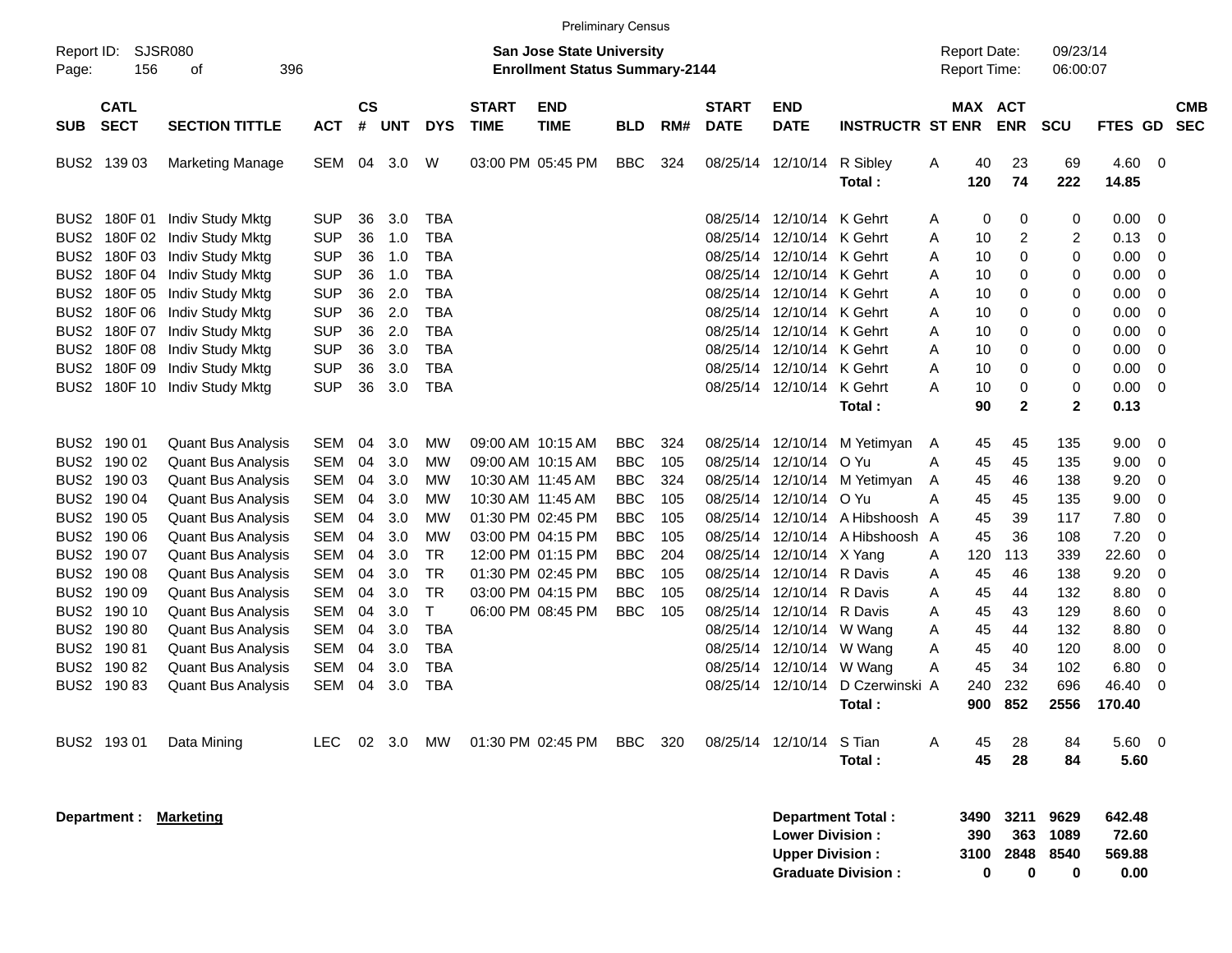|                                          |                               |            |                    |            |              |                             |                                                                           | <b>Preliminary Census</b> |     |                             |                                                  |                                                       |   |                                     |                          |                           |                                   |                          |                          |
|------------------------------------------|-------------------------------|------------|--------------------|------------|--------------|-----------------------------|---------------------------------------------------------------------------|---------------------------|-----|-----------------------------|--------------------------------------------------|-------------------------------------------------------|---|-------------------------------------|--------------------------|---------------------------|-----------------------------------|--------------------------|--------------------------|
| Report ID:<br>Page:                      | SJSR080<br>156<br>396<br>οf   |            |                    |            |              |                             | <b>San Jose State University</b><br><b>Enrollment Status Summary-2144</b> |                           |     |                             |                                                  |                                                       |   | <b>Report Date:</b><br>Report Time: |                          | 09/23/14<br>06:00:07      |                                   |                          |                          |
| <b>CATL</b><br><b>SECT</b><br><b>SUB</b> | <b>SECTION TITTLE</b>         | <b>ACT</b> | $\mathsf{cs}$<br># | <b>UNT</b> | <b>DYS</b>   | <b>START</b><br><b>TIME</b> | <b>END</b><br><b>TIME</b>                                                 | <b>BLD</b>                | RM# | <b>START</b><br><b>DATE</b> | <b>END</b><br><b>DATE</b>                        | <b>INSTRUCTR ST ENR</b>                               |   | MAX ACT                             | <b>ENR</b>               | <b>SCU</b>                | <b>FTES GD</b>                    |                          | <b>CMB</b><br><b>SEC</b> |
| BUS2 139 03                              | <b>Marketing Manage</b>       | SEM        | 04                 | 3.0        | W            |                             | 03:00 PM 05:45 PM                                                         | <b>BBC</b>                | 324 |                             | 08/25/14 12/10/14                                | R Sibley                                              | Α | 40                                  | 23                       | 69                        | 4.60                              | $\overline{\phantom{0}}$ |                          |
|                                          |                               |            |                    |            |              |                             |                                                                           |                           |     |                             |                                                  | Total:                                                |   | 120                                 | 74                       | 222                       | 14.85                             |                          |                          |
| BUS2 180F 01                             | Indiv Study Mktg              | <b>SUP</b> | 36                 | 3.0        | <b>TBA</b>   |                             |                                                                           |                           |     |                             | 08/25/14 12/10/14                                | K Gehrt                                               | A | 0                                   | 0                        | 0                         | 0.00                              | 0                        |                          |
| BUS <sub>2</sub>                         | 180F 02 Indiv Study Mktg      | <b>SUP</b> | 36                 | 1.0        | <b>TBA</b>   |                             |                                                                           |                           |     |                             | 08/25/14 12/10/14                                | K Gehrt                                               | Α | 10                                  | 2                        | 2                         | 0.13                              | 0                        |                          |
| BUS <sub>2</sub>                         | 180F 03 Indiv Study Mktg      | <b>SUP</b> | 36                 | 1.0        | <b>TBA</b>   |                             |                                                                           |                           |     |                             | 08/25/14 12/10/14                                | K Gehrt                                               | Α | 10                                  | 0                        | 0                         | 0.00                              | 0                        |                          |
| BUS <sub>2</sub>                         | 180F 04 Indiv Study Mktg      | <b>SUP</b> | 36                 | 1.0        | <b>TBA</b>   |                             |                                                                           |                           |     |                             | 08/25/14 12/10/14                                | K Gehrt                                               | Α | 10                                  | 0                        | 0                         | 0.00                              | 0                        |                          |
| BUS <sub>2</sub>                         | 180F 05 Indiv Study Mktg      | <b>SUP</b> | 36                 | 2.0        | <b>TBA</b>   |                             |                                                                           |                           |     |                             | 08/25/14 12/10/14                                | K Gehrt                                               | Α | 10                                  | 0                        | 0                         | 0.00                              | 0                        |                          |
| BUS <sub>2</sub>                         | 180F 06 Indiv Study Mktg      | <b>SUP</b> | 36                 | 2.0        | <b>TBA</b>   |                             |                                                                           |                           |     |                             | 08/25/14 12/10/14                                | K Gehrt                                               | Α | 10                                  | 0                        | 0                         | 0.00                              | 0                        |                          |
| BUS2                                     | 180F 07 Indiv Study Mktg      | <b>SUP</b> | 36                 | 2.0        | <b>TBA</b>   |                             |                                                                           |                           |     |                             | 08/25/14 12/10/14                                | K Gehrt                                               | Α | 10                                  | 0                        | 0                         | 0.00                              | 0                        |                          |
| BUS <sub>2</sub>                         | 180F 08 Indiv Study Mktg      | <b>SUP</b> | 36                 | 3.0        | <b>TBA</b>   |                             |                                                                           |                           |     |                             | 08/25/14 12/10/14                                | K Gehrt                                               | Α | 10                                  | 0                        | 0                         | 0.00                              | 0                        |                          |
| BUS <sub>2</sub>                         | 180F 09 Indiv Study Mktg      | <b>SUP</b> | 36                 | 3.0        | <b>TBA</b>   |                             |                                                                           |                           |     |                             | 08/25/14 12/10/14                                | K Gehrt                                               | Α | 10                                  | 0                        | 0                         | 0.00                              | 0                        |                          |
|                                          | BUS2 180F 10 Indiv Study Mktg | <b>SUP</b> |                    | 3.0        | <b>TBA</b>   |                             |                                                                           |                           |     |                             | 08/25/14 12/10/14                                | K Gehrt                                               | А | 10                                  | 0                        | 0                         | 0.00                              | 0                        |                          |
|                                          |                               |            | 36                 |            |              |                             |                                                                           |                           |     |                             |                                                  | Total:                                                |   | 90                                  | $\mathbf{2}$             | $\mathbf{2}$              | 0.13                              |                          |                          |
|                                          |                               |            |                    |            |              |                             |                                                                           |                           |     |                             |                                                  |                                                       |   |                                     |                          |                           |                                   |                          |                          |
| BUS2 190 01                              | <b>Quant Bus Analysis</b>     | SEM        | 04                 | 3.0        | МW           |                             | 09:00 AM 10:15 AM                                                         | <b>BBC</b>                | 324 |                             | 08/25/14 12/10/14                                | M Yetimyan                                            | A | 45                                  | 45                       | 135                       | 9.00                              | 0                        |                          |
| BUS2 190 02                              | <b>Quant Bus Analysis</b>     | <b>SEM</b> | 04                 | 3.0        | МW           |                             | 09:00 AM 10:15 AM                                                         | <b>BBC</b>                | 105 |                             | 08/25/14 12/10/14                                | O Yu                                                  | Α | 45                                  | 45                       | 135                       | 9.00                              | 0                        |                          |
| BUS2 190 03                              | <b>Quant Bus Analysis</b>     | SEM        | 04                 | 3.0        | МW           |                             | 10:30 AM 11:45 AM                                                         | <b>BBC</b>                | 324 |                             | 08/25/14 12/10/14                                | M Yetimyan                                            | A | 45                                  | 46                       | 138                       | 9.20                              | 0                        |                          |
| BUS2 190 04                              | <b>Quant Bus Analysis</b>     | SEM        | 04                 | 3.0        | МW           |                             | 10:30 AM 11:45 AM                                                         | <b>BBC</b>                | 105 |                             | 08/25/14 12/10/14                                | O Yu                                                  | А | 45                                  | 45                       | 135                       | 9.00                              | 0                        |                          |
| BUS2 190 05                              | <b>Quant Bus Analysis</b>     | SEM        | 04                 | 3.0        | МW           |                             | 01:30 PM 02:45 PM                                                         | <b>BBC</b>                | 105 |                             |                                                  | 08/25/14 12/10/14 A Hibshoosh A                       |   | 45                                  | 39                       | 117                       | 7.80                              | 0                        |                          |
| BUS2 190 06                              | <b>Quant Bus Analysis</b>     | SEM        | 04                 | 3.0        | МW           |                             | 03:00 PM 04:15 PM                                                         | <b>BBC</b>                | 105 |                             |                                                  | 08/25/14 12/10/14 A Hibshoosh A                       |   | 45                                  | 36                       | 108                       | 7.20                              | 0                        |                          |
| BUS2 190 07                              | <b>Quant Bus Analysis</b>     | SEM        | 04                 | 3.0        | <b>TR</b>    |                             | 12:00 PM 01:15 PM                                                         | <b>BBC</b>                | 204 |                             | 08/25/14 12/10/14 X Yang                         |                                                       | A | 120                                 | 113                      | 339                       | 22.60                             | 0                        |                          |
| BUS2 190 08                              | <b>Quant Bus Analysis</b>     | SEM        | 04                 | 3.0        | <b>TR</b>    |                             | 01:30 PM 02:45 PM                                                         | <b>BBC</b>                | 105 |                             | 08/25/14 12/10/14 R Davis                        |                                                       | Α | 45                                  | 46                       | 138                       | 9.20                              | 0                        |                          |
| BUS2 190 09                              | <b>Quant Bus Analysis</b>     | SEM        | 04                 | 3.0        | <b>TR</b>    |                             | 03:00 PM 04:15 PM                                                         | <b>BBC</b>                | 105 |                             | 08/25/14 12/10/14 R Davis                        |                                                       | Α | 45                                  | 44                       | 132                       | 8.80                              | 0                        |                          |
| BUS2 190 10                              | <b>Quant Bus Analysis</b>     | SEM        | 04                 | 3.0        | $\mathsf{T}$ |                             | 06:00 PM 08:45 PM                                                         | <b>BBC</b>                | 105 |                             | 08/25/14 12/10/14 R Davis                        |                                                       | Α | 45                                  | 43                       | 129                       | 8.60                              | 0                        |                          |
| BUS2 190 80                              | <b>Quant Bus Analysis</b>     | SEM        | 04                 | 3.0        | <b>TBA</b>   |                             |                                                                           |                           |     |                             | 08/25/14 12/10/14 W Wang                         |                                                       | Α | 45                                  | 44                       | 132                       | 8.80                              | 0                        |                          |
| BUS2 190 81                              | <b>Quant Bus Analysis</b>     | SEM        | 04                 | 3.0        | <b>TBA</b>   |                             |                                                                           |                           |     |                             | 08/25/14 12/10/14 W Wang                         |                                                       | Α | 45                                  | 40                       | 120                       | 8.00                              | 0                        |                          |
|                                          | <b>Quant Bus Analysis</b>     |            | 04                 | 3.0        | <b>TBA</b>   |                             |                                                                           |                           |     |                             |                                                  |                                                       | Α | 45                                  | 34                       | 102                       | 6.80                              | 0                        |                          |
| BUS2 190 82                              |                               | SEM        |                    |            |              |                             |                                                                           |                           |     |                             | 08/25/14 12/10/14 W Wang                         |                                                       |   |                                     |                          |                           |                                   |                          |                          |
| BUS2 190 83                              | <b>Quant Bus Analysis</b>     | SEM        | 04                 | 3.0        | <b>TBA</b>   |                             |                                                                           |                           |     |                             | 08/25/14 12/10/14                                | D Czerwinski A                                        |   | 240                                 | 232                      | 696                       | 46.40                             | 0                        |                          |
|                                          |                               |            |                    |            |              |                             |                                                                           |                           |     |                             |                                                  | Total :                                               |   | 900                                 | 852                      | 2556                      | 170.40                            |                          |                          |
| BUS2 193 01                              | Data Mining                   | <b>LEC</b> |                    | 02 3.0     | MW           |                             | 01:30 PM 02:45 PM                                                         | BBC                       | 320 |                             | 08/25/14 12/10/14 S Tian                         |                                                       | Α | 45                                  | 28                       | 84                        | 5.60 0                            |                          |                          |
|                                          |                               |            |                    |            |              |                             |                                                                           |                           |     |                             |                                                  | Total:                                                |   | 45                                  | 28                       | 84                        | 5.60                              |                          |                          |
|                                          |                               |            |                    |            |              |                             |                                                                           |                           |     |                             |                                                  |                                                       |   |                                     |                          |                           |                                   |                          |                          |
| Department :                             | <b>Marketing</b>              |            |                    |            |              |                             |                                                                           |                           |     |                             | <b>Lower Division:</b><br><b>Upper Division:</b> | <b>Department Total:</b><br><b>Graduate Division:</b> |   | 3490<br>390<br>3100<br>0            | 3211<br>363<br>2848<br>0 | 9629<br>1089<br>8540<br>0 | 642.48<br>72.60<br>569.88<br>0.00 |                          |                          |
|                                          |                               |            |                    |            |              |                             |                                                                           |                           |     |                             |                                                  |                                                       |   |                                     |                          |                           |                                   |                          |                          |